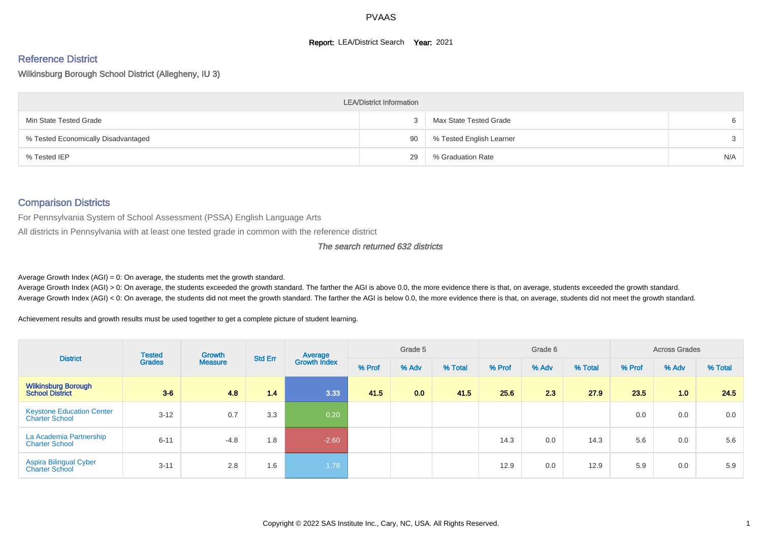#### **Report: LEA/District Search Year: 2021**

#### Reference District

#### Wilkinsburg Borough School District (Allegheny, IU 3)

|                                     | <b>LEA/District Information</b> |                          |     |
|-------------------------------------|---------------------------------|--------------------------|-----|
| Min State Tested Grade              | $\mathcal{S}$                   | Max State Tested Grade   | 6   |
| % Tested Economically Disadvantaged | 90                              | % Tested English Learner | 3   |
| % Tested IEP                        | 29                              | % Graduation Rate        | N/A |

#### Comparison Districts

For Pennsylvania System of School Assessment (PSSA) English Language Arts

All districts in Pennsylvania with at least one tested grade in common with the reference district

#### The search returned 632 districts

Average Growth Index  $(AGI) = 0$ : On average, the students met the growth standard.

Average Growth Index (AGI) > 0: On average, the students exceeded the growth standard. The farther the AGI is above 0.0, the more evidence there is that, on average, students exceeded the growth standard. Average Growth Index (AGI) < 0: On average, the students did not meet the growth standard. The farther the AGI is below 0.0, the more evidence there is that, on average, students did not meet the growth standard.

Achievement results and growth results must be used together to get a complete picture of student learning.

| <b>District</b>                                           | <b>Tested</b> | <b>Growth</b>  | <b>Std Err</b> | Average             |        | Grade 5 |         |        | Grade 6 |         |        | <b>Across Grades</b> |         |
|-----------------------------------------------------------|---------------|----------------|----------------|---------------------|--------|---------|---------|--------|---------|---------|--------|----------------------|---------|
|                                                           | <b>Grades</b> | <b>Measure</b> |                | <b>Growth Index</b> | % Prof | % Adv   | % Total | % Prof | % Adv   | % Total | % Prof | % Adv                | % Total |
| <b>Wilkinsburg Borough</b><br><b>School District</b>      | $3-6$         | 4.8            | 1.4            | 3.33                | 41.5   | 0.0     | 41.5    | 25.6   | 2.3     | 27.9    | 23.5   | 1.0                  | 24.5    |
| <b>Keystone Education Center</b><br><b>Charter School</b> | $3 - 12$      | 0.7            | 3.3            | 0.20                |        |         |         |        |         |         | 0.0    | 0.0                  | 0.0     |
| La Academia Partnership<br><b>Charter School</b>          | $6 - 11$      | $-4.8$         | 1.8            | $-2.60$             |        |         |         | 14.3   | 0.0     | 14.3    | 5.6    | 0.0                  | 5.6     |
| <b>Aspira Bilingual Cyber</b><br>Charter School           | $3 - 11$      | 2.8            | 1.6            | 1.78                |        |         |         | 12.9   | 0.0     | 12.9    | 5.9    | 0.0                  | 5.9     |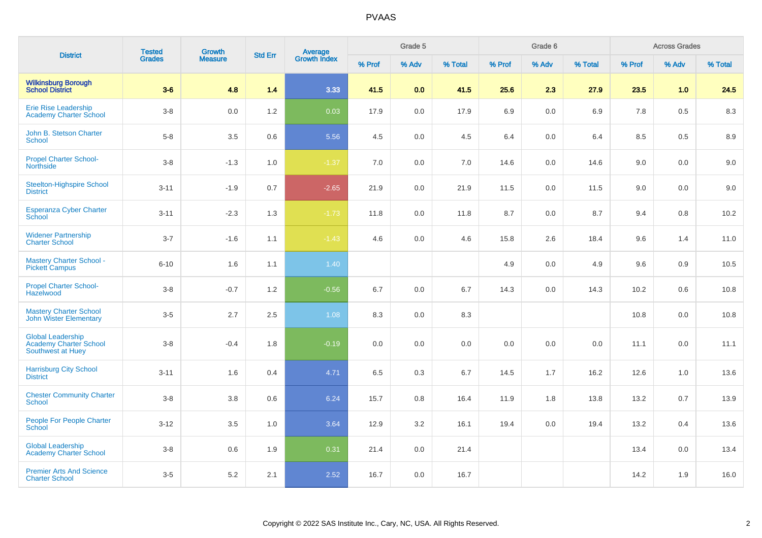| <b>District</b>                                                         | <b>Tested</b> | <b>Growth</b>  | <b>Std Err</b> |                                |        | Grade 5 |         |        | Grade 6 |         |         | <b>Across Grades</b> |         |
|-------------------------------------------------------------------------|---------------|----------------|----------------|--------------------------------|--------|---------|---------|--------|---------|---------|---------|----------------------|---------|
|                                                                         | <b>Grades</b> | <b>Measure</b> |                | <b>Average</b><br>Growth Index | % Prof | % Adv   | % Total | % Prof | % Adv   | % Total | % Prof  | % Adv                | % Total |
| <b>Wilkinsburg Borough</b><br><b>School District</b>                    | $3-6$         | 4.8            | 1.4            | 3.33                           | 41.5   | 0.0     | 41.5    | 25.6   | 2.3     | 27.9    | 23.5    | 1.0                  | 24.5    |
| Erie Rise Leadership<br><b>Academy Charter School</b>                   | $3-8$         | 0.0            | 1.2            | 0.03                           | 17.9   | 0.0     | 17.9    | 6.9    | 0.0     | 6.9     | $7.8\,$ | 0.5                  | 8.3     |
| John B. Stetson Charter<br>School                                       | $5-8$         | 3.5            | 0.6            | 5.56                           | 4.5    | 0.0     | 4.5     | 6.4    | 0.0     | 6.4     | 8.5     | 0.5                  | 8.9     |
| <b>Propel Charter School-</b><br><b>Northside</b>                       | $3-8$         | $-1.3$         | 1.0            | $-1.37$                        | 7.0    | 0.0     | 7.0     | 14.6   | 0.0     | 14.6    | 9.0     | $0.0\,$              | 9.0     |
| <b>Steelton-Highspire School</b><br><b>District</b>                     | $3 - 11$      | $-1.9$         | 0.7            | $-2.65$                        | 21.9   | 0.0     | 21.9    | 11.5   | 0.0     | 11.5    | 9.0     | 0.0                  | 9.0     |
| <b>Esperanza Cyber Charter</b><br>School                                | $3 - 11$      | $-2.3$         | 1.3            | $-1.73$                        | 11.8   | 0.0     | 11.8    | 8.7    | 0.0     | 8.7     | 9.4     | 0.8                  | 10.2    |
| <b>Widener Partnership</b><br><b>Charter School</b>                     | $3 - 7$       | $-1.6$         | 1.1            | $-1.43$                        | 4.6    | 0.0     | 4.6     | 15.8   | 2.6     | 18.4    | 9.6     | 1.4                  | 11.0    |
| <b>Mastery Charter School -</b><br><b>Pickett Campus</b>                | $6 - 10$      | 1.6            | 1.1            | 1.40                           |        |         |         | 4.9    | 0.0     | 4.9     | 9.6     | 0.9                  | 10.5    |
| <b>Propel Charter School-</b><br>Hazelwood                              | $3-8$         | $-0.7$         | 1.2            | $-0.56$                        | 6.7    | 0.0     | 6.7     | 14.3   | 0.0     | 14.3    | 10.2    | 0.6                  | 10.8    |
| <b>Mastery Charter School</b><br><b>John Wister Elementary</b>          | $3-5$         | 2.7            | 2.5            | 1.08                           | 8.3    | 0.0     | 8.3     |        |         |         | 10.8    | 0.0                  | 10.8    |
| <b>Global Leadership</b><br>Academy Charter School<br>Southwest at Huey | $3-8$         | $-0.4$         | 1.8            | $-0.19$                        | 0.0    | 0.0     | 0.0     | 0.0    | 0.0     | 0.0     | 11.1    | 0.0                  | 11.1    |
| <b>Harrisburg City School</b><br><b>District</b>                        | $3 - 11$      | 1.6            | 0.4            | 4.71                           | 6.5    | 0.3     | 6.7     | 14.5   | 1.7     | 16.2    | 12.6    | 1.0                  | 13.6    |
| <b>Chester Community Charter</b><br><b>School</b>                       | $3-8$         | 3.8            | 0.6            | 6.24                           | 15.7   | 0.8     | 16.4    | 11.9   | 1.8     | 13.8    | 13.2    | 0.7                  | 13.9    |
| People For People Charter<br><b>School</b>                              | $3-12$        | 3.5            | 1.0            | 3.64                           | 12.9   | 3.2     | 16.1    | 19.4   | 0.0     | 19.4    | 13.2    | 0.4                  | 13.6    |
| <b>Global Leadership</b><br>Academy Charter School                      | $3-8$         | 0.6            | 1.9            | 0.31                           | 21.4   | 0.0     | 21.4    |        |         |         | 13.4    | $0.0\,$              | 13.4    |
| <b>Premier Arts And Science</b><br><b>Charter School</b>                | $3-5$         | $5.2\,$        | 2.1            | 2.52                           | 16.7   | 0.0     | 16.7    |        |         |         | 14.2    | 1.9                  | 16.0    |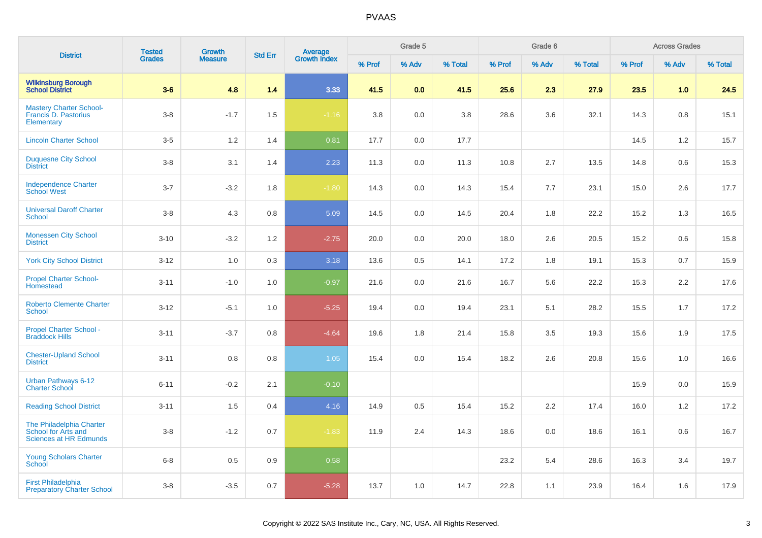| <b>District</b>                                                                  | <b>Tested</b> | <b>Growth</b>  | <b>Std Err</b> |                                |        | Grade 5 |         |        | Grade 6 |         |        | <b>Across Grades</b><br>% Adv<br>1.0<br>0.8<br>1.2<br>0.6<br>2.6<br>1.3<br>0.6<br>0.7<br>2.2 |         |
|----------------------------------------------------------------------------------|---------------|----------------|----------------|--------------------------------|--------|---------|---------|--------|---------|---------|--------|----------------------------------------------------------------------------------------------|---------|
|                                                                                  | <b>Grades</b> | <b>Measure</b> |                | <b>Average</b><br>Growth Index | % Prof | % Adv   | % Total | % Prof | % Adv   | % Total | % Prof |                                                                                              | % Total |
| <b>Wilkinsburg Borough<br/>School District</b>                                   | $3-6$         | 4.8            | 1.4            | 3.33                           | 41.5   | 0.0     | 41.5    | 25.6   | 2.3     | 27.9    | 23.5   |                                                                                              | 24.5    |
| <b>Mastery Charter School-</b><br>Francis D. Pastorius<br>Elementary             | $3-8$         | $-1.7$         | 1.5            | $-1.16$                        | 3.8    | $0.0\,$ | 3.8     | 28.6   | 3.6     | 32.1    | 14.3   |                                                                                              | 15.1    |
| <b>Lincoln Charter School</b>                                                    | $3-5$         | 1.2            | 1.4            | 0.81                           | 17.7   | 0.0     | 17.7    |        |         |         | 14.5   |                                                                                              | 15.7    |
| <b>Duquesne City School</b><br><b>District</b>                                   | $3-8$         | 3.1            | 1.4            | 2.23                           | 11.3   | $0.0\,$ | 11.3    | 10.8   | 2.7     | 13.5    | 14.8   |                                                                                              | 15.3    |
| <b>Independence Charter</b><br><b>School West</b>                                | $3 - 7$       | $-3.2$         | 1.8            | $-1.80$                        | 14.3   | 0.0     | 14.3    | 15.4   | 7.7     | 23.1    | 15.0   |                                                                                              | 17.7    |
| <b>Universal Daroff Charter</b><br><b>School</b>                                 | $3-8$         | 4.3            | 0.8            | 5.09                           | 14.5   | 0.0     | 14.5    | 20.4   | 1.8     | 22.2    | 15.2   |                                                                                              | 16.5    |
| <b>Monessen City School</b><br><b>District</b>                                   | $3 - 10$      | $-3.2$         | 1.2            | $-2.75$                        | 20.0   | 0.0     | 20.0    | 18.0   | 2.6     | 20.5    | 15.2   |                                                                                              | 15.8    |
| <b>York City School District</b>                                                 | $3-12$        | 1.0            | 0.3            | 3.18                           | 13.6   | 0.5     | 14.1    | 17.2   | 1.8     | 19.1    | 15.3   |                                                                                              | 15.9    |
| <b>Propel Charter School-</b><br>Homestead                                       | $3 - 11$      | $-1.0$         | 1.0            | $-0.97$                        | 21.6   | 0.0     | 21.6    | 16.7   | 5.6     | 22.2    | 15.3   |                                                                                              | 17.6    |
| <b>Roberto Clemente Charter</b><br><b>School</b>                                 | $3 - 12$      | $-5.1$         | 1.0            | $-5.25$                        | 19.4   | 0.0     | 19.4    | 23.1   | 5.1     | 28.2    | 15.5   | 1.7                                                                                          | 17.2    |
| Propel Charter School -<br><b>Braddock Hills</b>                                 | $3 - 11$      | $-3.7$         | 0.8            | $-4.64$                        | 19.6   | 1.8     | 21.4    | 15.8   | 3.5     | 19.3    | 15.6   | 1.9                                                                                          | 17.5    |
| <b>Chester-Upland School</b><br><b>District</b>                                  | $3 - 11$      | 0.8            | 0.8            | 1.05                           | 15.4   | 0.0     | 15.4    | 18.2   | 2.6     | 20.8    | 15.6   | 1.0                                                                                          | 16.6    |
| Urban Pathways 6-12<br><b>Charter School</b>                                     | $6 - 11$      | $-0.2$         | 2.1            | $-0.10$                        |        |         |         |        |         |         | 15.9   | 0.0                                                                                          | 15.9    |
| <b>Reading School District</b>                                                   | $3 - 11$      | 1.5            | 0.4            | 4.16                           | 14.9   | 0.5     | 15.4    | 15.2   | 2.2     | 17.4    | 16.0   | 1.2                                                                                          | 17.2    |
| The Philadelphia Charter<br>School for Arts and<br><b>Sciences at HR Edmunds</b> | $3-8$         | $-1.2$         | 0.7            | $-1.83$                        | 11.9   | 2.4     | 14.3    | 18.6   | 0.0     | 18.6    | 16.1   | 0.6                                                                                          | 16.7    |
| Young Scholars Charter<br>School                                                 | $6 - 8$       | 0.5            | 0.9            | 0.58                           |        |         |         | 23.2   | 5.4     | 28.6    | 16.3   | 3.4                                                                                          | 19.7    |
| <b>First Philadelphia</b><br><b>Preparatory Charter School</b>                   | $3-8$         | $-3.5$         | 0.7            | $-5.28$                        | 13.7   | 1.0     | 14.7    | 22.8   | 1.1     | 23.9    | 16.4   | 1.6                                                                                          | 17.9    |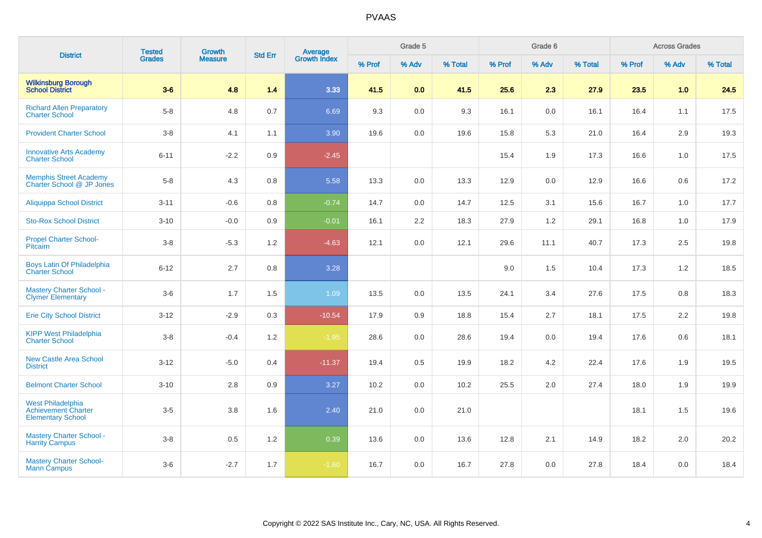| <b>District</b>                                                                    | <b>Tested</b> | <b>Growth</b>  | <b>Std Err</b> |                                |        | Grade 5          |         |        | Grade 6 |         |        | <b>Across Grades</b> |         |
|------------------------------------------------------------------------------------|---------------|----------------|----------------|--------------------------------|--------|------------------|---------|--------|---------|---------|--------|----------------------|---------|
|                                                                                    | <b>Grades</b> | <b>Measure</b> |                | <b>Average</b><br>Growth Index | % Prof | % Adv            | % Total | % Prof | % Adv   | % Total | % Prof | % Adv                | % Total |
| <b>Wilkinsburg Borough</b><br><b>School District</b>                               | $3-6$         | 4.8            | 1.4            | 3.33                           | 41.5   | 0.0 <sub>1</sub> | 41.5    | 25.6   | 2.3     | 27.9    | 23.5   | 1.0                  | 24.5    |
| <b>Richard Allen Preparatory</b><br><b>Charter School</b>                          | $5-8$         | 4.8            | 0.7            | 6.69                           | 9.3    | 0.0              | 9.3     | 16.1   | 0.0     | 16.1    | 16.4   | 1.1                  | 17.5    |
| <b>Provident Charter School</b>                                                    | $3-8$         | 4.1            | 1.1            | 3.90                           | 19.6   | 0.0              | 19.6    | 15.8   | 5.3     | 21.0    | 16.4   | 2.9                  | 19.3    |
| <b>Innovative Arts Academy</b><br><b>Charter School</b>                            | $6 - 11$      | $-2.2$         | 0.9            | $-2.45$                        |        |                  |         | 15.4   | 1.9     | 17.3    | 16.6   | 1.0                  | 17.5    |
| <b>Memphis Street Academy</b><br>Charter School @ JP Jones                         | $5-8$         | 4.3            | 0.8            | 5.58                           | 13.3   | 0.0              | 13.3    | 12.9   | 0.0     | 12.9    | 16.6   | 0.6                  | 17.2    |
| Aliquippa School District                                                          | $3 - 11$      | $-0.6$         | 0.8            | $-0.74$                        | 14.7   | 0.0              | 14.7    | 12.5   | 3.1     | 15.6    | 16.7   | 1.0                  | 17.7    |
| <b>Sto-Rox School District</b>                                                     | $3 - 10$      | $-0.0$         | 0.9            | $-0.01$                        | 16.1   | 2.2              | 18.3    | 27.9   | 1.2     | 29.1    | 16.8   | 1.0                  | 17.9    |
| <b>Propel Charter School-</b><br>Pitcairn                                          | $3-8$         | $-5.3$         | 1.2            | $-4.63$                        | 12.1   | 0.0              | 12.1    | 29.6   | 11.1    | 40.7    | 17.3   | 2.5                  | 19.8    |
| Boys Latin Of Philadelphia<br><b>Charter School</b>                                | $6 - 12$      | 2.7            | 0.8            | 3.28                           |        |                  |         | 9.0    | 1.5     | 10.4    | 17.3   | 1.2                  | 18.5    |
| <b>Mastery Charter School -</b><br><b>Clymer Elementary</b>                        | $3-6$         | 1.7            | 1.5            | 1.09                           | 13.5   | 0.0              | 13.5    | 24.1   | 3.4     | 27.6    | 17.5   | 0.8                  | 18.3    |
| <b>Erie City School District</b>                                                   | $3 - 12$      | $-2.9$         | 0.3            | $-10.54$                       | 17.9   | 0.9              | 18.8    | 15.4   | 2.7     | 18.1    | 17.5   | 2.2                  | 19.8    |
| <b>KIPP West Philadelphia</b><br><b>Charter School</b>                             | $3-8$         | $-0.4$         | 1.2            | $-1.95$                        | 28.6   | 0.0              | 28.6    | 19.4   | 0.0     | 19.4    | 17.6   | 0.6                  | 18.1    |
| <b>New Castle Area School</b><br><b>District</b>                                   | $3 - 12$      | $-5.0$         | 0.4            | $-11.37$                       | 19.4   | 0.5              | 19.9    | 18.2   | 4.2     | 22.4    | 17.6   | 1.9                  | 19.5    |
| <b>Belmont Charter School</b>                                                      | $3 - 10$      | 2.8            | 0.9            | 3.27                           | 10.2   | 0.0              | 10.2    | 25.5   | 2.0     | 27.4    | 18.0   | 1.9                  | 19.9    |
| <b>West Philadelphia</b><br><b>Achievement Charter</b><br><b>Elementary School</b> | $3-5$         | 3.8            | 1.6            | 2.40                           | 21.0   | 0.0              | 21.0    |        |         |         | 18.1   | 1.5                  | 19.6    |
| <b>Mastery Charter School -</b><br><b>Harrity Campus</b>                           | $3 - 8$       | 0.5            | 1.2            | 0.39                           | 13.6   | 0.0              | 13.6    | 12.8   | 2.1     | 14.9    | 18.2   | 2.0                  | 20.2    |
| <b>Mastery Charter School-</b><br><b>Mann Campus</b>                               | $3-6$         | $-2.7$         | 1.7            | $-1.60$                        | 16.7   | 0.0              | 16.7    | 27.8   | 0.0     | 27.8    | 18.4   | 0.0                  | 18.4    |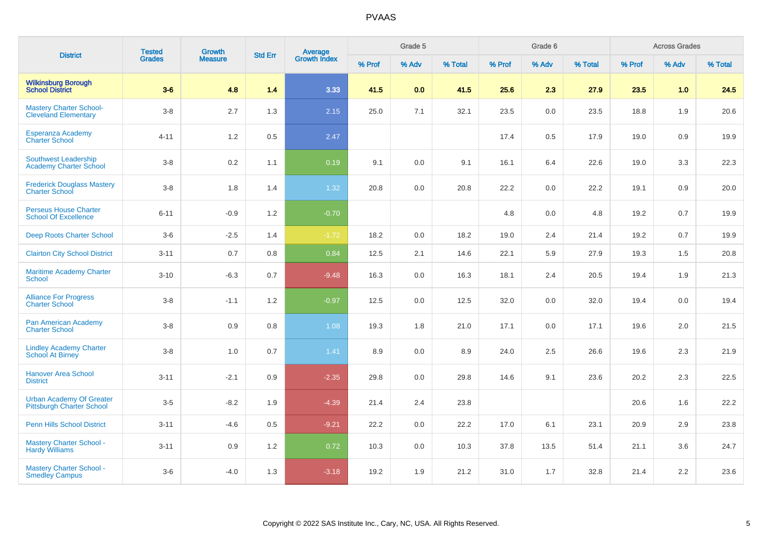| <b>District</b>                                                     | <b>Tested</b> | Growth         | <b>Std Err</b> |                                |        | Grade 5 |         |        | Grade 6 |         |        | <b>Across Grades</b> |         |
|---------------------------------------------------------------------|---------------|----------------|----------------|--------------------------------|--------|---------|---------|--------|---------|---------|--------|----------------------|---------|
|                                                                     | <b>Grades</b> | <b>Measure</b> |                | <b>Average</b><br>Growth Index | % Prof | % Adv   | % Total | % Prof | % Adv   | % Total | % Prof | % Adv                | % Total |
| <b>Wilkinsburg Borough</b><br><b>School District</b>                | $3-6$         | 4.8            | 1.4            | 3.33                           | 41.5   | 0.0     | 41.5    | 25.6   | 2.3     | 27.9    | 23.5   | 1.0                  | 24.5    |
| <b>Mastery Charter School-</b><br><b>Cleveland Elementary</b>       | $3 - 8$       | 2.7            | 1.3            | 2.15                           | 25.0   | 7.1     | 32.1    | 23.5   | 0.0     | 23.5    | 18.8   | 1.9                  | 20.6    |
| Esperanza Academy<br><b>Charter School</b>                          | $4 - 11$      | 1.2            | 0.5            | 2.47                           |        |         |         | 17.4   | 0.5     | 17.9    | 19.0   | 0.9                  | 19.9    |
| <b>Southwest Leadership</b><br><b>Academy Charter School</b>        | $3-8$         | 0.2            | 1.1            | 0.19                           | 9.1    | 0.0     | 9.1     | 16.1   | 6.4     | 22.6    | 19.0   | 3.3                  | 22.3    |
| <b>Frederick Douglass Mastery</b><br><b>Charter School</b>          | $3 - 8$       | 1.8            | 1.4            | 1.32                           | 20.8   | 0.0     | 20.8    | 22.2   | 0.0     | 22.2    | 19.1   | 0.9                  | 20.0    |
| <b>Perseus House Charter</b><br><b>School Of Excellence</b>         | $6 - 11$      | $-0.9$         | 1.2            | $-0.70$                        |        |         |         | 4.8    | 0.0     | 4.8     | 19.2   | 0.7                  | 19.9    |
| Deep Roots Charter School                                           | $3-6$         | $-2.5$         | 1.4            | $-1.72$                        | 18.2   | 0.0     | 18.2    | 19.0   | 2.4     | 21.4    | 19.2   | 0.7                  | 19.9    |
| <b>Clairton City School District</b>                                | $3 - 11$      | 0.7            | 0.8            | 0.84                           | 12.5   | 2.1     | 14.6    | 22.1   | 5.9     | 27.9    | 19.3   | 1.5                  | 20.8    |
| <b>Maritime Academy Charter</b><br>School                           | $3 - 10$      | $-6.3$         | 0.7            | $-9.48$                        | 16.3   | 0.0     | 16.3    | 18.1   | 2.4     | 20.5    | 19.4   | 1.9                  | 21.3    |
| <b>Alliance For Progress</b><br><b>Charter School</b>               | $3-8$         | $-1.1$         | 1.2            | $-0.97$                        | 12.5   | 0.0     | 12.5    | 32.0   | 0.0     | 32.0    | 19.4   | 0.0                  | 19.4    |
| Pan American Academy<br><b>Charter School</b>                       | $3-8$         | 0.9            | 0.8            | 1.08                           | 19.3   | 1.8     | 21.0    | 17.1   | 0.0     | 17.1    | 19.6   | 2.0                  | 21.5    |
| <b>Lindley Academy Charter</b><br><b>School At Birney</b>           | $3-8$         | 1.0            | 0.7            | 1.41                           | 8.9    | 0.0     | 8.9     | 24.0   | 2.5     | 26.6    | 19.6   | 2.3                  | 21.9    |
| <b>Hanover Area School</b><br><b>District</b>                       | $3 - 11$      | $-2.1$         | 0.9            | $-2.35$                        | 29.8   | 0.0     | 29.8    | 14.6   | 9.1     | 23.6    | 20.2   | 2.3                  | 22.5    |
| <b>Urban Academy Of Greater</b><br><b>Pittsburgh Charter School</b> | $3-5$         | $-8.2$         | 1.9            | $-4.39$                        | 21.4   | 2.4     | 23.8    |        |         |         | 20.6   | 1.6                  | 22.2    |
| <b>Penn Hills School District</b>                                   | $3 - 11$      | $-4.6$         | 0.5            | $-9.21$                        | 22.2   | 0.0     | 22.2    | 17.0   | 6.1     | 23.1    | 20.9   | 2.9                  | 23.8    |
| <b>Mastery Charter School -</b><br><b>Hardy Williams</b>            | $3 - 11$      | 0.9            | 1.2            | 0.72                           | 10.3   | 0.0     | 10.3    | 37.8   | 13.5    | 51.4    | 21.1   | 3.6                  | 24.7    |
| <b>Mastery Charter School -</b><br><b>Smedley Campus</b>            | $3-6$         | $-4.0$         | 1.3            | $-3.18$                        | 19.2   | 1.9     | 21.2    | 31.0   | 1.7     | 32.8    | 21.4   | 2.2                  | 23.6    |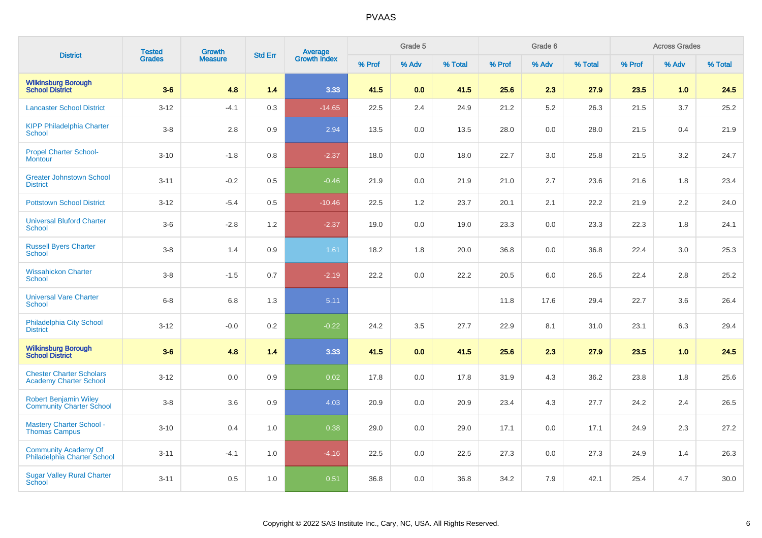| <b>District</b>                                                  | <b>Tested</b> | <b>Growth</b>  | <b>Std Err</b> |                                |        | Grade 5 |         |        | Grade 6 |         |        | <b>Across Grades</b> |         |
|------------------------------------------------------------------|---------------|----------------|----------------|--------------------------------|--------|---------|---------|--------|---------|---------|--------|----------------------|---------|
|                                                                  | <b>Grades</b> | <b>Measure</b> |                | <b>Average</b><br>Growth Index | % Prof | % Adv   | % Total | % Prof | % Adv   | % Total | % Prof | % Adv                | % Total |
| <b>Wilkinsburg Borough</b><br>School District                    | $3-6$         | 4.8            | 1.4            | 3.33                           | 41.5   | 0.0     | 41.5    | 25.6   | 2.3     | 27.9    | 23.5   | 1.0                  | 24.5    |
| <b>Lancaster School District</b>                                 | $3 - 12$      | $-4.1$         | 0.3            | $-14.65$                       | 22.5   | 2.4     | 24.9    | 21.2   | 5.2     | 26.3    | 21.5   | 3.7                  | 25.2    |
| <b>KIPP Philadelphia Charter</b><br><b>School</b>                | $3-8$         | 2.8            | 0.9            | 2.94                           | 13.5   | 0.0     | 13.5    | 28.0   | 0.0     | 28.0    | 21.5   | 0.4                  | 21.9    |
| <b>Propel Charter School-</b><br><b>Montour</b>                  | $3 - 10$      | $-1.8$         | 0.8            | $-2.37$                        | 18.0   | 0.0     | 18.0    | 22.7   | 3.0     | 25.8    | 21.5   | 3.2                  | 24.7    |
| <b>Greater Johnstown School</b><br><b>District</b>               | $3 - 11$      | $-0.2$         | 0.5            | $-0.46$                        | 21.9   | 0.0     | 21.9    | 21.0   | 2.7     | 23.6    | 21.6   | 1.8                  | 23.4    |
| <b>Pottstown School District</b>                                 | $3 - 12$      | $-5.4$         | 0.5            | $-10.46$                       | 22.5   | 1.2     | 23.7    | 20.1   | 2.1     | 22.2    | 21.9   | 2.2                  | 24.0    |
| <b>Universal Bluford Charter</b><br><b>School</b>                | $3-6$         | $-2.8$         | 1.2            | $-2.37$                        | 19.0   | 0.0     | 19.0    | 23.3   | 0.0     | 23.3    | 22.3   | 1.8                  | 24.1    |
| <b>Russell Byers Charter</b><br><b>School</b>                    | $3-8$         | 1.4            | 0.9            | 1.61                           | 18.2   | 1.8     | 20.0    | 36.8   | 0.0     | 36.8    | 22.4   | 3.0                  | 25.3    |
| <b>Wissahickon Charter</b><br><b>School</b>                      | $3-8$         | $-1.5$         | 0.7            | $-2.19$                        | 22.2   | 0.0     | 22.2    | 20.5   | 6.0     | 26.5    | 22.4   | 2.8                  | 25.2    |
| <b>Universal Vare Charter</b><br><b>School</b>                   | $6 - 8$       | 6.8            | 1.3            | 5.11                           |        |         |         | 11.8   | 17.6    | 29.4    | 22.7   | 3.6                  | 26.4    |
| Philadelphia City School<br><b>District</b>                      | $3 - 12$      | $-0.0$         | 0.2            | $-0.22$                        | 24.2   | 3.5     | 27.7    | 22.9   | 8.1     | 31.0    | 23.1   | 6.3                  | 29.4    |
| <b>Wilkinsburg Borough</b><br><b>School District</b>             | $3-6$         | 4.8            | 1.4            | 3.33                           | 41.5   | 0.0     | 41.5    | 25.6   | 2.3     | 27.9    | 23.5   | 1.0                  | 24.5    |
| <b>Chester Charter Scholars</b><br><b>Academy Charter School</b> | $3 - 12$      | 0.0            | 0.9            | 0.02                           | 17.8   | 0.0     | 17.8    | 31.9   | 4.3     | 36.2    | 23.8   | 1.8                  | 25.6    |
| <b>Robert Benjamin Wiley</b><br><b>Community Charter School</b>  | $3-8$         | 3.6            | 0.9            | 4.03                           | 20.9   | 0.0     | 20.9    | 23.4   | 4.3     | 27.7    | 24.2   | 2.4                  | 26.5    |
| <b>Mastery Charter School -</b><br><b>Thomas Campus</b>          | $3 - 10$      | 0.4            | 1.0            | 0.38                           | 29.0   | 0.0     | 29.0    | 17.1   | 0.0     | 17.1    | 24.9   | 2.3                  | 27.2    |
| <b>Community Academy Of</b><br>Philadelphia Charter School       | $3 - 11$      | $-4.1$         | 1.0            | $-4.16$                        | 22.5   | 0.0     | 22.5    | 27.3   | 0.0     | 27.3    | 24.9   | 1.4                  | 26.3    |
| <b>Sugar Valley Rural Charter</b><br>School                      | $3 - 11$      | 0.5            | 1.0            | 0.51                           | 36.8   | 0.0     | 36.8    | 34.2   | 7.9     | 42.1    | 25.4   | 4.7                  | 30.0    |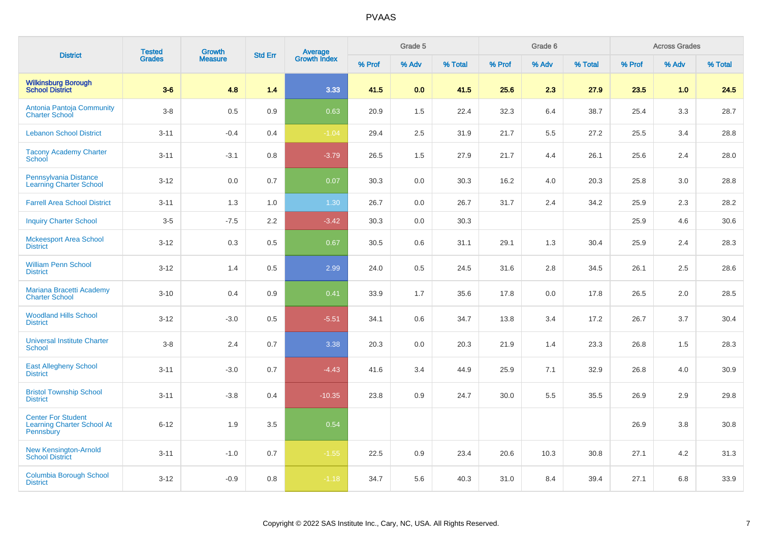| <b>District</b>                                                             | <b>Tested</b> | <b>Growth</b>  |                |                                |        | Grade 5 |         |        | Grade 6 |         |        | <b>Across Grades</b> |         |
|-----------------------------------------------------------------------------|---------------|----------------|----------------|--------------------------------|--------|---------|---------|--------|---------|---------|--------|----------------------|---------|
|                                                                             | <b>Grades</b> | <b>Measure</b> | <b>Std Err</b> | <b>Average</b><br>Growth Index | % Prof | % Adv   | % Total | % Prof | % Adv   | % Total | % Prof | % Adv                | % Total |
| <b>Wilkinsburg Borough<br/>School District</b>                              | $3-6$         | 4.8            | 1.4            | 3.33                           | 41.5   | 0.0     | 41.5    | 25.6   | 2.3     | 27.9    | 23.5   | 1.0                  | 24.5    |
| Antonia Pantoja Community<br><b>Charter School</b>                          | $3 - 8$       | 0.5            | 0.9            | 0.63                           | 20.9   | 1.5     | 22.4    | 32.3   | 6.4     | 38.7    | 25.4   | 3.3                  | 28.7    |
| <b>Lebanon School District</b>                                              | $3 - 11$      | $-0.4$         | 0.4            | $-1.04$                        | 29.4   | 2.5     | 31.9    | 21.7   | 5.5     | 27.2    | 25.5   | 3.4                  | 28.8    |
| <b>Tacony Academy Charter</b><br>School                                     | $3 - 11$      | $-3.1$         | 0.8            | $-3.79$                        | 26.5   | 1.5     | 27.9    | 21.7   | 4.4     | 26.1    | 25.6   | 2.4                  | 28.0    |
| Pennsylvania Distance<br><b>Learning Charter School</b>                     | $3 - 12$      | 0.0            | 0.7            | 0.07                           | 30.3   | 0.0     | 30.3    | 16.2   | 4.0     | 20.3    | 25.8   | 3.0                  | 28.8    |
| <b>Farrell Area School District</b>                                         | $3 - 11$      | 1.3            | 1.0            | 1.30                           | 26.7   | 0.0     | 26.7    | 31.7   | 2.4     | 34.2    | 25.9   | 2.3                  | 28.2    |
| <b>Inquiry Charter School</b>                                               | $3-5$         | $-7.5$         | 2.2            | $-3.42$                        | 30.3   | 0.0     | 30.3    |        |         |         | 25.9   | 4.6                  | 30.6    |
| <b>Mckeesport Area School</b><br><b>District</b>                            | $3 - 12$      | 0.3            | 0.5            | 0.67                           | 30.5   | 0.6     | 31.1    | 29.1   | 1.3     | 30.4    | 25.9   | 2.4                  | 28.3    |
| <b>William Penn School</b><br><b>District</b>                               | $3 - 12$      | 1.4            | 0.5            | 2.99                           | 24.0   | 0.5     | 24.5    | 31.6   | 2.8     | 34.5    | 26.1   | 2.5                  | 28.6    |
| Mariana Bracetti Academy<br><b>Charter School</b>                           | $3 - 10$      | 0.4            | 0.9            | 0.41                           | 33.9   | 1.7     | 35.6    | 17.8   | 0.0     | 17.8    | 26.5   | 2.0                  | 28.5    |
| <b>Woodland Hills School</b><br><b>District</b>                             | $3 - 12$      | $-3.0$         | 0.5            | $-5.51$                        | 34.1   | 0.6     | 34.7    | 13.8   | 3.4     | 17.2    | 26.7   | 3.7                  | 30.4    |
| <b>Universal Institute Charter</b><br>School                                | $3-8$         | 2.4            | 0.7            | 3.38                           | 20.3   | 0.0     | 20.3    | 21.9   | 1.4     | 23.3    | 26.8   | 1.5                  | 28.3    |
| <b>East Allegheny School</b><br><b>District</b>                             | $3 - 11$      | $-3.0$         | 0.7            | $-4.43$                        | 41.6   | 3.4     | 44.9    | 25.9   | 7.1     | 32.9    | 26.8   | 4.0                  | 30.9    |
| <b>Bristol Township School</b><br><b>District</b>                           | $3 - 11$      | $-3.8$         | 0.4            | $-10.35$                       | 23.8   | 0.9     | 24.7    | 30.0   | 5.5     | 35.5    | 26.9   | 2.9                  | 29.8    |
| <b>Center For Student</b><br><b>Learning Charter School At</b><br>Pennsbury | $6 - 12$      | 1.9            | 3.5            | 0.54                           |        |         |         |        |         |         | 26.9   | 3.8                  | 30.8    |
| <b>New Kensington-Arnold</b><br><b>School District</b>                      | $3 - 11$      | $-1.0$         | 0.7            | $-1.55$                        | 22.5   | 0.9     | 23.4    | 20.6   | 10.3    | 30.8    | 27.1   | 4.2                  | 31.3    |
| <b>Columbia Borough School</b><br><b>District</b>                           | $3 - 12$      | $-0.9$         | 0.8            | $-1.18$                        | 34.7   | 5.6     | 40.3    | 31.0   | 8.4     | 39.4    | 27.1   | 6.8                  | 33.9    |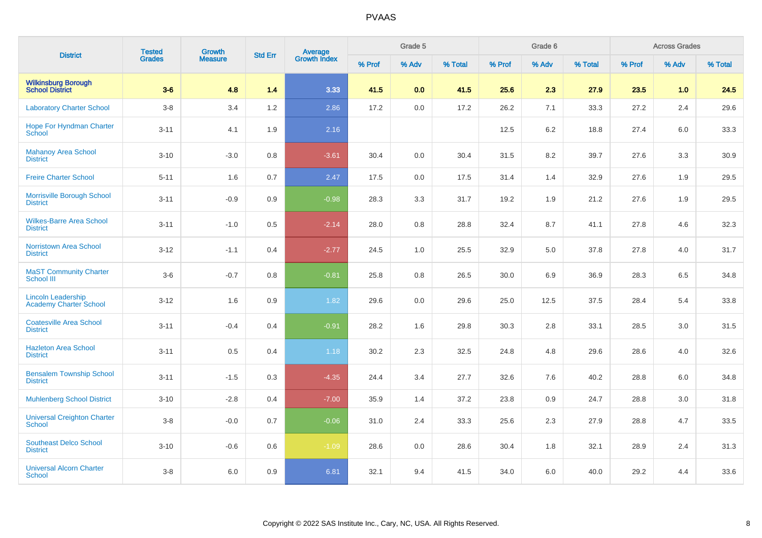| <b>District</b>                                            | <b>Tested</b> | Growth         | <b>Std Err</b> |                                |        | Grade 5 |         |        | Grade 6 |         |        | <b>Across Grades</b> |         |
|------------------------------------------------------------|---------------|----------------|----------------|--------------------------------|--------|---------|---------|--------|---------|---------|--------|----------------------|---------|
|                                                            | <b>Grades</b> | <b>Measure</b> |                | <b>Average</b><br>Growth Index | % Prof | % Adv   | % Total | % Prof | % Adv   | % Total | % Prof | % Adv                | % Total |
| <b>Wilkinsburg Borough</b><br><b>School District</b>       | $3-6$         | 4.8            | 1.4            | 3.33                           | 41.5   | 0.0     | 41.5    | 25.6   | 2.3     | 27.9    | 23.5   | 1.0                  | 24.5    |
| <b>Laboratory Charter School</b>                           | $3-8$         | 3.4            | 1.2            | 2.86                           | 17.2   | 0.0     | 17.2    | 26.2   | 7.1     | 33.3    | 27.2   | 2.4                  | 29.6    |
| <b>Hope For Hyndman Charter</b><br>School                  | $3 - 11$      | 4.1            | 1.9            | 2.16                           |        |         |         | 12.5   | 6.2     | 18.8    | 27.4   | 6.0                  | 33.3    |
| <b>Mahanoy Area School</b><br><b>District</b>              | $3 - 10$      | $-3.0$         | 0.8            | $-3.61$                        | 30.4   | 0.0     | 30.4    | 31.5   | 8.2     | 39.7    | 27.6   | 3.3                  | 30.9    |
| <b>Freire Charter School</b>                               | $5 - 11$      | 1.6            | 0.7            | 2.47                           | 17.5   | 0.0     | 17.5    | 31.4   | 1.4     | 32.9    | 27.6   | 1.9                  | 29.5    |
| Morrisville Borough School<br><b>District</b>              | $3 - 11$      | $-0.9$         | 0.9            | $-0.98$                        | 28.3   | 3.3     | 31.7    | 19.2   | 1.9     | 21.2    | 27.6   | 1.9                  | 29.5    |
| <b>Wilkes-Barre Area School</b><br><b>District</b>         | $3 - 11$      | $-1.0$         | 0.5            | $-2.14$                        | 28.0   | 0.8     | 28.8    | 32.4   | 8.7     | 41.1    | 27.8   | 4.6                  | 32.3    |
| <b>Norristown Area School</b><br><b>District</b>           | $3 - 12$      | $-1.1$         | 0.4            | $-2.77$                        | 24.5   | 1.0     | 25.5    | 32.9   | 5.0     | 37.8    | 27.8   | 4.0                  | 31.7    |
| <b>MaST Community Charter</b><br><b>School III</b>         | $3-6$         | $-0.7$         | 0.8            | $-0.81$                        | 25.8   | 0.8     | 26.5    | 30.0   | 6.9     | 36.9    | 28.3   | 6.5                  | 34.8    |
| <b>Lincoln Leadership</b><br><b>Academy Charter School</b> | $3 - 12$      | 1.6            | 0.9            | 1.82                           | 29.6   | 0.0     | 29.6    | 25.0   | 12.5    | 37.5    | 28.4   | 5.4                  | 33.8    |
| <b>Coatesville Area School</b><br><b>District</b>          | $3 - 11$      | $-0.4$         | 0.4            | $-0.91$                        | 28.2   | 1.6     | 29.8    | 30.3   | 2.8     | 33.1    | 28.5   | 3.0                  | 31.5    |
| <b>Hazleton Area School</b><br><b>District</b>             | $3 - 11$      | 0.5            | 0.4            | 1.18                           | 30.2   | 2.3     | 32.5    | 24.8   | 4.8     | 29.6    | 28.6   | 4.0                  | 32.6    |
| <b>Bensalem Township School</b><br><b>District</b>         | $3 - 11$      | $-1.5$         | 0.3            | $-4.35$                        | 24.4   | 3.4     | 27.7    | 32.6   | 7.6     | 40.2    | 28.8   | 6.0                  | 34.8    |
| <b>Muhlenberg School District</b>                          | $3 - 10$      | $-2.8$         | 0.4            | $-7.00$                        | 35.9   | 1.4     | 37.2    | 23.8   | 0.9     | 24.7    | 28.8   | 3.0                  | 31.8    |
| <b>Universal Creighton Charter</b><br><b>School</b>        | $3-8$         | $-0.0$         | 0.7            | $-0.06$                        | 31.0   | 2.4     | 33.3    | 25.6   | 2.3     | 27.9    | 28.8   | 4.7                  | 33.5    |
| <b>Southeast Delco School</b><br><b>District</b>           | $3 - 10$      | $-0.6$         | 0.6            | $-1.09$                        | 28.6   | $0.0\,$ | 28.6    | 30.4   | 1.8     | 32.1    | 28.9   | 2.4                  | 31.3    |
| <b>Universal Alcorn Charter</b><br>School                  | $3-8$         | 6.0            | 0.9            | 6.81                           | 32.1   | 9.4     | 41.5    | 34.0   | 6.0     | 40.0    | 29.2   | 4.4                  | 33.6    |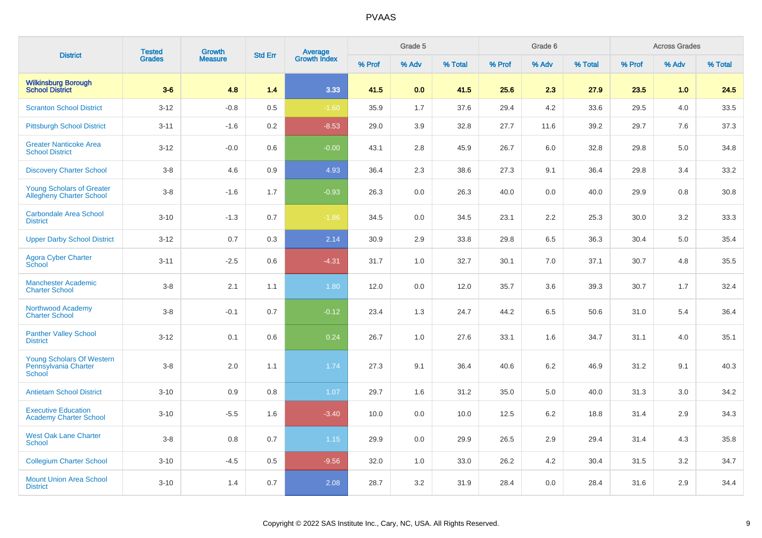| <b>District</b>                                                     | <b>Tested</b> | <b>Growth</b>  | <b>Std Err</b> | <b>Average</b><br>Growth Index |        | Grade 5 |         |        | Grade 6 |         |        | <b>Across Grades</b> |         |
|---------------------------------------------------------------------|---------------|----------------|----------------|--------------------------------|--------|---------|---------|--------|---------|---------|--------|----------------------|---------|
|                                                                     | <b>Grades</b> | <b>Measure</b> |                |                                | % Prof | % Adv   | % Total | % Prof | % Adv   | % Total | % Prof | % Adv                | % Total |
| <b>Wilkinsburg Borough<br/>School District</b>                      | $3-6$         | 4.8            | 1.4            | 3.33                           | 41.5   | 0.0     | 41.5    | 25.6   | 2.3     | 27.9    | 23.5   | 1.0                  | 24.5    |
| <b>Scranton School District</b>                                     | $3 - 12$      | $-0.8$         | 0.5            | $-1.60$                        | 35.9   | 1.7     | 37.6    | 29.4   | 4.2     | 33.6    | 29.5   | 4.0                  | 33.5    |
| <b>Pittsburgh School District</b>                                   | $3 - 11$      | $-1.6$         | 0.2            | $-8.53$                        | 29.0   | 3.9     | 32.8    | 27.7   | 11.6    | 39.2    | 29.7   | 7.6                  | 37.3    |
| <b>Greater Nanticoke Area</b><br><b>School District</b>             | $3 - 12$      | $-0.0$         | 0.6            | $-0.00$                        | 43.1   | 2.8     | 45.9    | 26.7   | 6.0     | 32.8    | 29.8   | 5.0                  | 34.8    |
| <b>Discovery Charter School</b>                                     | $3-8$         | 4.6            | 0.9            | 4.93                           | 36.4   | 2.3     | 38.6    | 27.3   | 9.1     | 36.4    | 29.8   | 3.4                  | 33.2    |
| <b>Young Scholars of Greater</b><br><b>Allegheny Charter School</b> | $3-8$         | $-1.6$         | 1.7            | $-0.93$                        | 26.3   | 0.0     | 26.3    | 40.0   | 0.0     | 40.0    | 29.9   | 0.8                  | 30.8    |
| Carbondale Area School<br><b>District</b>                           | $3 - 10$      | $-1.3$         | 0.7            | $-1.86$                        | 34.5   | $0.0\,$ | 34.5    | 23.1   | 2.2     | 25.3    | 30.0   | 3.2                  | 33.3    |
| <b>Upper Darby School District</b>                                  | $3 - 12$      | 0.7            | 0.3            | 2.14                           | 30.9   | 2.9     | 33.8    | 29.8   | 6.5     | 36.3    | 30.4   | 5.0                  | 35.4    |
| <b>Agora Cyber Charter</b><br>School                                | $3 - 11$      | $-2.5$         | 0.6            | $-4.31$                        | 31.7   | 1.0     | 32.7    | 30.1   | 7.0     | 37.1    | 30.7   | 4.8                  | 35.5    |
| <b>Manchester Academic</b><br><b>Charter School</b>                 | $3-8$         | 2.1            | 1.1            | 1.80                           | 12.0   | 0.0     | 12.0    | 35.7   | 3.6     | 39.3    | 30.7   | 1.7                  | 32.4    |
| Northwood Academy<br><b>Charter School</b>                          | $3-8$         | $-0.1$         | 0.7            | $-0.12$                        | 23.4   | 1.3     | 24.7    | 44.2   | 6.5     | 50.6    | 31.0   | 5.4                  | 36.4    |
| <b>Panther Valley School</b><br><b>District</b>                     | $3 - 12$      | 0.1            | 0.6            | 0.24                           | 26.7   | 1.0     | 27.6    | 33.1   | 1.6     | 34.7    | 31.1   | 4.0                  | 35.1    |
| <b>Young Scholars Of Western</b><br>Pennsylvania Charter<br>School  | $3-8$         | $2.0\,$        | 1.1            | 1.74                           | 27.3   | 9.1     | 36.4    | 40.6   | 6.2     | 46.9    | 31.2   | 9.1                  | 40.3    |
| <b>Antietam School District</b>                                     | $3 - 10$      | 0.9            | 0.8            | 1.07                           | 29.7   | 1.6     | 31.2    | 35.0   | 5.0     | 40.0    | 31.3   | 3.0                  | 34.2    |
| <b>Executive Education</b><br><b>Academy Charter School</b>         | $3 - 10$      | $-5.5$         | 1.6            | $-3.40$                        | 10.0   | 0.0     | 10.0    | 12.5   | 6.2     | 18.8    | 31.4   | 2.9                  | 34.3    |
| <b>West Oak Lane Charter</b><br><b>School</b>                       | $3-8$         | 0.8            | 0.7            | $1.15$                         | 29.9   | 0.0     | 29.9    | 26.5   | 2.9     | 29.4    | 31.4   | 4.3                  | 35.8    |
| <b>Collegium Charter School</b>                                     | $3 - 10$      | $-4.5$         | 0.5            | $-9.56$                        | 32.0   | 1.0     | 33.0    | 26.2   | 4.2     | 30.4    | 31.5   | 3.2                  | 34.7    |
| <b>Mount Union Area School</b><br><b>District</b>                   | $3 - 10$      | 1.4            | 0.7            | 2.08                           | 28.7   | 3.2     | 31.9    | 28.4   | 0.0     | 28.4    | 31.6   | 2.9                  | 34.4    |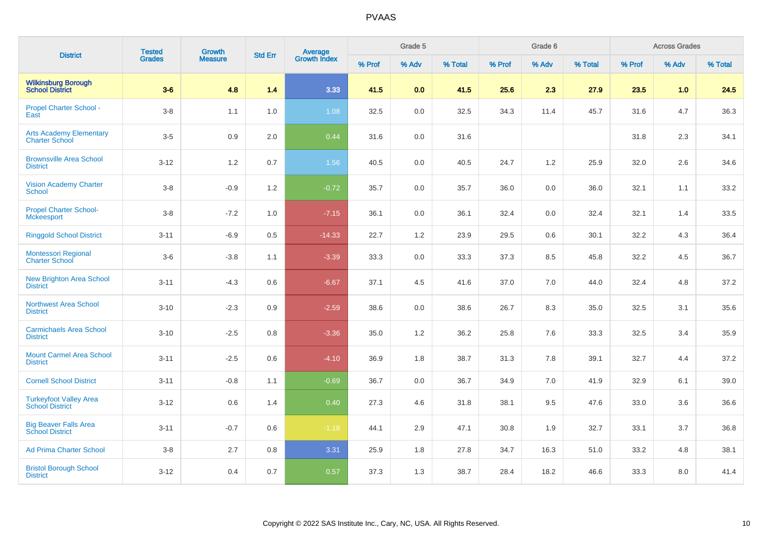| <b>District</b>                                         | <b>Tested</b> | Growth         | <b>Std Err</b> | <b>Average</b><br>Growth Index |        | Grade 5 |         |        | Grade 6 |         |        | <b>Across Grades</b> |         |
|---------------------------------------------------------|---------------|----------------|----------------|--------------------------------|--------|---------|---------|--------|---------|---------|--------|----------------------|---------|
|                                                         | Grades        | <b>Measure</b> |                |                                | % Prof | % Adv   | % Total | % Prof | % Adv   | % Total | % Prof | % Adv                | % Total |
| <b>Wilkinsburg Borough</b><br><b>School District</b>    | $3-6$         | 4.8            | 1.4            | 3.33                           | 41.5   | 0.0     | 41.5    | 25.6   | 2.3     | 27.9    | 23.5   | 1.0                  | 24.5    |
| <b>Propel Charter School -</b><br>East                  | $3-8$         | 1.1            | 1.0            | 1.08                           | 32.5   | 0.0     | 32.5    | 34.3   | 11.4    | 45.7    | 31.6   | 4.7                  | 36.3    |
| <b>Arts Academy Elementary</b><br><b>Charter School</b> | $3-5$         | 0.9            | 2.0            | 0.44                           | 31.6   | 0.0     | 31.6    |        |         |         | 31.8   | 2.3                  | 34.1    |
| <b>Brownsville Area School</b><br><b>District</b>       | $3 - 12$      | 1.2            | 0.7            | 1.56                           | 40.5   | 0.0     | 40.5    | 24.7   | 1.2     | 25.9    | 32.0   | 2.6                  | 34.6    |
| <b>Vision Academy Charter</b><br><b>School</b>          | $3 - 8$       | $-0.9$         | 1.2            | $-0.72$                        | 35.7   | 0.0     | 35.7    | 36.0   | 0.0     | 36.0    | 32.1   | 1.1                  | 33.2    |
| <b>Propel Charter School-</b><br><b>Mckeesport</b>      | $3 - 8$       | $-7.2$         | 1.0            | $-7.15$                        | 36.1   | 0.0     | 36.1    | 32.4   | 0.0     | 32.4    | 32.1   | 1.4                  | 33.5    |
| <b>Ringgold School District</b>                         | $3 - 11$      | $-6.9$         | 0.5            | $-14.33$                       | 22.7   | 1.2     | 23.9    | 29.5   | 0.6     | 30.1    | 32.2   | 4.3                  | 36.4    |
| <b>Montessori Regional</b><br><b>Charter School</b>     | $3-6$         | $-3.8$         | 1.1            | $-3.39$                        | 33.3   | 0.0     | 33.3    | 37.3   | 8.5     | 45.8    | 32.2   | 4.5                  | 36.7    |
| <b>New Brighton Area School</b><br><b>District</b>      | $3 - 11$      | $-4.3$         | 0.6            | $-6.67$                        | 37.1   | 4.5     | 41.6    | 37.0   | 7.0     | 44.0    | 32.4   | 4.8                  | 37.2    |
| <b>Northwest Area School</b><br><b>District</b>         | $3 - 10$      | $-2.3$         | 0.9            | $-2.59$                        | 38.6   | 0.0     | 38.6    | 26.7   | 8.3     | 35.0    | 32.5   | 3.1                  | 35.6    |
| <b>Carmichaels Area School</b><br><b>District</b>       | $3 - 10$      | $-2.5$         | 0.8            | $-3.36$                        | 35.0   | 1.2     | 36.2    | 25.8   | 7.6     | 33.3    | 32.5   | 3.4                  | 35.9    |
| <b>Mount Carmel Area School</b><br><b>District</b>      | $3 - 11$      | $-2.5$         | 0.6            | $-4.10$                        | 36.9   | 1.8     | 38.7    | 31.3   | 7.8     | 39.1    | 32.7   | 4.4                  | 37.2    |
| <b>Cornell School District</b>                          | $3 - 11$      | $-0.8$         | 1.1            | $-0.69$                        | 36.7   | 0.0     | 36.7    | 34.9   | 7.0     | 41.9    | 32.9   | 6.1                  | 39.0    |
| <b>Turkeyfoot Valley Area</b><br><b>School District</b> | $3 - 12$      | 0.6            | 1.4            | 0.40                           | 27.3   | 4.6     | 31.8    | 38.1   | 9.5     | 47.6    | 33.0   | 3.6                  | 36.6    |
| <b>Big Beaver Falls Area</b><br><b>School District</b>  | $3 - 11$      | $-0.7$         | 0.6            | $-1.18$                        | 44.1   | 2.9     | 47.1    | 30.8   | 1.9     | 32.7    | 33.1   | 3.7                  | 36.8    |
| <b>Ad Prima Charter School</b>                          | $3-8$         | 2.7            | 0.8            | 3.31                           | 25.9   | 1.8     | 27.8    | 34.7   | 16.3    | 51.0    | 33.2   | 4.8                  | 38.1    |
| <b>Bristol Borough School</b><br><b>District</b>        | $3 - 12$      | 0.4            | 0.7            | 0.57                           | 37.3   | 1.3     | 38.7    | 28.4   | 18.2    | 46.6    | 33.3   | 8.0                  | 41.4    |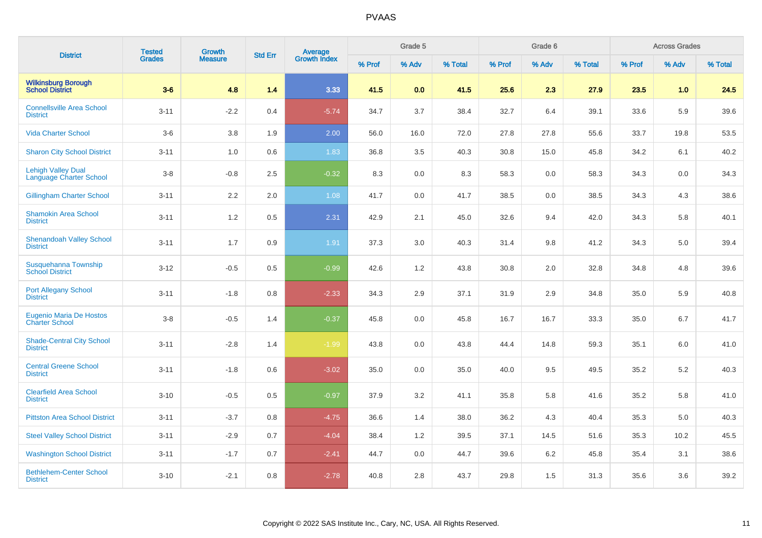| <b>District</b>                                             | <b>Tested</b> | Growth         | <b>Std Err</b> | <b>Average</b><br>Growth Index |        | Grade 5 |         |        | Grade 6 |         |        | <b>Across Grades</b> |         |
|-------------------------------------------------------------|---------------|----------------|----------------|--------------------------------|--------|---------|---------|--------|---------|---------|--------|----------------------|---------|
|                                                             | <b>Grades</b> | <b>Measure</b> |                |                                | % Prof | % Adv   | % Total | % Prof | % Adv   | % Total | % Prof | % Adv                | % Total |
| <b>Wilkinsburg Borough</b><br><b>School District</b>        | $3-6$         | 4.8            | 1.4            | 3.33                           | 41.5   | 0.0     | 41.5    | 25.6   | 2.3     | 27.9    | 23.5   | 1.0                  | 24.5    |
| <b>Connellsville Area School</b><br><b>District</b>         | $3 - 11$      | $-2.2$         | 0.4            | $-5.74$                        | 34.7   | 3.7     | 38.4    | 32.7   | 6.4     | 39.1    | 33.6   | 5.9                  | 39.6    |
| <b>Vida Charter School</b>                                  | $3-6$         | 3.8            | 1.9            | 2.00                           | 56.0   | 16.0    | 72.0    | 27.8   | 27.8    | 55.6    | 33.7   | 19.8                 | 53.5    |
| <b>Sharon City School District</b>                          | $3 - 11$      | 1.0            | 0.6            | 1.83                           | 36.8   | 3.5     | 40.3    | 30.8   | 15.0    | 45.8    | 34.2   | 6.1                  | 40.2    |
| <b>Lehigh Valley Dual</b><br><b>Language Charter School</b> | $3-8$         | $-0.8$         | 2.5            | $-0.32$                        | 8.3    | 0.0     | 8.3     | 58.3   | 0.0     | 58.3    | 34.3   | 0.0                  | 34.3    |
| <b>Gillingham Charter School</b>                            | $3 - 11$      | 2.2            | 2.0            | 1.08                           | 41.7   | 0.0     | 41.7    | 38.5   | 0.0     | 38.5    | 34.3   | 4.3                  | 38.6    |
| <b>Shamokin Area School</b><br><b>District</b>              | $3 - 11$      | 1.2            | 0.5            | 2.31                           | 42.9   | 2.1     | 45.0    | 32.6   | 9.4     | 42.0    | 34.3   | 5.8                  | 40.1    |
| <b>Shenandoah Valley School</b><br><b>District</b>          | $3 - 11$      | 1.7            | 0.9            | 1.91                           | 37.3   | 3.0     | 40.3    | 31.4   | 9.8     | 41.2    | 34.3   | 5.0                  | 39.4    |
| Susquehanna Township<br><b>School District</b>              | $3-12$        | $-0.5$         | 0.5            | $-0.99$                        | 42.6   | 1.2     | 43.8    | 30.8   | 2.0     | 32.8    | 34.8   | 4.8                  | 39.6    |
| <b>Port Allegany School</b><br><b>District</b>              | $3 - 11$      | $-1.8$         | 0.8            | $-2.33$                        | 34.3   | 2.9     | 37.1    | 31.9   | 2.9     | 34.8    | 35.0   | 5.9                  | 40.8    |
| <b>Eugenio Maria De Hostos</b><br><b>Charter School</b>     | $3-8$         | $-0.5$         | 1.4            | $-0.37$                        | 45.8   | 0.0     | 45.8    | 16.7   | 16.7    | 33.3    | 35.0   | 6.7                  | 41.7    |
| <b>Shade-Central City School</b><br><b>District</b>         | $3 - 11$      | $-2.8$         | 1.4            | $-1.99$                        | 43.8   | 0.0     | 43.8    | 44.4   | 14.8    | 59.3    | 35.1   | 6.0                  | 41.0    |
| <b>Central Greene School</b><br><b>District</b>             | $3 - 11$      | $-1.8$         | 0.6            | $-3.02$                        | 35.0   | 0.0     | 35.0    | 40.0   | 9.5     | 49.5    | 35.2   | 5.2                  | 40.3    |
| <b>Clearfield Area School</b><br><b>District</b>            | $3 - 10$      | $-0.5$         | 0.5            | $-0.97$                        | 37.9   | 3.2     | 41.1    | 35.8   | 5.8     | 41.6    | 35.2   | 5.8                  | 41.0    |
| <b>Pittston Area School District</b>                        | $3 - 11$      | $-3.7$         | 0.8            | $-4.75$                        | 36.6   | 1.4     | 38.0    | 36.2   | 4.3     | 40.4    | 35.3   | 5.0                  | 40.3    |
| <b>Steel Valley School District</b>                         | $3 - 11$      | $-2.9$         | 0.7            | $-4.04$                        | 38.4   | 1.2     | 39.5    | 37.1   | 14.5    | 51.6    | 35.3   | 10.2                 | 45.5    |
| <b>Washington School District</b>                           | $3 - 11$      | $-1.7$         | 0.7            | $-2.41$                        | 44.7   | 0.0     | 44.7    | 39.6   | 6.2     | 45.8    | 35.4   | 3.1                  | 38.6    |
| <b>Bethlehem-Center School</b><br><b>District</b>           | $3 - 10$      | $-2.1$         | 0.8            | $-2.78$                        | 40.8   | 2.8     | 43.7    | 29.8   | 1.5     | 31.3    | 35.6   | 3.6                  | 39.2    |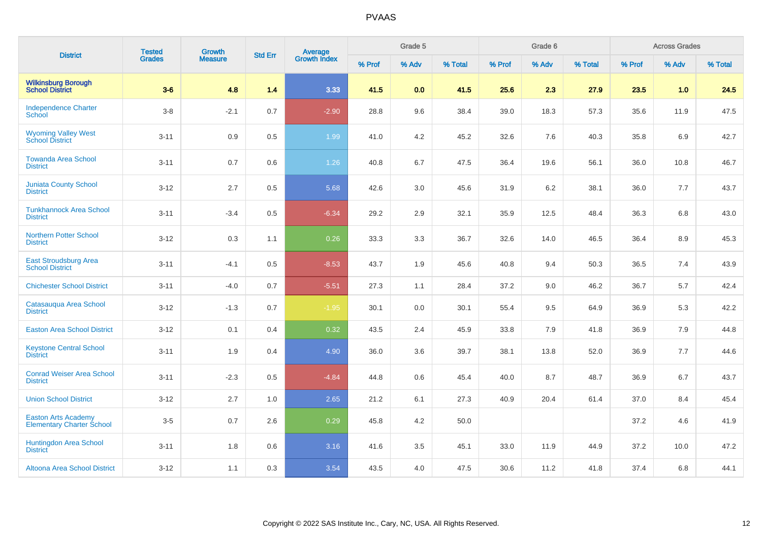| <b>District</b>                                                | <b>Tested</b> | Growth         | <b>Std Err</b> |                                |        | Grade 5 |         |        | Grade 6 |         |        | <b>Across Grades</b> |         |
|----------------------------------------------------------------|---------------|----------------|----------------|--------------------------------|--------|---------|---------|--------|---------|---------|--------|----------------------|---------|
|                                                                | <b>Grades</b> | <b>Measure</b> |                | <b>Average</b><br>Growth Index | % Prof | % Adv   | % Total | % Prof | % Adv   | % Total | % Prof | % Adv                | % Total |
| <b>Wilkinsburg Borough</b><br><b>School District</b>           | $3-6$         | 4.8            | 1.4            | 3.33                           | 41.5   | 0.0     | 41.5    | 25.6   | 2.3     | 27.9    | 23.5   | 1.0                  | 24.5    |
| <b>Independence Charter</b><br>School                          | $3-8$         | $-2.1$         | 0.7            | $-2.90$                        | 28.8   | 9.6     | 38.4    | 39.0   | 18.3    | 57.3    | 35.6   | 11.9                 | 47.5    |
| <b>Wyoming Valley West</b><br>School District                  | $3 - 11$      | 0.9            | 0.5            | 1.99                           | 41.0   | 4.2     | 45.2    | 32.6   | 7.6     | 40.3    | 35.8   | 6.9                  | 42.7    |
| <b>Towanda Area School</b><br><b>District</b>                  | $3 - 11$      | 0.7            | 0.6            | 1.26                           | 40.8   | 6.7     | 47.5    | 36.4   | 19.6    | 56.1    | 36.0   | 10.8                 | 46.7    |
| <b>Juniata County School</b><br><b>District</b>                | $3 - 12$      | 2.7            | 0.5            | 5.68                           | 42.6   | 3.0     | 45.6    | 31.9   | 6.2     | 38.1    | 36.0   | 7.7                  | 43.7    |
| <b>Tunkhannock Area School</b><br><b>District</b>              | $3 - 11$      | $-3.4$         | 0.5            | $-6.34$                        | 29.2   | 2.9     | 32.1    | 35.9   | 12.5    | 48.4    | 36.3   | 6.8                  | 43.0    |
| <b>Northern Potter School</b><br><b>District</b>               | $3 - 12$      | 0.3            | 1.1            | 0.26                           | 33.3   | 3.3     | 36.7    | 32.6   | 14.0    | 46.5    | 36.4   | 8.9                  | 45.3    |
| <b>East Stroudsburg Area</b><br><b>School District</b>         | $3 - 11$      | $-4.1$         | 0.5            | $-8.53$                        | 43.7   | 1.9     | 45.6    | 40.8   | 9.4     | 50.3    | 36.5   | 7.4                  | 43.9    |
| <b>Chichester School District</b>                              | $3 - 11$      | $-4.0$         | 0.7            | $-5.51$                        | 27.3   | 1.1     | 28.4    | 37.2   | 9.0     | 46.2    | 36.7   | 5.7                  | 42.4    |
| Catasauqua Area School<br><b>District</b>                      | $3 - 12$      | $-1.3$         | 0.7            | $-1.95$                        | 30.1   | 0.0     | 30.1    | 55.4   | 9.5     | 64.9    | 36.9   | 5.3                  | 42.2    |
| <b>Easton Area School District</b>                             | $3 - 12$      | 0.1            | 0.4            | 0.32                           | 43.5   | 2.4     | 45.9    | 33.8   | 7.9     | 41.8    | 36.9   | 7.9                  | 44.8    |
| <b>Keystone Central School</b><br><b>District</b>              | $3 - 11$      | 1.9            | 0.4            | 4.90                           | 36.0   | 3.6     | 39.7    | 38.1   | 13.8    | 52.0    | 36.9   | 7.7                  | 44.6    |
| <b>Conrad Weiser Area School</b><br><b>District</b>            | $3 - 11$      | $-2.3$         | 0.5            | $-4.84$                        | 44.8   | 0.6     | 45.4    | 40.0   | 8.7     | 48.7    | 36.9   | 6.7                  | 43.7    |
| <b>Union School District</b>                                   | $3 - 12$      | 2.7            | 1.0            | 2.65                           | 21.2   | 6.1     | 27.3    | 40.9   | 20.4    | 61.4    | 37.0   | 8.4                  | 45.4    |
| <b>Easton Arts Academy</b><br><b>Elementary Charter School</b> | $3-5$         | 0.7            | 2.6            | 0.29                           | 45.8   | 4.2     | 50.0    |        |         |         | 37.2   | 4.6                  | 41.9    |
| <b>Huntingdon Area School</b><br><b>District</b>               | $3 - 11$      | 1.8            | 0.6            | 3.16                           | 41.6   | 3.5     | 45.1    | 33.0   | 11.9    | 44.9    | 37.2   | 10.0                 | 47.2    |
| Altoona Area School District                                   | $3 - 12$      | 1.1            | 0.3            | 3.54                           | 43.5   | 4.0     | 47.5    | 30.6   | 11.2    | 41.8    | 37.4   | 6.8                  | 44.1    |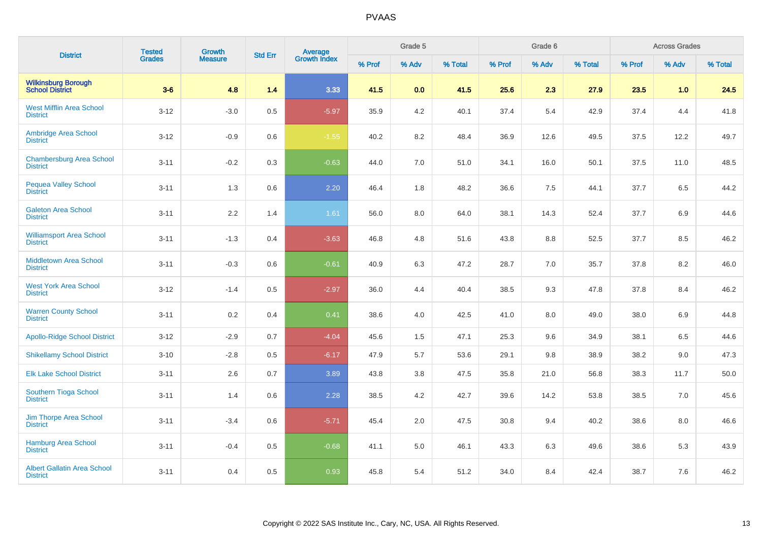| <b>District</b>                                       | <b>Tested</b> | <b>Growth</b>  | <b>Std Err</b> | <b>Average</b><br>Growth Index |        | Grade 5 |         |        | Grade 6 |         |        | <b>Across Grades</b> |         |
|-------------------------------------------------------|---------------|----------------|----------------|--------------------------------|--------|---------|---------|--------|---------|---------|--------|----------------------|---------|
|                                                       | Grades        | <b>Measure</b> |                |                                | % Prof | % Adv   | % Total | % Prof | % Adv   | % Total | % Prof | % Adv                | % Total |
| <b>Wilkinsburg Borough</b><br><b>School District</b>  | $3-6$         | 4.8            | 1.4            | 3.33                           | 41.5   | 0.0     | 41.5    | 25.6   | 2.3     | 27.9    | 23.5   | 1.0                  | 24.5    |
| <b>West Mifflin Area School</b><br><b>District</b>    | $3 - 12$      | $-3.0$         | 0.5            | $-5.97$                        | 35.9   | 4.2     | 40.1    | 37.4   | 5.4     | 42.9    | 37.4   | 4.4                  | 41.8    |
| Ambridge Area School<br><b>District</b>               | $3 - 12$      | $-0.9$         | 0.6            | $-1.55$                        | 40.2   | 8.2     | 48.4    | 36.9   | 12.6    | 49.5    | 37.5   | 12.2                 | 49.7    |
| <b>Chambersburg Area School</b><br><b>District</b>    | $3 - 11$      | $-0.2$         | 0.3            | $-0.63$                        | 44.0   | 7.0     | 51.0    | 34.1   | 16.0    | 50.1    | 37.5   | 11.0                 | 48.5    |
| <b>Pequea Valley School</b><br><b>District</b>        | $3 - 11$      | 1.3            | 0.6            | 2.20                           | 46.4   | 1.8     | 48.2    | 36.6   | 7.5     | 44.1    | 37.7   | 6.5                  | 44.2    |
| <b>Galeton Area School</b><br><b>District</b>         | $3 - 11$      | $2.2\,$        | 1.4            | 1.61                           | 56.0   | 8.0     | 64.0    | 38.1   | 14.3    | 52.4    | 37.7   | 6.9                  | 44.6    |
| <b>Williamsport Area School</b><br><b>District</b>    | $3 - 11$      | $-1.3$         | 0.4            | $-3.63$                        | 46.8   | 4.8     | 51.6    | 43.8   | 8.8     | 52.5    | 37.7   | 8.5                  | 46.2    |
| <b>Middletown Area School</b><br><b>District</b>      | $3 - 11$      | $-0.3$         | 0.6            | $-0.61$                        | 40.9   | 6.3     | 47.2    | 28.7   | 7.0     | 35.7    | 37.8   | 8.2                  | 46.0    |
| <b>West York Area School</b><br><b>District</b>       | $3 - 12$      | $-1.4$         | 0.5            | $-2.97$                        | 36.0   | 4.4     | 40.4    | 38.5   | 9.3     | 47.8    | 37.8   | 8.4                  | 46.2    |
| <b>Warren County School</b><br><b>District</b>        | $3 - 11$      | $0.2\,$        | 0.4            | 0.41                           | 38.6   | 4.0     | 42.5    | 41.0   | 8.0     | 49.0    | 38.0   | 6.9                  | 44.8    |
| <b>Apollo-Ridge School District</b>                   | $3 - 12$      | $-2.9$         | 0.7            | $-4.04$                        | 45.6   | 1.5     | 47.1    | 25.3   | 9.6     | 34.9    | 38.1   | 6.5                  | 44.6    |
| <b>Shikellamy School District</b>                     | $3 - 10$      | $-2.8$         | $0.5\,$        | $-6.17$                        | 47.9   | 5.7     | 53.6    | 29.1   | 9.8     | 38.9    | 38.2   | 9.0                  | 47.3    |
| <b>Elk Lake School District</b>                       | $3 - 11$      | 2.6            | 0.7            | 3.89                           | 43.8   | 3.8     | 47.5    | 35.8   | 21.0    | 56.8    | 38.3   | 11.7                 | 50.0    |
| Southern Tioga School<br><b>District</b>              | $3 - 11$      | 1.4            | 0.6            | 2.28                           | 38.5   | 4.2     | 42.7    | 39.6   | 14.2    | 53.8    | 38.5   | 7.0                  | 45.6    |
| Jim Thorpe Area School<br><b>District</b>             | $3 - 11$      | $-3.4$         | 0.6            | $-5.71$                        | 45.4   | 2.0     | 47.5    | 30.8   | 9.4     | 40.2    | 38.6   | 8.0                  | 46.6    |
| <b>Hamburg Area School</b><br><b>District</b>         | $3 - 11$      | $-0.4$         | 0.5            | $-0.68$                        | 41.1   | 5.0     | 46.1    | 43.3   | 6.3     | 49.6    | 38.6   | 5.3                  | 43.9    |
| <b>Albert Gallatin Area School</b><br><b>District</b> | $3 - 11$      | 0.4            | 0.5            | 0.93                           | 45.8   | 5.4     | 51.2    | 34.0   | 8.4     | 42.4    | 38.7   | 7.6                  | 46.2    |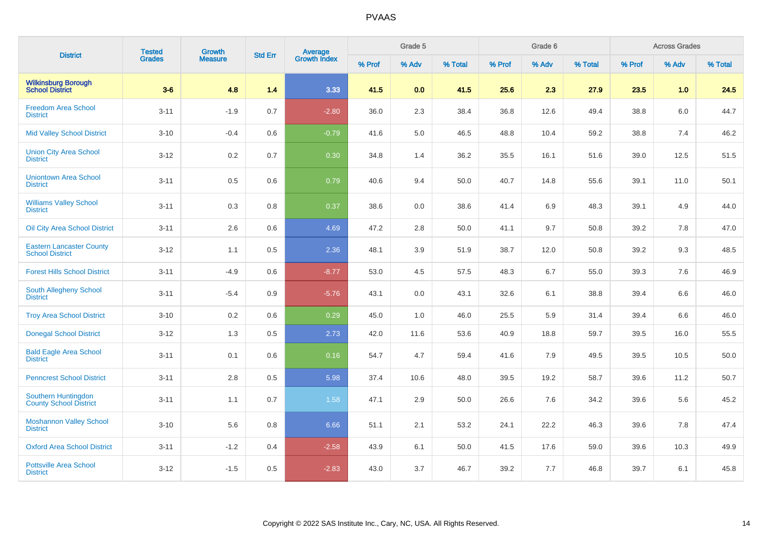| <b>District</b>                                           | <b>Tested</b> | Growth         | <b>Std Err</b> | <b>Average</b><br>Growth Index |        | Grade 5 |         |        | Grade 6 |         |        | <b>Across Grades</b> |         |
|-----------------------------------------------------------|---------------|----------------|----------------|--------------------------------|--------|---------|---------|--------|---------|---------|--------|----------------------|---------|
|                                                           | <b>Grades</b> | <b>Measure</b> |                |                                | % Prof | % Adv   | % Total | % Prof | % Adv   | % Total | % Prof | % Adv                | % Total |
| <b>Wilkinsburg Borough</b><br><b>School District</b>      | $3-6$         | 4.8            | 1.4            | 3.33                           | 41.5   | 0.0     | 41.5    | 25.6   | 2.3     | 27.9    | 23.5   | 1.0                  | 24.5    |
| <b>Freedom Area School</b><br><b>District</b>             | $3 - 11$      | $-1.9$         | 0.7            | $-2.80$                        | 36.0   | 2.3     | 38.4    | 36.8   | 12.6    | 49.4    | 38.8   | 6.0                  | 44.7    |
| <b>Mid Valley School District</b>                         | $3 - 10$      | $-0.4$         | 0.6            | $-0.79$                        | 41.6   | 5.0     | 46.5    | 48.8   | 10.4    | 59.2    | 38.8   | 7.4                  | 46.2    |
| <b>Union City Area School</b><br><b>District</b>          | $3 - 12$      | 0.2            | 0.7            | 0.30                           | 34.8   | 1.4     | 36.2    | 35.5   | 16.1    | 51.6    | 39.0   | 12.5                 | 51.5    |
| <b>Uniontown Area School</b><br><b>District</b>           | $3 - 11$      | 0.5            | 0.6            | 0.79                           | 40.6   | 9.4     | 50.0    | 40.7   | 14.8    | 55.6    | 39.1   | 11.0                 | 50.1    |
| <b>Williams Valley School</b><br><b>District</b>          | $3 - 11$      | 0.3            | 0.8            | 0.37                           | 38.6   | 0.0     | 38.6    | 41.4   | 6.9     | 48.3    | 39.1   | 4.9                  | 44.0    |
| <b>Oil City Area School District</b>                      | $3 - 11$      | 2.6            | 0.6            | 4.69                           | 47.2   | 2.8     | 50.0    | 41.1   | 9.7     | 50.8    | 39.2   | 7.8                  | 47.0    |
| <b>Eastern Lancaster County</b><br><b>School District</b> | $3 - 12$      | 1.1            | 0.5            | 2.36                           | 48.1   | 3.9     | 51.9    | 38.7   | 12.0    | 50.8    | 39.2   | 9.3                  | 48.5    |
| <b>Forest Hills School District</b>                       | $3 - 11$      | $-4.9$         | 0.6            | $-8.77$                        | 53.0   | 4.5     | 57.5    | 48.3   | 6.7     | 55.0    | 39.3   | 7.6                  | 46.9    |
| South Allegheny School<br><b>District</b>                 | $3 - 11$      | $-5.4$         | 0.9            | $-5.76$                        | 43.1   | 0.0     | 43.1    | 32.6   | 6.1     | 38.8    | 39.4   | 6.6                  | 46.0    |
| <b>Troy Area School District</b>                          | $3 - 10$      | 0.2            | 0.6            | 0.29                           | 45.0   | 1.0     | 46.0    | 25.5   | 5.9     | 31.4    | 39.4   | 6.6                  | 46.0    |
| <b>Donegal School District</b>                            | $3 - 12$      | 1.3            | 0.5            | 2.73                           | 42.0   | 11.6    | 53.6    | 40.9   | 18.8    | 59.7    | 39.5   | 16.0                 | 55.5    |
| <b>Bald Eagle Area School</b><br><b>District</b>          | $3 - 11$      | 0.1            | 0.6            | 0.16                           | 54.7   | 4.7     | 59.4    | 41.6   | 7.9     | 49.5    | 39.5   | 10.5                 | 50.0    |
| <b>Penncrest School District</b>                          | $3 - 11$      | 2.8            | 0.5            | 5.98                           | 37.4   | 10.6    | 48.0    | 39.5   | 19.2    | 58.7    | 39.6   | 11.2                 | 50.7    |
| Southern Huntingdon<br>County School District             | $3 - 11$      | 1.1            | 0.7            | 1.58                           | 47.1   | 2.9     | 50.0    | 26.6   | 7.6     | 34.2    | 39.6   | 5.6                  | 45.2    |
| <b>Moshannon Valley School</b><br><b>District</b>         | $3 - 10$      | 5.6            | 0.8            | 6.66                           | 51.1   | 2.1     | 53.2    | 24.1   | 22.2    | 46.3    | 39.6   | 7.8                  | 47.4    |
| <b>Oxford Area School District</b>                        | $3 - 11$      | $-1.2$         | 0.4            | $-2.58$                        | 43.9   | 6.1     | 50.0    | 41.5   | 17.6    | 59.0    | 39.6   | 10.3                 | 49.9    |
| <b>Pottsville Area School</b><br><b>District</b>          | $3 - 12$      | $-1.5$         | 0.5            | $-2.83$                        | 43.0   | 3.7     | 46.7    | 39.2   | 7.7     | 46.8    | 39.7   | 6.1                  | 45.8    |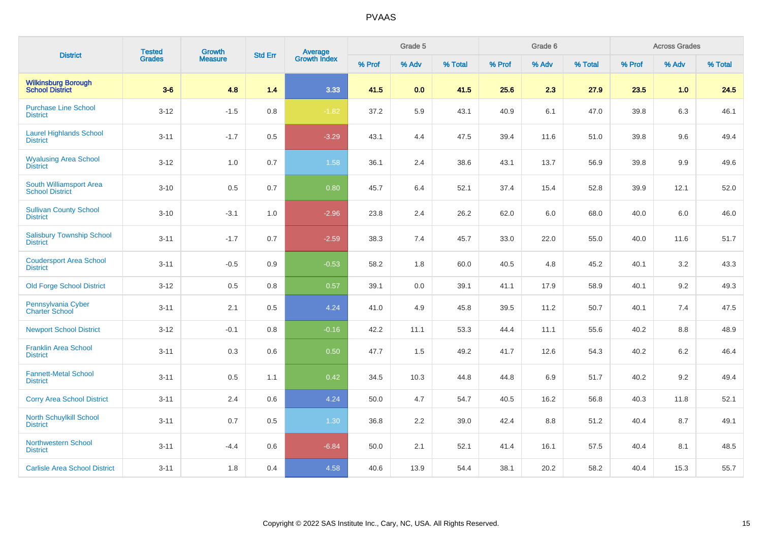| <b>District</b>                                      | <b>Tested</b> | Growth         | <b>Std Err</b> |                         |        | Grade 5 |         |        | Grade 6 |         |        | <b>Across Grades</b> |         |
|------------------------------------------------------|---------------|----------------|----------------|-------------------------|--------|---------|---------|--------|---------|---------|--------|----------------------|---------|
|                                                      | <b>Grades</b> | <b>Measure</b> |                | Average<br>Growth Index | % Prof | % Adv   | % Total | % Prof | % Adv   | % Total | % Prof | % Adv                | % Total |
| <b>Wilkinsburg Borough</b><br><b>School District</b> | $3-6$         | 4.8            | 1.4            | 3.33                    | 41.5   | 0.0     | 41.5    | 25.6   | 2.3     | 27.9    | 23.5   | 1.0                  | 24.5    |
| <b>Purchase Line School</b><br><b>District</b>       | $3 - 12$      | $-1.5$         | 0.8            | $-1.82$                 | 37.2   | 5.9     | 43.1    | 40.9   | 6.1     | 47.0    | 39.8   | 6.3                  | 46.1    |
| <b>Laurel Highlands School</b><br><b>District</b>    | $3 - 11$      | $-1.7$         | 0.5            | $-3.29$                 | 43.1   | 4.4     | 47.5    | 39.4   | 11.6    | 51.0    | 39.8   | 9.6                  | 49.4    |
| <b>Wyalusing Area School</b><br><b>District</b>      | $3-12$        | 1.0            | 0.7            | 1.58                    | 36.1   | 2.4     | 38.6    | 43.1   | 13.7    | 56.9    | 39.8   | 9.9                  | 49.6    |
| South Williamsport Area<br><b>School District</b>    | $3 - 10$      | 0.5            | 0.7            | 0.80                    | 45.7   | 6.4     | 52.1    | 37.4   | 15.4    | 52.8    | 39.9   | 12.1                 | 52.0    |
| <b>Sullivan County School</b><br><b>District</b>     | $3 - 10$      | $-3.1$         | 1.0            | $-2.96$                 | 23.8   | 2.4     | 26.2    | 62.0   | 6.0     | 68.0    | 40.0   | 6.0                  | 46.0    |
| <b>Salisbury Township School</b><br><b>District</b>  | $3 - 11$      | $-1.7$         | 0.7            | $-2.59$                 | 38.3   | 7.4     | 45.7    | 33.0   | 22.0    | 55.0    | 40.0   | 11.6                 | 51.7    |
| <b>Coudersport Area School</b><br><b>District</b>    | $3 - 11$      | $-0.5$         | 0.9            | $-0.53$                 | 58.2   | 1.8     | 60.0    | 40.5   | 4.8     | 45.2    | 40.1   | 3.2                  | 43.3    |
| <b>Old Forge School District</b>                     | $3 - 12$      | 0.5            | 0.8            | 0.57                    | 39.1   | 0.0     | 39.1    | 41.1   | 17.9    | 58.9    | 40.1   | 9.2                  | 49.3    |
| Pennsylvania Cyber<br><b>Charter School</b>          | $3 - 11$      | 2.1            | 0.5            | 4.24                    | 41.0   | 4.9     | 45.8    | 39.5   | 11.2    | 50.7    | 40.1   | 7.4                  | 47.5    |
| <b>Newport School District</b>                       | $3 - 12$      | $-0.1$         | 0.8            | $-0.16$                 | 42.2   | 11.1    | 53.3    | 44.4   | 11.1    | 55.6    | 40.2   | 8.8                  | 48.9    |
| Franklin Area School<br><b>District</b>              | $3 - 11$      | 0.3            | 0.6            | 0.50                    | 47.7   | 1.5     | 49.2    | 41.7   | 12.6    | 54.3    | 40.2   | 6.2                  | 46.4    |
| <b>Fannett-Metal School</b><br><b>District</b>       | $3 - 11$      | 0.5            | 1.1            | 0.42                    | 34.5   | 10.3    | 44.8    | 44.8   | 6.9     | 51.7    | 40.2   | 9.2                  | 49.4    |
| <b>Corry Area School District</b>                    | $3 - 11$      | 2.4            | 0.6            | 4.24                    | 50.0   | 4.7     | 54.7    | 40.5   | 16.2    | 56.8    | 40.3   | 11.8                 | 52.1    |
| North Schuylkill School<br><b>District</b>           | $3 - 11$      | 0.7            | 0.5            | 1.30                    | 36.8   | 2.2     | 39.0    | 42.4   | 8.8     | 51.2    | 40.4   | 8.7                  | 49.1    |
| <b>Northwestern School</b><br><b>District</b>        | $3 - 11$      | $-4.4$         | 0.6            | $-6.84$                 | 50.0   | 2.1     | 52.1    | 41.4   | 16.1    | 57.5    | 40.4   | 8.1                  | 48.5    |
| <b>Carlisle Area School District</b>                 | $3 - 11$      | 1.8            | 0.4            | 4.58                    | 40.6   | 13.9    | 54.4    | 38.1   | 20.2    | 58.2    | 40.4   | 15.3                 | 55.7    |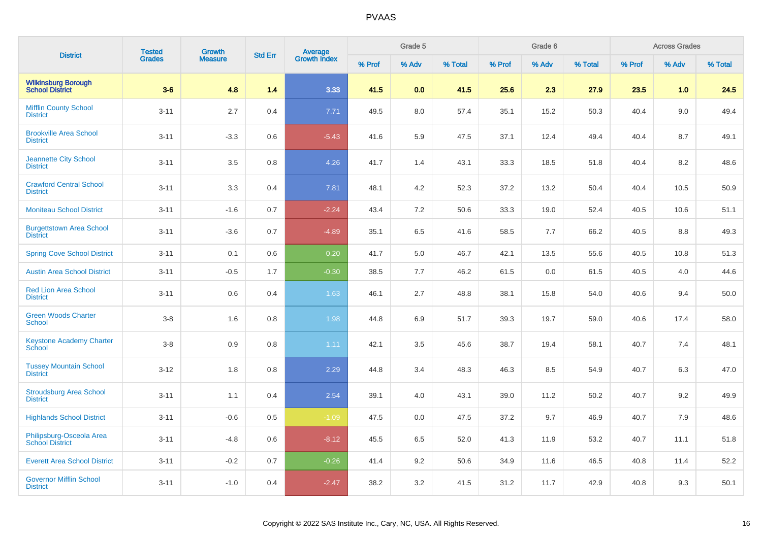| <b>District</b>                                    | <b>Tested</b> | <b>Growth</b>  | <b>Std Err</b> | Average<br>Growth Index |        | Grade 5 |         |        | Grade 6 |         |        | <b>Across Grades</b> |         |
|----------------------------------------------------|---------------|----------------|----------------|-------------------------|--------|---------|---------|--------|---------|---------|--------|----------------------|---------|
|                                                    | <b>Grades</b> | <b>Measure</b> |                |                         | % Prof | % Adv   | % Total | % Prof | % Adv   | % Total | % Prof | % Adv                | % Total |
| <b>Wilkinsburg Borough<br/>School District</b>     | $3-6$         | 4.8            | 1.4            | 3.33                    | 41.5   | 0.0     | 41.5    | 25.6   | 2.3     | 27.9    | 23.5   | 1.0                  | 24.5    |
| <b>Mifflin County School</b><br><b>District</b>    | $3 - 11$      | 2.7            | 0.4            | 7.71                    | 49.5   | 8.0     | 57.4    | 35.1   | 15.2    | 50.3    | 40.4   | 9.0                  | 49.4    |
| <b>Brookville Area School</b><br><b>District</b>   | $3 - 11$      | $-3.3$         | 0.6            | $-5.43$                 | 41.6   | 5.9     | 47.5    | 37.1   | 12.4    | 49.4    | 40.4   | 8.7                  | 49.1    |
| <b>Jeannette City School</b><br><b>District</b>    | $3 - 11$      | $3.5\,$        | 0.8            | 4.26                    | 41.7   | 1.4     | 43.1    | 33.3   | 18.5    | 51.8    | 40.4   | 8.2                  | 48.6    |
| <b>Crawford Central School</b><br><b>District</b>  | $3 - 11$      | 3.3            | 0.4            | 7.81                    | 48.1   | 4.2     | 52.3    | 37.2   | 13.2    | 50.4    | 40.4   | 10.5                 | 50.9    |
| <b>Moniteau School District</b>                    | $3 - 11$      | $-1.6$         | 0.7            | $-2.24$                 | 43.4   | 7.2     | 50.6    | 33.3   | 19.0    | 52.4    | 40.5   | 10.6                 | 51.1    |
| <b>Burgettstown Area School</b><br><b>District</b> | $3 - 11$      | $-3.6$         | 0.7            | $-4.89$                 | 35.1   | 6.5     | 41.6    | 58.5   | 7.7     | 66.2    | 40.5   | 8.8                  | 49.3    |
| <b>Spring Cove School District</b>                 | $3 - 11$      | 0.1            | 0.6            | 0.20                    | 41.7   | 5.0     | 46.7    | 42.1   | 13.5    | 55.6    | 40.5   | 10.8                 | 51.3    |
| <b>Austin Area School District</b>                 | $3 - 11$      | $-0.5$         | 1.7            | $-0.30$                 | 38.5   | 7.7     | 46.2    | 61.5   | 0.0     | 61.5    | 40.5   | 4.0                  | 44.6    |
| <b>Red Lion Area School</b><br><b>District</b>     | $3 - 11$      | $0.6\,$        | 0.4            | 1.63                    | 46.1   | 2.7     | 48.8    | 38.1   | 15.8    | 54.0    | 40.6   | 9.4                  | 50.0    |
| <b>Green Woods Charter</b><br><b>School</b>        | $3 - 8$       | 1.6            | 0.8            | 1.98                    | 44.8   | 6.9     | 51.7    | 39.3   | 19.7    | 59.0    | 40.6   | 17.4                 | 58.0    |
| <b>Keystone Academy Charter</b><br>School          | $3-8$         | 0.9            | 0.8            | 1.11                    | 42.1   | 3.5     | 45.6    | 38.7   | 19.4    | 58.1    | 40.7   | 7.4                  | 48.1    |
| <b>Tussey Mountain School</b><br><b>District</b>   | $3 - 12$      | 1.8            | 0.8            | 2.29                    | 44.8   | 3.4     | 48.3    | 46.3   | 8.5     | 54.9    | 40.7   | 6.3                  | 47.0    |
| <b>Stroudsburg Area School</b><br><b>District</b>  | $3 - 11$      | 1.1            | 0.4            | 2.54                    | 39.1   | 4.0     | 43.1    | 39.0   | 11.2    | 50.2    | 40.7   | 9.2                  | 49.9    |
| <b>Highlands School District</b>                   | $3 - 11$      | $-0.6$         | 0.5            | $-1.09$                 | 47.5   | 0.0     | 47.5    | 37.2   | 9.7     | 46.9    | 40.7   | 7.9                  | 48.6    |
| Philipsburg-Osceola Area<br>School District        | $3 - 11$      | $-4.8$         | 0.6            | $-8.12$                 | 45.5   | 6.5     | 52.0    | 41.3   | 11.9    | 53.2    | 40.7   | 11.1                 | 51.8    |
| <b>Everett Area School District</b>                | $3 - 11$      | $-0.2$         | 0.7            | $-0.26$                 | 41.4   | 9.2     | 50.6    | 34.9   | 11.6    | 46.5    | 40.8   | 11.4                 | 52.2    |
| <b>Governor Mifflin School</b><br><b>District</b>  | $3 - 11$      | $-1.0$         | 0.4            | $-2.47$                 | 38.2   | 3.2     | 41.5    | 31.2   | 11.7    | 42.9    | 40.8   | 9.3                  | 50.1    |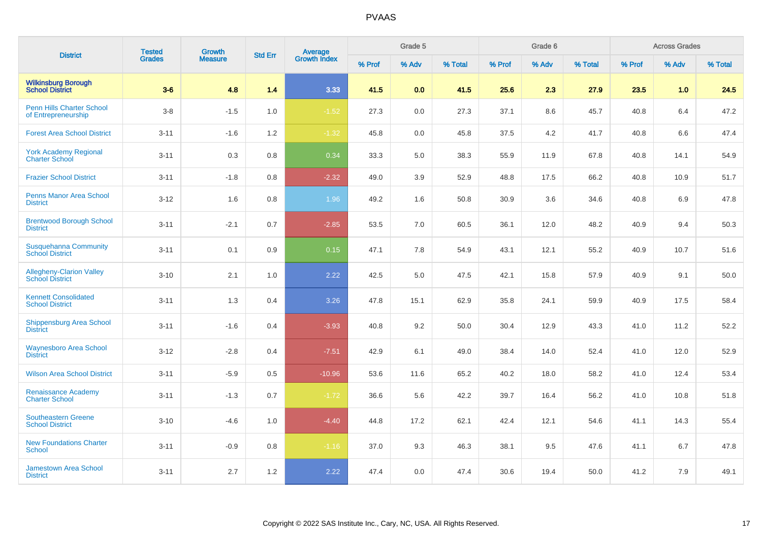| <b>District</b>                                           | <b>Tested</b> | Growth         | <b>Std Err</b> | Average<br>Growth Index |        | Grade 5 |         |        | Grade 6 |         |        | <b>Across Grades</b> |         |
|-----------------------------------------------------------|---------------|----------------|----------------|-------------------------|--------|---------|---------|--------|---------|---------|--------|----------------------|---------|
|                                                           | <b>Grades</b> | <b>Measure</b> |                |                         | % Prof | % Adv   | % Total | % Prof | % Adv   | % Total | % Prof | % Adv                | % Total |
| <b>Wilkinsburg Borough</b><br><b>School District</b>      | $3-6$         | 4.8            | 1.4            | 3.33                    | 41.5   | 0.0     | 41.5    | 25.6   | 2.3     | 27.9    | 23.5   | 1.0                  | 24.5    |
| Penn Hills Charter School<br>of Entrepreneurship          | $3 - 8$       | $-1.5$         | 1.0            | $-1.52$                 | 27.3   | 0.0     | 27.3    | 37.1   | 8.6     | 45.7    | 40.8   | 6.4                  | 47.2    |
| <b>Forest Area School District</b>                        | $3 - 11$      | $-1.6$         | 1.2            | $-1.32$                 | 45.8   | 0.0     | 45.8    | 37.5   | 4.2     | 41.7    | 40.8   | 6.6                  | 47.4    |
| <b>York Academy Regional</b><br><b>Charter School</b>     | $3 - 11$      | 0.3            | 0.8            | 0.34                    | 33.3   | 5.0     | 38.3    | 55.9   | 11.9    | 67.8    | 40.8   | 14.1                 | 54.9    |
| <b>Frazier School District</b>                            | $3 - 11$      | $-1.8$         | 0.8            | $-2.32$                 | 49.0   | 3.9     | 52.9    | 48.8   | 17.5    | 66.2    | 40.8   | 10.9                 | 51.7    |
| <b>Penns Manor Area School</b><br><b>District</b>         | $3 - 12$      | 1.6            | 0.8            | 1.96                    | 49.2   | 1.6     | 50.8    | 30.9   | 3.6     | 34.6    | 40.8   | 6.9                  | 47.8    |
| <b>Brentwood Borough School</b><br><b>District</b>        | $3 - 11$      | $-2.1$         | 0.7            | $-2.85$                 | 53.5   | 7.0     | 60.5    | 36.1   | 12.0    | 48.2    | 40.9   | 9.4                  | 50.3    |
| <b>Susquehanna Community</b><br><b>School District</b>    | $3 - 11$      | 0.1            | 0.9            | 0.15                    | 47.1   | 7.8     | 54.9    | 43.1   | 12.1    | 55.2    | 40.9   | 10.7                 | 51.6    |
| <b>Allegheny-Clarion Valley</b><br><b>School District</b> | $3 - 10$      | 2.1            | 1.0            | 2.22                    | 42.5   | 5.0     | 47.5    | 42.1   | 15.8    | 57.9    | 40.9   | 9.1                  | 50.0    |
| <b>Kennett Consolidated</b><br><b>School District</b>     | $3 - 11$      | 1.3            | 0.4            | 3.26                    | 47.8   | 15.1    | 62.9    | 35.8   | 24.1    | 59.9    | 40.9   | 17.5                 | 58.4    |
| Shippensburg Area School<br><b>District</b>               | $3 - 11$      | $-1.6$         | 0.4            | $-3.93$                 | 40.8   | 9.2     | 50.0    | 30.4   | 12.9    | 43.3    | 41.0   | 11.2                 | 52.2    |
| <b>Waynesboro Area School</b><br><b>District</b>          | $3 - 12$      | $-2.8$         | 0.4            | $-7.51$                 | 42.9   | 6.1     | 49.0    | 38.4   | 14.0    | 52.4    | 41.0   | 12.0                 | 52.9    |
| <b>Wilson Area School District</b>                        | $3 - 11$      | $-5.9$         | 0.5            | $-10.96$                | 53.6   | 11.6    | 65.2    | 40.2   | 18.0    | 58.2    | 41.0   | 12.4                 | 53.4    |
| <b>Renaissance Academy</b><br><b>Charter School</b>       | $3 - 11$      | $-1.3$         | 0.7            | $-1.72$                 | 36.6   | 5.6     | 42.2    | 39.7   | 16.4    | 56.2    | 41.0   | 10.8                 | 51.8    |
| <b>Southeastern Greene</b><br><b>School District</b>      | $3 - 10$      | $-4.6$         | 1.0            | $-4.40$                 | 44.8   | 17.2    | 62.1    | 42.4   | 12.1    | 54.6    | 41.1   | 14.3                 | 55.4    |
| <b>New Foundations Charter</b><br>School                  | $3 - 11$      | $-0.9$         | 0.8            | $-1.16$                 | 37.0   | 9.3     | 46.3    | 38.1   | 9.5     | 47.6    | 41.1   | 6.7                  | 47.8    |
| <b>Jamestown Area School</b><br><b>District</b>           | $3 - 11$      | 2.7            | 1.2            | 2.22                    | 47.4   | 0.0     | 47.4    | 30.6   | 19.4    | 50.0    | 41.2   | 7.9                  | 49.1    |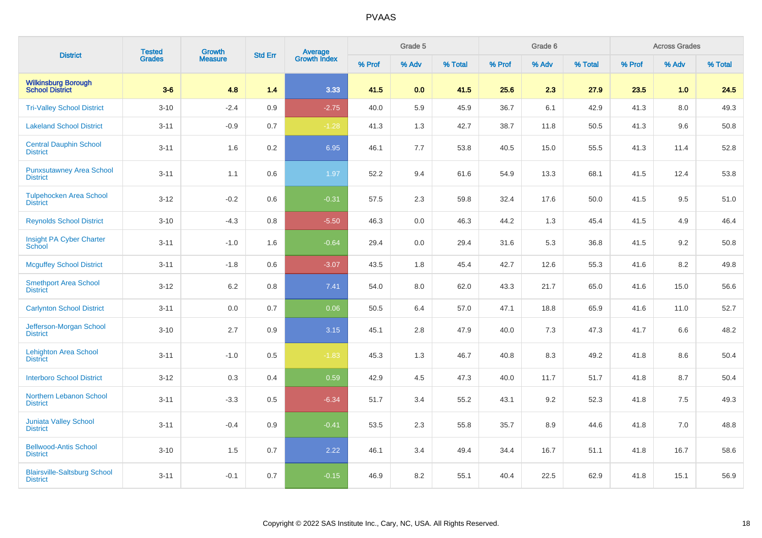| <b>District</b>                                        | <b>Tested</b> | Growth         | <b>Std Err</b> |                                |        | Grade 5 |         |        | Grade 6 |         |        | <b>Across Grades</b> |         |
|--------------------------------------------------------|---------------|----------------|----------------|--------------------------------|--------|---------|---------|--------|---------|---------|--------|----------------------|---------|
|                                                        | <b>Grades</b> | <b>Measure</b> |                | <b>Average</b><br>Growth Index | % Prof | % Adv   | % Total | % Prof | % Adv   | % Total | % Prof | % Adv                | % Total |
| <b>Wilkinsburg Borough<br/>School District</b>         | $3-6$         | 4.8            | 1.4            | 3.33                           | 41.5   | 0.0     | 41.5    | 25.6   | 2.3     | 27.9    | 23.5   | 1.0                  | 24.5    |
| <b>Tri-Valley School District</b>                      | $3 - 10$      | $-2.4$         | 0.9            | $-2.75$                        | 40.0   | 5.9     | 45.9    | 36.7   | 6.1     | 42.9    | 41.3   | 8.0                  | 49.3    |
| <b>Lakeland School District</b>                        | $3 - 11$      | $-0.9$         | 0.7            | $-1.28$                        | 41.3   | 1.3     | 42.7    | 38.7   | 11.8    | 50.5    | 41.3   | 9.6                  | 50.8    |
| <b>Central Dauphin School</b><br><b>District</b>       | $3 - 11$      | 1.6            | 0.2            | 6.95                           | 46.1   | 7.7     | 53.8    | 40.5   | 15.0    | 55.5    | 41.3   | 11.4                 | 52.8    |
| <b>Punxsutawney Area School</b><br><b>District</b>     | $3 - 11$      | 1.1            | 0.6            | 1.97                           | 52.2   | 9.4     | 61.6    | 54.9   | 13.3    | 68.1    | 41.5   | 12.4                 | 53.8    |
| <b>Tulpehocken Area School</b><br><b>District</b>      | $3 - 12$      | $-0.2$         | 0.6            | $-0.31$                        | 57.5   | 2.3     | 59.8    | 32.4   | 17.6    | 50.0    | 41.5   | 9.5                  | 51.0    |
| <b>Reynolds School District</b>                        | $3 - 10$      | $-4.3$         | 0.8            | $-5.50$                        | 46.3   | 0.0     | 46.3    | 44.2   | 1.3     | 45.4    | 41.5   | 4.9                  | 46.4    |
| Insight PA Cyber Charter<br>School                     | $3 - 11$      | $-1.0$         | 1.6            | $-0.64$                        | 29.4   | 0.0     | 29.4    | 31.6   | 5.3     | 36.8    | 41.5   | 9.2                  | 50.8    |
| <b>Mcguffey School District</b>                        | $3 - 11$      | $-1.8$         | 0.6            | $-3.07$                        | 43.5   | 1.8     | 45.4    | 42.7   | 12.6    | 55.3    | 41.6   | 8.2                  | 49.8    |
| <b>Smethport Area School</b><br><b>District</b>        | $3 - 12$      | 6.2            | 0.8            | 7.41                           | 54.0   | 8.0     | 62.0    | 43.3   | 21.7    | 65.0    | 41.6   | 15.0                 | 56.6    |
| <b>Carlynton School District</b>                       | $3 - 11$      | 0.0            | 0.7            | 0.06                           | 50.5   | 6.4     | 57.0    | 47.1   | 18.8    | 65.9    | 41.6   | 11.0                 | 52.7    |
| Jefferson-Morgan School<br><b>District</b>             | $3 - 10$      | 2.7            | 0.9            | 3.15                           | 45.1   | 2.8     | 47.9    | 40.0   | 7.3     | 47.3    | 41.7   | 6.6                  | 48.2    |
| <b>Lehighton Area School</b><br><b>District</b>        | $3 - 11$      | $-1.0$         | 0.5            | $-1.83$                        | 45.3   | 1.3     | 46.7    | 40.8   | 8.3     | 49.2    | 41.8   | 8.6                  | 50.4    |
| <b>Interboro School District</b>                       | $3 - 12$      | 0.3            | 0.4            | 0.59                           | 42.9   | 4.5     | 47.3    | 40.0   | 11.7    | 51.7    | 41.8   | $8.7\,$              | 50.4    |
| Northern Lebanon School<br><b>District</b>             | $3 - 11$      | $-3.3$         | 0.5            | $-6.34$                        | 51.7   | 3.4     | 55.2    | 43.1   | 9.2     | 52.3    | 41.8   | 7.5                  | 49.3    |
| <b>Juniata Valley School</b><br><b>District</b>        | $3 - 11$      | $-0.4$         | 0.9            | $-0.41$                        | 53.5   | 2.3     | 55.8    | 35.7   | 8.9     | 44.6    | 41.8   | 7.0                  | 48.8    |
| <b>Bellwood-Antis School</b><br><b>District</b>        | $3 - 10$      | 1.5            | 0.7            | 2.22                           | 46.1   | 3.4     | 49.4    | 34.4   | 16.7    | 51.1    | 41.8   | 16.7                 | 58.6    |
| <b>Blairsville-Saltsburg School</b><br><b>District</b> | $3 - 11$      | $-0.1$         | 0.7            | $-0.15$                        | 46.9   | 8.2     | 55.1    | 40.4   | 22.5    | 62.9    | 41.8   | 15.1                 | 56.9    |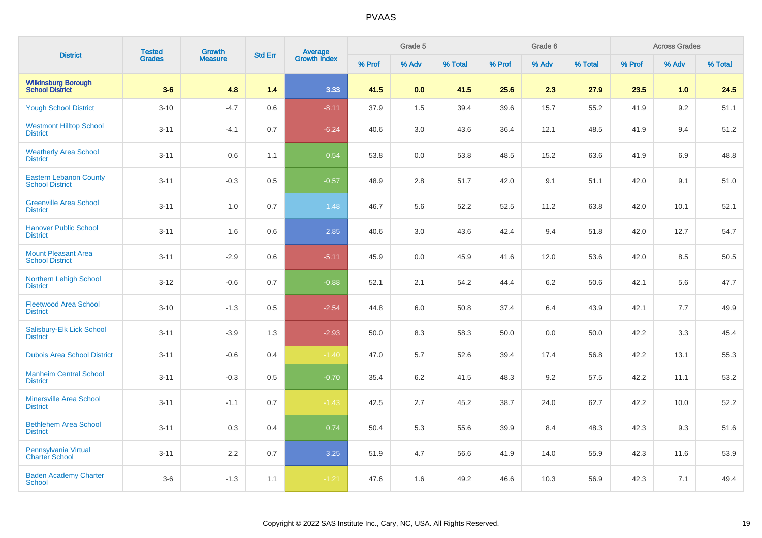| <b>District</b>                                         | <b>Tested</b> | <b>Growth</b>  | <b>Std Err</b> |                                |        | Grade 5 |         |        | Grade 6 |         |        | <b>Across Grades</b> |         |
|---------------------------------------------------------|---------------|----------------|----------------|--------------------------------|--------|---------|---------|--------|---------|---------|--------|----------------------|---------|
|                                                         | <b>Grades</b> | <b>Measure</b> |                | <b>Average</b><br>Growth Index | % Prof | % Adv   | % Total | % Prof | % Adv   | % Total | % Prof | % Adv                | % Total |
| <b>Wilkinsburg Borough</b><br>School District           | $3-6$         | 4.8            | 1.4            | 3.33                           | 41.5   | 0.0     | 41.5    | 25.6   | 2.3     | 27.9    | 23.5   | 1.0                  | 24.5    |
| <b>Yough School District</b>                            | $3 - 10$      | $-4.7$         | 0.6            | $-8.11$                        | 37.9   | 1.5     | 39.4    | 39.6   | 15.7    | 55.2    | 41.9   | 9.2                  | 51.1    |
| <b>Westmont Hilltop School</b><br><b>District</b>       | $3 - 11$      | $-4.1$         | 0.7            | $-6.24$                        | 40.6   | 3.0     | 43.6    | 36.4   | 12.1    | 48.5    | 41.9   | 9.4                  | 51.2    |
| <b>Weatherly Area School</b><br><b>District</b>         | $3 - 11$      | 0.6            | 1.1            | 0.54                           | 53.8   | 0.0     | 53.8    | 48.5   | 15.2    | 63.6    | 41.9   | 6.9                  | 48.8    |
| <b>Eastern Lebanon County</b><br><b>School District</b> | $3 - 11$      | $-0.3$         | 0.5            | $-0.57$                        | 48.9   | 2.8     | 51.7    | 42.0   | 9.1     | 51.1    | 42.0   | 9.1                  | 51.0    |
| <b>Greenville Area School</b><br><b>District</b>        | $3 - 11$      | 1.0            | 0.7            | 1.48                           | 46.7   | 5.6     | 52.2    | 52.5   | 11.2    | 63.8    | 42.0   | 10.1                 | 52.1    |
| <b>Hanover Public School</b><br><b>District</b>         | $3 - 11$      | 1.6            | 0.6            | 2.85                           | 40.6   | 3.0     | 43.6    | 42.4   | 9.4     | 51.8    | 42.0   | 12.7                 | 54.7    |
| <b>Mount Pleasant Area</b><br><b>School District</b>    | $3 - 11$      | $-2.9$         | 0.6            | $-5.11$                        | 45.9   | 0.0     | 45.9    | 41.6   | 12.0    | 53.6    | 42.0   | 8.5                  | 50.5    |
| <b>Northern Lehigh School</b><br><b>District</b>        | $3 - 12$      | $-0.6$         | 0.7            | $-0.88$                        | 52.1   | 2.1     | 54.2    | 44.4   | 6.2     | 50.6    | 42.1   | 5.6                  | 47.7    |
| <b>Fleetwood Area School</b><br><b>District</b>         | $3 - 10$      | $-1.3$         | 0.5            | $-2.54$                        | 44.8   | 6.0     | 50.8    | 37.4   | 6.4     | 43.9    | 42.1   | 7.7                  | 49.9    |
| Salisbury-Elk Lick School<br><b>District</b>            | $3 - 11$      | $-3.9$         | 1.3            | $-2.93$                        | 50.0   | 8.3     | 58.3    | 50.0   | 0.0     | 50.0    | 42.2   | 3.3                  | 45.4    |
| <b>Dubois Area School District</b>                      | $3 - 11$      | $-0.6$         | 0.4            | $-1.40$                        | 47.0   | 5.7     | 52.6    | 39.4   | 17.4    | 56.8    | 42.2   | 13.1                 | 55.3    |
| <b>Manheim Central School</b><br><b>District</b>        | $3 - 11$      | $-0.3$         | 0.5            | $-0.70$                        | 35.4   | 6.2     | 41.5    | 48.3   | 9.2     | 57.5    | 42.2   | 11.1                 | 53.2    |
| <b>Minersville Area School</b><br><b>District</b>       | $3 - 11$      | $-1.1$         | 0.7            | $-1.43$                        | 42.5   | 2.7     | 45.2    | 38.7   | 24.0    | 62.7    | 42.2   | 10.0                 | 52.2    |
| <b>Bethlehem Area School</b><br><b>District</b>         | $3 - 11$      | 0.3            | 0.4            | 0.74                           | 50.4   | 5.3     | 55.6    | 39.9   | 8.4     | 48.3    | 42.3   | 9.3                  | 51.6    |
| Pennsylvania Virtual<br><b>Charter School</b>           | $3 - 11$      | $2.2\,$        | 0.7            | 3.25                           | 51.9   | 4.7     | 56.6    | 41.9   | 14.0    | 55.9    | 42.3   | 11.6                 | 53.9    |
| <b>Baden Academy Charter</b><br><b>School</b>           | $3-6$         | $-1.3$         | 1.1            | $-1.21$                        | 47.6   | 1.6     | 49.2    | 46.6   | 10.3    | 56.9    | 42.3   | 7.1                  | 49.4    |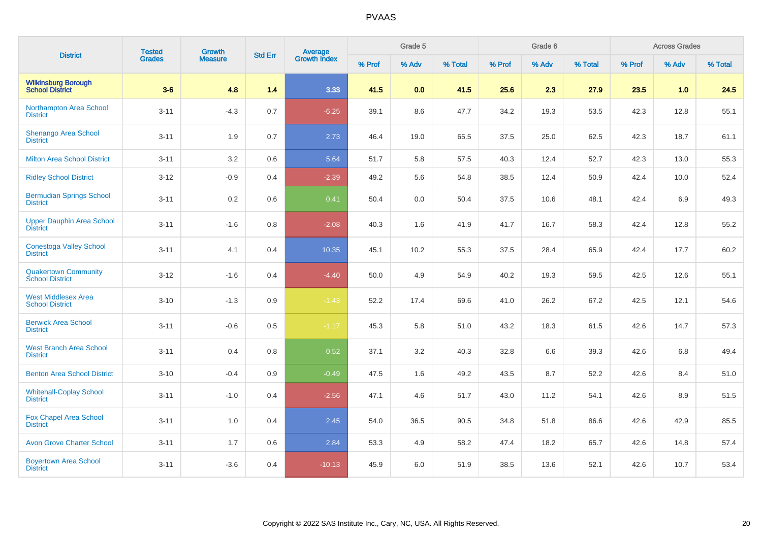| <b>District</b>                                       | <b>Tested</b> | <b>Growth</b>  | <b>Std Err</b> | <b>Average</b><br>Growth Index |        | Grade 5 |         |        | Grade 6 |         |        | <b>Across Grades</b> |         |
|-------------------------------------------------------|---------------|----------------|----------------|--------------------------------|--------|---------|---------|--------|---------|---------|--------|----------------------|---------|
|                                                       | <b>Grades</b> | <b>Measure</b> |                |                                | % Prof | % Adv   | % Total | % Prof | % Adv   | % Total | % Prof | % Adv                | % Total |
| <b>Wilkinsburg Borough</b><br><b>School District</b>  | $3-6$         | 4.8            | 1.4            | 3.33                           | 41.5   | 0.0     | 41.5    | 25.6   | 2.3     | 27.9    | 23.5   | 1.0                  | 24.5    |
| Northampton Area School<br><b>District</b>            | $3 - 11$      | $-4.3$         | 0.7            | $-6.25$                        | 39.1   | 8.6     | 47.7    | 34.2   | 19.3    | 53.5    | 42.3   | 12.8                 | 55.1    |
| <b>Shenango Area School</b><br><b>District</b>        | $3 - 11$      | 1.9            | 0.7            | 2.73                           | 46.4   | 19.0    | 65.5    | 37.5   | 25.0    | 62.5    | 42.3   | 18.7                 | 61.1    |
| <b>Milton Area School District</b>                    | $3 - 11$      | 3.2            | 0.6            | 5.64                           | 51.7   | 5.8     | 57.5    | 40.3   | 12.4    | 52.7    | 42.3   | 13.0                 | 55.3    |
| <b>Ridley School District</b>                         | $3 - 12$      | $-0.9$         | 0.4            | $-2.39$                        | 49.2   | 5.6     | 54.8    | 38.5   | 12.4    | 50.9    | 42.4   | 10.0                 | 52.4    |
| <b>Bermudian Springs School</b><br><b>District</b>    | $3 - 11$      | 0.2            | 0.6            | 0.41                           | 50.4   | 0.0     | 50.4    | 37.5   | 10.6    | 48.1    | 42.4   | 6.9                  | 49.3    |
| <b>Upper Dauphin Area School</b><br><b>District</b>   | $3 - 11$      | $-1.6$         | 0.8            | $-2.08$                        | 40.3   | 1.6     | 41.9    | 41.7   | 16.7    | 58.3    | 42.4   | 12.8                 | 55.2    |
| <b>Conestoga Valley School</b><br><b>District</b>     | $3 - 11$      | 4.1            | 0.4            | 10.35                          | 45.1   | 10.2    | 55.3    | 37.5   | 28.4    | 65.9    | 42.4   | 17.7                 | 60.2    |
| <b>Quakertown Community</b><br><b>School District</b> | $3 - 12$      | $-1.6$         | 0.4            | $-4.40$                        | 50.0   | 4.9     | 54.9    | 40.2   | 19.3    | 59.5    | 42.5   | 12.6                 | 55.1    |
| <b>West Middlesex Area</b><br><b>School District</b>  | $3 - 10$      | $-1.3$         | 0.9            | $-1.43$                        | 52.2   | 17.4    | 69.6    | 41.0   | 26.2    | 67.2    | 42.5   | 12.1                 | 54.6    |
| <b>Berwick Area School</b><br><b>District</b>         | $3 - 11$      | $-0.6$         | 0.5            | $-1.17$                        | 45.3   | 5.8     | 51.0    | 43.2   | 18.3    | 61.5    | 42.6   | 14.7                 | 57.3    |
| <b>West Branch Area School</b><br><b>District</b>     | $3 - 11$      | 0.4            | 0.8            | 0.52                           | 37.1   | 3.2     | 40.3    | 32.8   | 6.6     | 39.3    | 42.6   | 6.8                  | 49.4    |
| <b>Benton Area School District</b>                    | $3 - 10$      | $-0.4$         | 0.9            | $-0.49$                        | 47.5   | 1.6     | 49.2    | 43.5   | 8.7     | 52.2    | 42.6   | 8.4                  | 51.0    |
| <b>Whitehall-Coplay School</b><br><b>District</b>     | $3 - 11$      | $-1.0$         | 0.4            | $-2.56$                        | 47.1   | 4.6     | 51.7    | 43.0   | 11.2    | 54.1    | 42.6   | 8.9                  | 51.5    |
| <b>Fox Chapel Area School</b><br><b>District</b>      | $3 - 11$      | 1.0            | 0.4            | 2.45                           | 54.0   | 36.5    | 90.5    | 34.8   | 51.8    | 86.6    | 42.6   | 42.9                 | 85.5    |
| <b>Avon Grove Charter School</b>                      | $3 - 11$      | 1.7            | 0.6            | 2.84                           | 53.3   | 4.9     | 58.2    | 47.4   | 18.2    | 65.7    | 42.6   | 14.8                 | 57.4    |
| <b>Boyertown Area School</b><br><b>District</b>       | $3 - 11$      | $-3.6$         | 0.4            | $-10.13$                       | 45.9   | 6.0     | 51.9    | 38.5   | 13.6    | 52.1    | 42.6   | 10.7                 | 53.4    |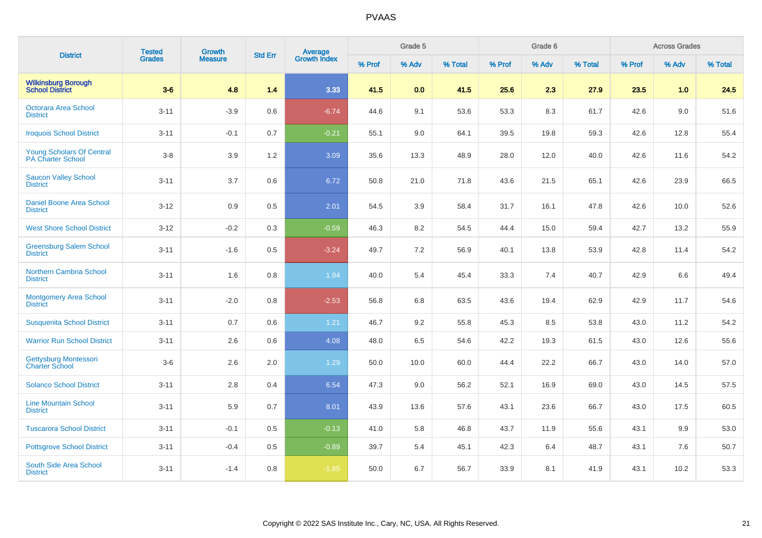| <b>District</b>                                      | <b>Tested</b> | <b>Growth</b>  | <b>Std Err</b> | <b>Average</b><br>Growth Index |        | Grade 5 |         |        | Grade 6 |         |        | <b>Across Grades</b> |         |
|------------------------------------------------------|---------------|----------------|----------------|--------------------------------|--------|---------|---------|--------|---------|---------|--------|----------------------|---------|
|                                                      | <b>Grades</b> | <b>Measure</b> |                |                                | % Prof | % Adv   | % Total | % Prof | % Adv   | % Total | % Prof | % Adv                | % Total |
| <b>Wilkinsburg Borough</b><br><b>School District</b> | $3-6$         | 4.8            | 1.4            | 3.33                           | 41.5   | 0.0     | 41.5    | 25.6   | 2.3     | 27.9    | 23.5   | 1.0                  | 24.5    |
| <b>Octorara Area School</b><br><b>District</b>       | $3 - 11$      | $-3.9$         | 0.6            | $-6.74$                        | 44.6   | 9.1     | 53.6    | 53.3   | 8.3     | 61.7    | 42.6   | 9.0                  | 51.6    |
| <b>Iroquois School District</b>                      | $3 - 11$      | $-0.1$         | 0.7            | $-0.21$                        | 55.1   | 9.0     | 64.1    | 39.5   | 19.8    | 59.3    | 42.6   | 12.8                 | 55.4    |
| Young Scholars Of Central<br>PA Charter School       | $3-8$         | 3.9            | 1.2            | 3.09                           | 35.6   | 13.3    | 48.9    | 28.0   | 12.0    | 40.0    | 42.6   | 11.6                 | 54.2    |
| <b>Saucon Valley School</b><br><b>District</b>       | $3 - 11$      | 3.7            | 0.6            | 6.72                           | 50.8   | 21.0    | 71.8    | 43.6   | 21.5    | 65.1    | 42.6   | 23.9                 | 66.5    |
| <b>Daniel Boone Area School</b><br><b>District</b>   | $3 - 12$      | 0.9            | 0.5            | 2.01                           | 54.5   | 3.9     | 58.4    | 31.7   | 16.1    | 47.8    | 42.6   | 10.0                 | 52.6    |
| <b>West Shore School District</b>                    | $3 - 12$      | $-0.2$         | 0.3            | $-0.59$                        | 46.3   | 8.2     | 54.5    | 44.4   | 15.0    | 59.4    | 42.7   | 13.2                 | 55.9    |
| <b>Greensburg Salem School</b><br><b>District</b>    | $3 - 11$      | $-1.6$         | 0.5            | $-3.24$                        | 49.7   | 7.2     | 56.9    | 40.1   | 13.8    | 53.9    | 42.8   | 11.4                 | 54.2    |
| <b>Northern Cambria School</b><br><b>District</b>    | $3 - 11$      | 1.6            | 0.8            | 1.94                           | 40.0   | 5.4     | 45.4    | 33.3   | 7.4     | 40.7    | 42.9   | 6.6                  | 49.4    |
| <b>Montgomery Area School</b><br><b>District</b>     | $3 - 11$      | $-2.0$         | 0.8            | $-2.53$                        | 56.8   | 6.8     | 63.5    | 43.6   | 19.4    | 62.9    | 42.9   | 11.7                 | 54.6    |
| <b>Susquenita School District</b>                    | $3 - 11$      | 0.7            | 0.6            | 1.21                           | 46.7   | 9.2     | 55.8    | 45.3   | 8.5     | 53.8    | 43.0   | 11.2                 | 54.2    |
| <b>Warrior Run School District</b>                   | $3 - 11$      | 2.6            | 0.6            | 4.08                           | 48.0   | 6.5     | 54.6    | 42.2   | 19.3    | 61.5    | 43.0   | 12.6                 | 55.6    |
| Gettysburg Montessori<br><b>Charter School</b>       | $3-6$         | 2.6            | 2.0            | 1.29                           | 50.0   | 10.0    | 60.0    | 44.4   | 22.2    | 66.7    | 43.0   | 14.0                 | 57.0    |
| <b>Solanco School District</b>                       | $3 - 11$      | $2.8\,$        | 0.4            | 6.54                           | 47.3   | 9.0     | 56.2    | 52.1   | 16.9    | 69.0    | 43.0   | 14.5                 | 57.5    |
| <b>Line Mountain School</b><br><b>District</b>       | $3 - 11$      | 5.9            | 0.7            | 8.01                           | 43.9   | 13.6    | 57.6    | 43.1   | 23.6    | 66.7    | 43.0   | 17.5                 | 60.5    |
| <b>Tuscarora School District</b>                     | $3 - 11$      | $-0.1$         | 0.5            | $-0.13$                        | 41.0   | 5.8     | 46.8    | 43.7   | 11.9    | 55.6    | 43.1   | 9.9                  | 53.0    |
| <b>Pottsgrove School District</b>                    | $3 - 11$      | $-0.4$         | 0.5            | $-0.89$                        | 39.7   | 5.4     | 45.1    | 42.3   | 6.4     | 48.7    | 43.1   | 7.6                  | 50.7    |
| <b>South Side Area School</b><br><b>District</b>     | $3 - 11$      | $-1.4$         | 0.8            | $-1.85$                        | 50.0   | 6.7     | 56.7    | 33.9   | 8.1     | 41.9    | 43.1   | 10.2                 | 53.3    |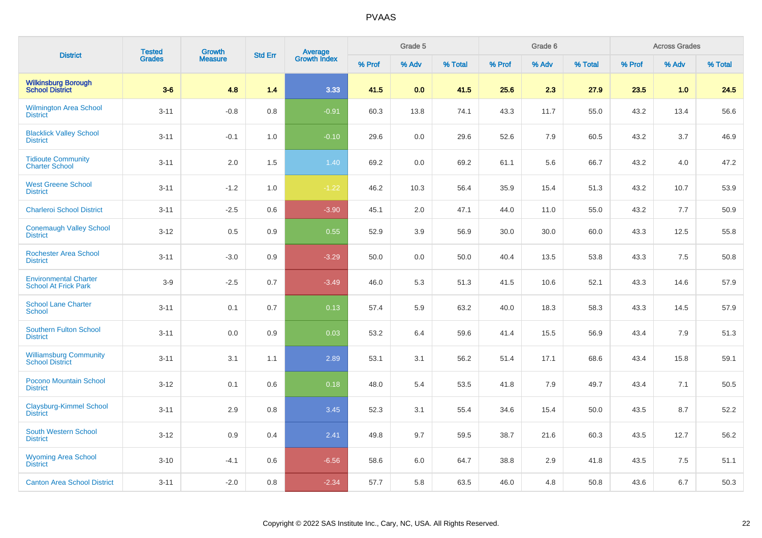|                                                             | <b>Tested</b> | <b>Growth</b>  |                |                                |        | Grade 5 |         |        | Grade 6 |         |        | <b>Across Grades</b> |         |
|-------------------------------------------------------------|---------------|----------------|----------------|--------------------------------|--------|---------|---------|--------|---------|---------|--------|----------------------|---------|
| <b>District</b>                                             | <b>Grades</b> | <b>Measure</b> | <b>Std Err</b> | <b>Average</b><br>Growth Index | % Prof | % Adv   | % Total | % Prof | % Adv   | % Total | % Prof | % Adv                | % Total |
| <b>Wilkinsburg Borough</b><br><b>School District</b>        | $3-6$         | 4.8            | 1.4            | 3.33                           | 41.5   | 0.0     | 41.5    | 25.6   | 2.3     | 27.9    | 23.5   | 1.0                  | 24.5    |
| <b>Wilmington Area School</b><br><b>District</b>            | $3 - 11$      | $-0.8$         | 0.8            | $-0.91$                        | 60.3   | 13.8    | 74.1    | 43.3   | 11.7    | 55.0    | 43.2   | 13.4                 | 56.6    |
| <b>Blacklick Valley School</b><br><b>District</b>           | $3 - 11$      | $-0.1$         | 1.0            | $-0.10$                        | 29.6   | 0.0     | 29.6    | 52.6   | 7.9     | 60.5    | 43.2   | 3.7                  | 46.9    |
| <b>Tidioute Community</b><br><b>Charter School</b>          | $3 - 11$      | 2.0            | 1.5            | 1.40                           | 69.2   | 0.0     | 69.2    | 61.1   | 5.6     | 66.7    | 43.2   | 4.0                  | 47.2    |
| <b>West Greene School</b><br><b>District</b>                | $3 - 11$      | $-1.2$         | 1.0            | $-1.22$                        | 46.2   | 10.3    | 56.4    | 35.9   | 15.4    | 51.3    | 43.2   | 10.7                 | 53.9    |
| <b>Charleroi School District</b>                            | $3 - 11$      | $-2.5$         | 0.6            | $-3.90$                        | 45.1   | 2.0     | 47.1    | 44.0   | 11.0    | 55.0    | 43.2   | 7.7                  | 50.9    |
| <b>Conemaugh Valley School</b><br><b>District</b>           | $3 - 12$      | 0.5            | 0.9            | 0.55                           | 52.9   | 3.9     | 56.9    | 30.0   | 30.0    | 60.0    | 43.3   | 12.5                 | 55.8    |
| <b>Rochester Area School</b><br><b>District</b>             | $3 - 11$      | $-3.0$         | 0.9            | $-3.29$                        | 50.0   | 0.0     | 50.0    | 40.4   | 13.5    | 53.8    | 43.3   | 7.5                  | 50.8    |
| <b>Environmental Charter</b><br><b>School At Frick Park</b> | $3-9$         | $-2.5$         | 0.7            | $-3.49$                        | 46.0   | 5.3     | 51.3    | 41.5   | 10.6    | 52.1    | 43.3   | 14.6                 | 57.9    |
| <b>School Lane Charter</b><br><b>School</b>                 | $3 - 11$      | 0.1            | 0.7            | 0.13                           | 57.4   | 5.9     | 63.2    | 40.0   | 18.3    | 58.3    | 43.3   | 14.5                 | 57.9    |
| <b>Southern Fulton School</b><br><b>District</b>            | $3 - 11$      | 0.0            | 0.9            | 0.03                           | 53.2   | 6.4     | 59.6    | 41.4   | 15.5    | 56.9    | 43.4   | 7.9                  | 51.3    |
| <b>Williamsburg Community</b><br><b>School District</b>     | $3 - 11$      | 3.1            | 1.1            | 2.89                           | 53.1   | 3.1     | 56.2    | 51.4   | 17.1    | 68.6    | 43.4   | 15.8                 | 59.1    |
| Pocono Mountain School<br><b>District</b>                   | $3 - 12$      | 0.1            | 0.6            | 0.18                           | 48.0   | 5.4     | 53.5    | 41.8   | 7.9     | 49.7    | 43.4   | 7.1                  | 50.5    |
| <b>Claysburg-Kimmel School</b><br><b>District</b>           | $3 - 11$      | 2.9            | 0.8            | 3.45                           | 52.3   | 3.1     | 55.4    | 34.6   | 15.4    | 50.0    | 43.5   | 8.7                  | 52.2    |
| <b>South Western School</b><br><b>District</b>              | $3-12$        | 0.9            | 0.4            | 2.41                           | 49.8   | 9.7     | 59.5    | 38.7   | 21.6    | 60.3    | 43.5   | 12.7                 | 56.2    |
| <b>Wyoming Area School</b><br><b>District</b>               | $3 - 10$      | $-4.1$         | 0.6            | $-6.56$                        | 58.6   | 6.0     | 64.7    | 38.8   | 2.9     | 41.8    | 43.5   | 7.5                  | 51.1    |
| <b>Canton Area School District</b>                          | $3 - 11$      | $-2.0$         | 0.8            | $-2.34$                        | 57.7   | 5.8     | 63.5    | 46.0   | 4.8     | 50.8    | 43.6   | 6.7                  | 50.3    |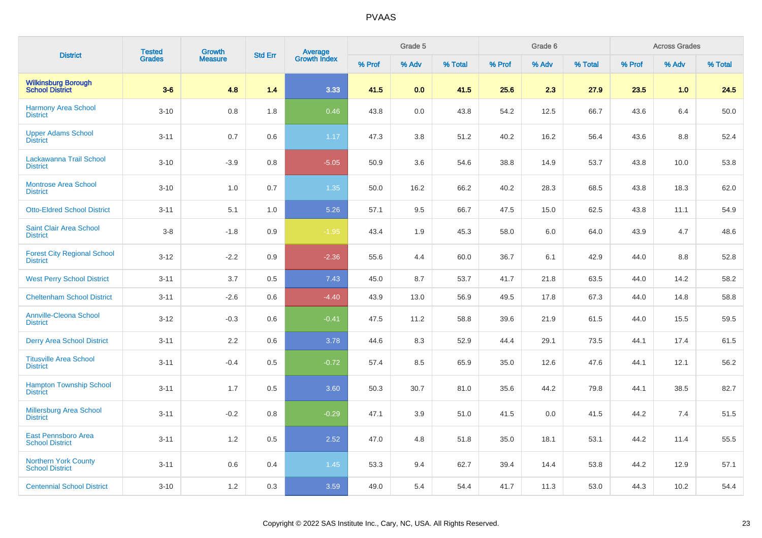| <b>District</b>                                       | <b>Tested</b> | Growth         |                |                                |        | Grade 5 |         |        | Grade 6 |         |        | <b>Across Grades</b> |         |
|-------------------------------------------------------|---------------|----------------|----------------|--------------------------------|--------|---------|---------|--------|---------|---------|--------|----------------------|---------|
|                                                       | <b>Grades</b> | <b>Measure</b> | <b>Std Err</b> | <b>Average</b><br>Growth Index | % Prof | % Adv   | % Total | % Prof | % Adv   | % Total | % Prof | % Adv                | % Total |
| <b>Wilkinsburg Borough<br/>School District</b>        | $3-6$         | 4.8            | 1.4            | 3.33                           | 41.5   | 0.0     | 41.5    | 25.6   | 2.3     | 27.9    | 23.5   | 1.0                  | 24.5    |
| Harmony Area School<br><b>District</b>                | $3 - 10$      | 0.8            | 1.8            | 0.46                           | 43.8   | 0.0     | 43.8    | 54.2   | 12.5    | 66.7    | 43.6   | 6.4                  | 50.0    |
| <b>Upper Adams School</b><br><b>District</b>          | $3 - 11$      | 0.7            | 0.6            | 1.17                           | 47.3   | 3.8     | 51.2    | 40.2   | 16.2    | 56.4    | 43.6   | 8.8                  | 52.4    |
| Lackawanna Trail School<br><b>District</b>            | $3 - 10$      | $-3.9$         | 0.8            | $-5.05$                        | 50.9   | 3.6     | 54.6    | 38.8   | 14.9    | 53.7    | 43.8   | 10.0                 | 53.8    |
| <b>Montrose Area School</b><br><b>District</b>        | $3 - 10$      | 1.0            | 0.7            | 1.35                           | 50.0   | 16.2    | 66.2    | 40.2   | 28.3    | 68.5    | 43.8   | 18.3                 | 62.0    |
| <b>Otto-Eldred School District</b>                    | $3 - 11$      | 5.1            | 1.0            | 5.26                           | 57.1   | 9.5     | 66.7    | 47.5   | 15.0    | 62.5    | 43.8   | 11.1                 | 54.9    |
| <b>Saint Clair Area School</b><br><b>District</b>     | $3-8$         | $-1.8$         | 0.9            | $-1.95$                        | 43.4   | 1.9     | 45.3    | 58.0   | 6.0     | 64.0    | 43.9   | 4.7                  | 48.6    |
| <b>Forest City Regional School</b><br><b>District</b> | $3 - 12$      | $-2.2$         | 0.9            | $-2.36$                        | 55.6   | 4.4     | 60.0    | 36.7   | 6.1     | 42.9    | 44.0   | 8.8                  | 52.8    |
| <b>West Perry School District</b>                     | $3 - 11$      | 3.7            | 0.5            | 7.43                           | 45.0   | 8.7     | 53.7    | 41.7   | 21.8    | 63.5    | 44.0   | 14.2                 | 58.2    |
| <b>Cheltenham School District</b>                     | $3 - 11$      | $-2.6$         | 0.6            | $-4.40$                        | 43.9   | 13.0    | 56.9    | 49.5   | 17.8    | 67.3    | 44.0   | 14.8                 | 58.8    |
| <b>Annville-Cleona School</b><br><b>District</b>      | $3 - 12$      | $-0.3$         | 0.6            | $-0.41$                        | 47.5   | 11.2    | 58.8    | 39.6   | 21.9    | 61.5    | 44.0   | 15.5                 | 59.5    |
| <b>Derry Area School District</b>                     | $3 - 11$      | 2.2            | 0.6            | 3.78                           | 44.6   | 8.3     | 52.9    | 44.4   | 29.1    | 73.5    | 44.1   | 17.4                 | 61.5    |
| <b>Titusville Area School</b><br><b>District</b>      | $3 - 11$      | $-0.4$         | 0.5            | $-0.72$                        | 57.4   | 8.5     | 65.9    | 35.0   | 12.6    | 47.6    | 44.1   | 12.1                 | 56.2    |
| <b>Hampton Township School</b><br><b>District</b>     | $3 - 11$      | 1.7            | 0.5            | 3.60                           | 50.3   | 30.7    | 81.0    | 35.6   | 44.2    | 79.8    | 44.1   | 38.5                 | 82.7    |
| <b>Millersburg Area School</b><br><b>District</b>     | $3 - 11$      | $-0.2$         | 0.8            | $-0.29$                        | 47.1   | 3.9     | 51.0    | 41.5   | 0.0     | 41.5    | 44.2   | 7.4                  | 51.5    |
| East Pennsboro Area<br><b>School District</b>         | $3 - 11$      | 1.2            | 0.5            | 2.52                           | 47.0   | 4.8     | 51.8    | 35.0   | 18.1    | 53.1    | 44.2   | 11.4                 | 55.5    |
| <b>Northern York County</b><br><b>School District</b> | $3 - 11$      | 0.6            | 0.4            | 1.45                           | 53.3   | 9.4     | 62.7    | 39.4   | 14.4    | 53.8    | 44.2   | 12.9                 | 57.1    |
| <b>Centennial School District</b>                     | $3 - 10$      | 1.2            | 0.3            | 3.59                           | 49.0   | 5.4     | 54.4    | 41.7   | 11.3    | 53.0    | 44.3   | 10.2                 | 54.4    |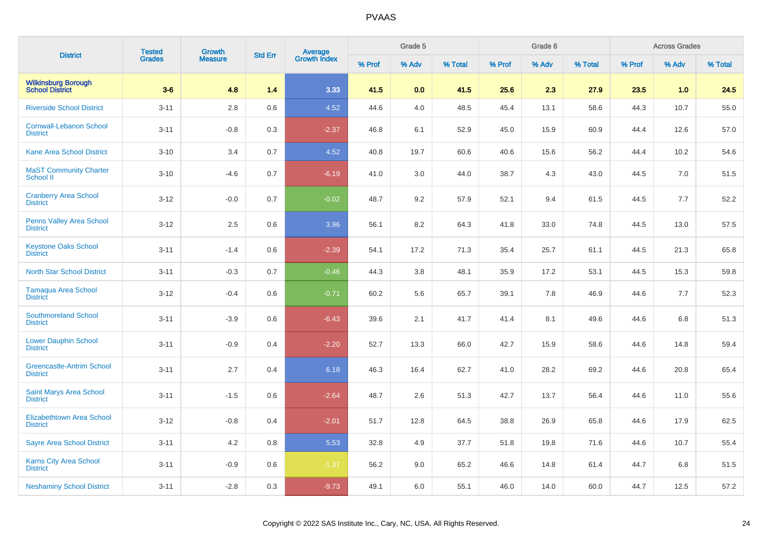| <b>District</b>                                     | <b>Tested</b> | <b>Growth</b>  | <b>Std Err</b> |                                |        | Grade 5 |         |        | Grade 6 |         |        | <b>Across Grades</b> |         |
|-----------------------------------------------------|---------------|----------------|----------------|--------------------------------|--------|---------|---------|--------|---------|---------|--------|----------------------|---------|
|                                                     | <b>Grades</b> | <b>Measure</b> |                | <b>Average</b><br>Growth Index | % Prof | % Adv   | % Total | % Prof | % Adv   | % Total | % Prof | % Adv                | % Total |
| <b>Wilkinsburg Borough<br/>School District</b>      | $3-6$         | 4.8            | 1.4            | 3.33                           | 41.5   | 0.0     | 41.5    | 25.6   | 2.3     | 27.9    | 23.5   | 1.0                  | 24.5    |
| <b>Riverside School District</b>                    | $3 - 11$      | 2.8            | 0.6            | 4.52                           | 44.6   | 4.0     | 48.5    | 45.4   | 13.1    | 58.6    | 44.3   | 10.7                 | 55.0    |
| <b>Cornwall-Lebanon School</b><br><b>District</b>   | $3 - 11$      | $-0.8$         | 0.3            | $-2.37$                        | 46.8   | 6.1     | 52.9    | 45.0   | 15.9    | 60.9    | 44.4   | 12.6                 | 57.0    |
| <b>Kane Area School District</b>                    | $3 - 10$      | 3.4            | 0.7            | 4.52                           | 40.8   | 19.7    | 60.6    | 40.6   | 15.6    | 56.2    | 44.4   | 10.2                 | 54.6    |
| <b>MaST Community Charter</b><br><b>School II</b>   | $3 - 10$      | $-4.6$         | 0.7            | $-6.19$                        | 41.0   | 3.0     | 44.0    | 38.7   | 4.3     | 43.0    | 44.5   | 7.0                  | 51.5    |
| <b>Cranberry Area School</b><br><b>District</b>     | $3 - 12$      | $-0.0$         | 0.7            | $-0.02$                        | 48.7   | 9.2     | 57.9    | 52.1   | 9.4     | 61.5    | 44.5   | 7.7                  | 52.2    |
| <b>Penns Valley Area School</b><br><b>District</b>  | $3 - 12$      | 2.5            | 0.6            | 3.96                           | 56.1   | 8.2     | 64.3    | 41.8   | 33.0    | 74.8    | 44.5   | 13.0                 | 57.5    |
| <b>Keystone Oaks School</b><br><b>District</b>      | $3 - 11$      | $-1.4$         | 0.6            | $-2.39$                        | 54.1   | 17.2    | 71.3    | 35.4   | 25.7    | 61.1    | 44.5   | 21.3                 | 65.8    |
| North Star School District                          | $3 - 11$      | $-0.3$         | 0.7            | $-0.46$                        | 44.3   | 3.8     | 48.1    | 35.9   | 17.2    | 53.1    | 44.5   | 15.3                 | 59.8    |
| Tamaqua Area School<br><b>District</b>              | $3 - 12$      | $-0.4$         | 0.6            | $-0.71$                        | 60.2   | 5.6     | 65.7    | 39.1   | 7.8     | 46.9    | 44.6   | 7.7                  | 52.3    |
| <b>Southmoreland School</b><br><b>District</b>      | $3 - 11$      | $-3.9$         | 0.6            | $-6.43$                        | 39.6   | 2.1     | 41.7    | 41.4   | 8.1     | 49.6    | 44.6   | 6.8                  | 51.3    |
| <b>Lower Dauphin School</b><br><b>District</b>      | $3 - 11$      | $-0.9$         | 0.4            | $-2.20$                        | 52.7   | 13.3    | 66.0    | 42.7   | 15.9    | 58.6    | 44.6   | 14.8                 | 59.4    |
| <b>Greencastle-Antrim School</b><br><b>District</b> | $3 - 11$      | 2.7            | 0.4            | 6.18                           | 46.3   | 16.4    | 62.7    | 41.0   | 28.2    | 69.2    | 44.6   | 20.8                 | 65.4    |
| <b>Saint Marys Area School</b><br><b>District</b>   | $3 - 11$      | $-1.5$         | 0.6            | $-2.64$                        | 48.7   | 2.6     | 51.3    | 42.7   | 13.7    | 56.4    | 44.6   | 11.0                 | 55.6    |
| Elizabethtown Area School<br><b>District</b>        | $3 - 12$      | $-0.8$         | 0.4            | $-2.01$                        | 51.7   | 12.8    | 64.5    | 38.8   | 26.9    | 65.8    | 44.6   | 17.9                 | 62.5    |
| <b>Sayre Area School District</b>                   | $3 - 11$      | 4.2            | 0.8            | 5.53                           | 32.8   | 4.9     | 37.7    | 51.8   | 19.8    | 71.6    | 44.6   | 10.7                 | 55.4    |
| <b>Karns City Area School</b><br><b>District</b>    | $3 - 11$      | $-0.9$         | 0.6            | $-1.37$                        | 56.2   | 9.0     | 65.2    | 46.6   | 14.8    | 61.4    | 44.7   | 6.8                  | 51.5    |
| <b>Neshaminy School District</b>                    | $3 - 11$      | $-2.8$         | 0.3            | $-9.73$                        | 49.1   | 6.0     | 55.1    | 46.0   | 14.0    | 60.0    | 44.7   | 12.5                 | 57.2    |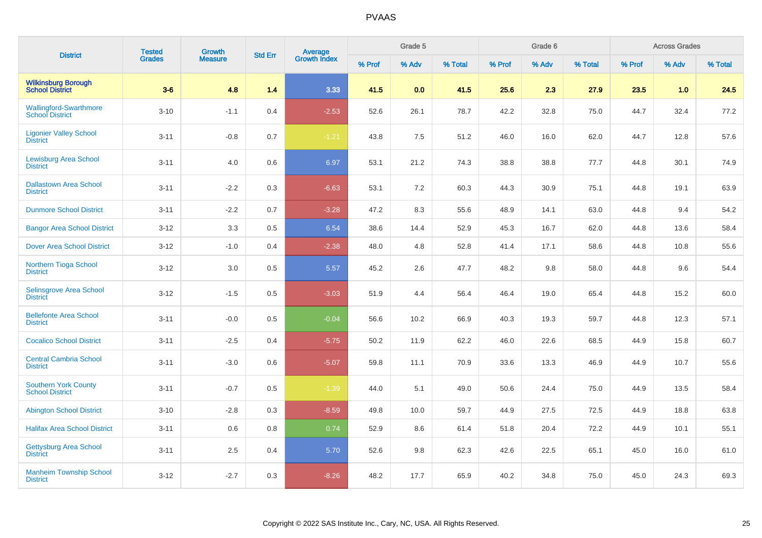| <b>District</b>                                         | <b>Tested</b> | Growth         | <b>Std Err</b> |                                |        | Grade 5 |         |        | Grade 6 |         |        | <b>Across Grades</b> |         |
|---------------------------------------------------------|---------------|----------------|----------------|--------------------------------|--------|---------|---------|--------|---------|---------|--------|----------------------|---------|
|                                                         | <b>Grades</b> | <b>Measure</b> |                | <b>Average</b><br>Growth Index | % Prof | % Adv   | % Total | % Prof | % Adv   | % Total | % Prof | % Adv                | % Total |
| <b>Wilkinsburg Borough</b><br><b>School District</b>    | $3-6$         | 4.8            | 1.4            | 3.33                           | 41.5   | 0.0     | 41.5    | 25.6   | 2.3     | 27.9    | 23.5   | 1.0                  | 24.5    |
| <b>Wallingford-Swarthmore</b><br><b>School District</b> | $3 - 10$      | $-1.1$         | 0.4            | $-2.53$                        | 52.6   | 26.1    | 78.7    | 42.2   | 32.8    | 75.0    | 44.7   | 32.4                 | 77.2    |
| <b>Ligonier Valley School</b><br><b>District</b>        | $3 - 11$      | $-0.8$         | 0.7            | $-1.21$                        | 43.8   | 7.5     | 51.2    | 46.0   | 16.0    | 62.0    | 44.7   | 12.8                 | 57.6    |
| <b>Lewisburg Area School</b><br><b>District</b>         | $3 - 11$      | 4.0            | 0.6            | 6.97                           | 53.1   | 21.2    | 74.3    | 38.8   | 38.8    | 77.7    | 44.8   | 30.1                 | 74.9    |
| <b>Dallastown Area School</b><br><b>District</b>        | $3 - 11$      | $-2.2$         | 0.3            | $-6.63$                        | 53.1   | 7.2     | 60.3    | 44.3   | 30.9    | 75.1    | 44.8   | 19.1                 | 63.9    |
| <b>Dunmore School District</b>                          | $3 - 11$      | $-2.2$         | 0.7            | $-3.28$                        | 47.2   | 8.3     | 55.6    | 48.9   | 14.1    | 63.0    | 44.8   | 9.4                  | 54.2    |
| <b>Bangor Area School District</b>                      | $3 - 12$      | 3.3            | 0.5            | 6.54                           | 38.6   | 14.4    | 52.9    | 45.3   | 16.7    | 62.0    | 44.8   | 13.6                 | 58.4    |
| <b>Dover Area School District</b>                       | $3 - 12$      | $-1.0$         | 0.4            | $-2.38$                        | 48.0   | 4.8     | 52.8    | 41.4   | 17.1    | 58.6    | 44.8   | 10.8                 | 55.6    |
| <b>Northern Tioga School</b><br><b>District</b>         | $3 - 12$      | 3.0            | 0.5            | 5.57                           | 45.2   | 2.6     | 47.7    | 48.2   | 9.8     | 58.0    | 44.8   | 9.6                  | 54.4    |
| <b>Selinsgrove Area School</b><br><b>District</b>       | $3 - 12$      | $-1.5$         | 0.5            | $-3.03$                        | 51.9   | 4.4     | 56.4    | 46.4   | 19.0    | 65.4    | 44.8   | 15.2                 | 60.0    |
| <b>Bellefonte Area School</b><br><b>District</b>        | $3 - 11$      | $-0.0$         | 0.5            | $-0.04$                        | 56.6   | 10.2    | 66.9    | 40.3   | 19.3    | 59.7    | 44.8   | 12.3                 | 57.1    |
| <b>Cocalico School District</b>                         | $3 - 11$      | $-2.5$         | 0.4            | $-5.75$                        | 50.2   | 11.9    | 62.2    | 46.0   | 22.6    | 68.5    | 44.9   | 15.8                 | 60.7    |
| <b>Central Cambria School</b><br><b>District</b>        | $3 - 11$      | $-3.0$         | 0.6            | $-5.07$                        | 59.8   | 11.1    | 70.9    | 33.6   | 13.3    | 46.9    | 44.9   | 10.7                 | 55.6    |
| <b>Southern York County</b><br><b>School District</b>   | $3 - 11$      | $-0.7$         | 0.5            | $-1.39$                        | 44.0   | 5.1     | 49.0    | 50.6   | 24.4    | 75.0    | 44.9   | 13.5                 | 58.4    |
| <b>Abington School District</b>                         | $3 - 10$      | $-2.8$         | 0.3            | $-8.59$                        | 49.8   | 10.0    | 59.7    | 44.9   | 27.5    | 72.5    | 44.9   | 18.8                 | 63.8    |
| <b>Halifax Area School District</b>                     | $3 - 11$      | 0.6            | 0.8            | 0.74                           | 52.9   | 8.6     | 61.4    | 51.8   | 20.4    | 72.2    | 44.9   | 10.1                 | 55.1    |
| <b>Gettysburg Area School</b><br><b>District</b>        | $3 - 11$      | 2.5            | 0.4            | 5.70                           | 52.6   | 9.8     | 62.3    | 42.6   | 22.5    | 65.1    | 45.0   | 16.0                 | 61.0    |
| <b>Manheim Township School</b><br><b>District</b>       | $3 - 12$      | $-2.7$         | 0.3            | $-8.26$                        | 48.2   | 17.7    | 65.9    | 40.2   | 34.8    | 75.0    | 45.0   | 24.3                 | 69.3    |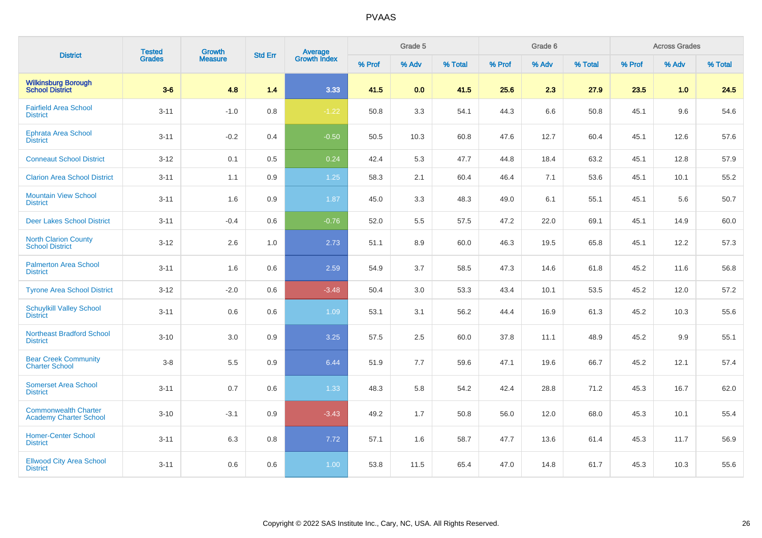| <b>District</b>                                              | <b>Tested</b> | <b>Growth</b>  | <b>Std Err</b> |                                |        | Grade 5 |         |        | Grade 6 |         |        | <b>Across Grades</b> |         |
|--------------------------------------------------------------|---------------|----------------|----------------|--------------------------------|--------|---------|---------|--------|---------|---------|--------|----------------------|---------|
|                                                              | <b>Grades</b> | <b>Measure</b> |                | <b>Average</b><br>Growth Index | % Prof | % Adv   | % Total | % Prof | % Adv   | % Total | % Prof | % Adv                | % Total |
| <b>Wilkinsburg Borough</b><br><b>School District</b>         | $3-6$         | 4.8            | 1.4            | 3.33                           | 41.5   | 0.0     | 41.5    | 25.6   | 2.3     | 27.9    | 23.5   | 1.0                  | 24.5    |
| <b>Fairfield Area School</b><br><b>District</b>              | $3 - 11$      | $-1.0$         | 0.8            | $-1.22$                        | 50.8   | 3.3     | 54.1    | 44.3   | 6.6     | 50.8    | 45.1   | 9.6                  | 54.6    |
| <b>Ephrata Area School</b><br><b>District</b>                | $3 - 11$      | $-0.2$         | 0.4            | $-0.50$                        | 50.5   | 10.3    | 60.8    | 47.6   | 12.7    | 60.4    | 45.1   | 12.6                 | 57.6    |
| <b>Conneaut School District</b>                              | $3-12$        | 0.1            | 0.5            | 0.24                           | 42.4   | 5.3     | 47.7    | 44.8   | 18.4    | 63.2    | 45.1   | 12.8                 | 57.9    |
| <b>Clarion Area School District</b>                          | $3 - 11$      | 1.1            | 0.9            | 1.25                           | 58.3   | 2.1     | 60.4    | 46.4   | 7.1     | 53.6    | 45.1   | 10.1                 | 55.2    |
| <b>Mountain View School</b><br><b>District</b>               | $3 - 11$      | 1.6            | $0.9\,$        | 1.87                           | 45.0   | 3.3     | 48.3    | 49.0   | 6.1     | 55.1    | 45.1   | 5.6                  | 50.7    |
| <b>Deer Lakes School District</b>                            | $3 - 11$      | $-0.4$         | 0.6            | $-0.76$                        | 52.0   | 5.5     | 57.5    | 47.2   | 22.0    | 69.1    | 45.1   | 14.9                 | 60.0    |
| <b>North Clarion County</b><br><b>School District</b>        | $3 - 12$      | 2.6            | $1.0$          | 2.73                           | 51.1   | 8.9     | 60.0    | 46.3   | 19.5    | 65.8    | 45.1   | 12.2                 | 57.3    |
| <b>Palmerton Area School</b><br><b>District</b>              | $3 - 11$      | 1.6            | 0.6            | 2.59                           | 54.9   | 3.7     | 58.5    | 47.3   | 14.6    | 61.8    | 45.2   | 11.6                 | 56.8    |
| <b>Tyrone Area School District</b>                           | $3 - 12$      | $-2.0$         | $0.6\,$        | $-3.48$                        | 50.4   | 3.0     | 53.3    | 43.4   | 10.1    | 53.5    | 45.2   | 12.0                 | 57.2    |
| <b>Schuylkill Valley School</b><br><b>District</b>           | $3 - 11$      | $0.6\,$        | $0.6\,$        | 1.09                           | 53.1   | 3.1     | 56.2    | 44.4   | 16.9    | 61.3    | 45.2   | 10.3                 | 55.6    |
| <b>Northeast Bradford School</b><br><b>District</b>          | $3 - 10$      | 3.0            | 0.9            | 3.25                           | 57.5   | 2.5     | 60.0    | 37.8   | 11.1    | 48.9    | 45.2   | 9.9                  | 55.1    |
| <b>Bear Creek Community</b><br><b>Charter School</b>         | $3-8$         | 5.5            | 0.9            | 6.44                           | 51.9   | 7.7     | 59.6    | 47.1   | 19.6    | 66.7    | 45.2   | 12.1                 | 57.4    |
| <b>Somerset Area School</b><br><b>District</b>               | $3 - 11$      | 0.7            | $0.6\,$        | 1.33                           | 48.3   | 5.8     | 54.2    | 42.4   | 28.8    | 71.2    | 45.3   | 16.7                 | 62.0    |
| <b>Commonwealth Charter</b><br><b>Academy Charter School</b> | $3 - 10$      | $-3.1$         | 0.9            | $-3.43$                        | 49.2   | 1.7     | 50.8    | 56.0   | 12.0    | 68.0    | 45.3   | 10.1                 | 55.4    |
| <b>Homer-Center School</b><br><b>District</b>                | $3 - 11$      | 6.3            | 0.8            | 7.72                           | 57.1   | 1.6     | 58.7    | 47.7   | 13.6    | 61.4    | 45.3   | 11.7                 | 56.9    |
| <b>Ellwood City Area School</b><br><b>District</b>           | $3 - 11$      | 0.6            | 0.6            | 1.00                           | 53.8   | 11.5    | 65.4    | 47.0   | 14.8    | 61.7    | 45.3   | 10.3                 | 55.6    |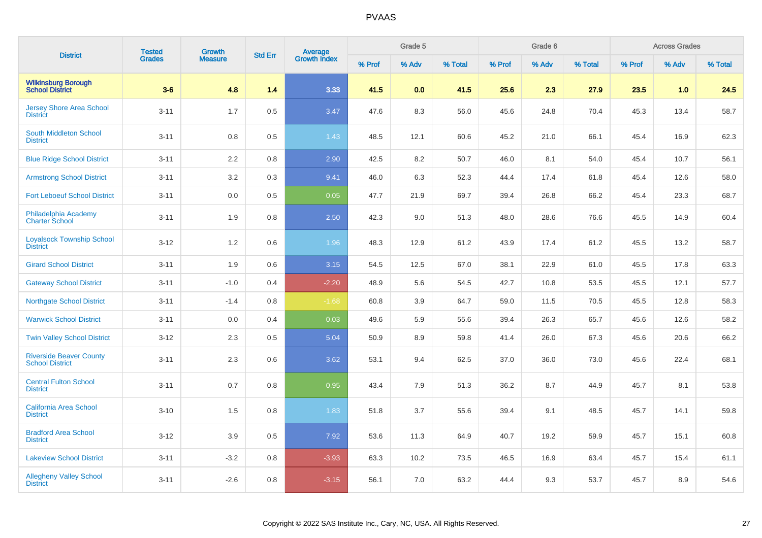| <b>District</b>                                          | <b>Tested</b> | <b>Growth</b>  |                |                         |        | Grade 5 |         |        | Grade 6 |         |        | <b>Across Grades</b> |         |
|----------------------------------------------------------|---------------|----------------|----------------|-------------------------|--------|---------|---------|--------|---------|---------|--------|----------------------|---------|
|                                                          | <b>Grades</b> | <b>Measure</b> | <b>Std Err</b> | Average<br>Growth Index | % Prof | % Adv   | % Total | % Prof | % Adv   | % Total | % Prof | % Adv                | % Total |
| <b>Wilkinsburg Borough<br/>School District</b>           | $3-6$         | 4.8            | 1.4            | 3.33                    | 41.5   | 0.0     | 41.5    | 25.6   | 2.3     | 27.9    | 23.5   | 1.0                  | 24.5    |
| <b>Jersey Shore Area School</b><br><b>District</b>       | $3 - 11$      | 1.7            | 0.5            | 3.47                    | 47.6   | 8.3     | 56.0    | 45.6   | 24.8    | 70.4    | 45.3   | 13.4                 | 58.7    |
| South Middleton School<br><b>District</b>                | $3 - 11$      | 0.8            | 0.5            | 1.43                    | 48.5   | 12.1    | 60.6    | 45.2   | 21.0    | 66.1    | 45.4   | 16.9                 | 62.3    |
| <b>Blue Ridge School District</b>                        | $3 - 11$      | 2.2            | $0.8\,$        | 2.90                    | 42.5   | 8.2     | 50.7    | 46.0   | 8.1     | 54.0    | 45.4   | 10.7                 | 56.1    |
| <b>Armstrong School District</b>                         | $3 - 11$      | 3.2            | 0.3            | 9.41                    | 46.0   | 6.3     | 52.3    | 44.4   | 17.4    | 61.8    | 45.4   | 12.6                 | 58.0    |
| <b>Fort Leboeuf School District</b>                      | $3 - 11$      | $0.0\,$        | 0.5            | 0.05                    | 47.7   | 21.9    | 69.7    | 39.4   | 26.8    | 66.2    | 45.4   | 23.3                 | 68.7    |
| Philadelphia Academy<br><b>Charter School</b>            | $3 - 11$      | 1.9            | 0.8            | 2.50                    | 42.3   | 9.0     | 51.3    | 48.0   | 28.6    | 76.6    | 45.5   | 14.9                 | 60.4    |
| <b>Loyalsock Township School</b><br><b>District</b>      | $3 - 12$      | 1.2            | 0.6            | 1.96                    | 48.3   | 12.9    | 61.2    | 43.9   | 17.4    | 61.2    | 45.5   | 13.2                 | 58.7    |
| <b>Girard School District</b>                            | $3 - 11$      | 1.9            | 0.6            | 3.15                    | 54.5   | 12.5    | 67.0    | 38.1   | 22.9    | 61.0    | 45.5   | 17.8                 | 63.3    |
| <b>Gateway School District</b>                           | $3 - 11$      | $-1.0$         | 0.4            | $-2.20$                 | 48.9   | 5.6     | 54.5    | 42.7   | 10.8    | 53.5    | 45.5   | 12.1                 | 57.7    |
| <b>Northgate School District</b>                         | $3 - 11$      | $-1.4$         | 0.8            | $-1.68$                 | 60.8   | 3.9     | 64.7    | 59.0   | 11.5    | 70.5    | 45.5   | 12.8                 | 58.3    |
| <b>Warwick School District</b>                           | $3 - 11$      | 0.0            | 0.4            | 0.03                    | 49.6   | 5.9     | 55.6    | 39.4   | 26.3    | 65.7    | 45.6   | 12.6                 | 58.2    |
| <b>Twin Valley School District</b>                       | $3-12$        | 2.3            | 0.5            | 5.04                    | 50.9   | 8.9     | 59.8    | 41.4   | 26.0    | 67.3    | 45.6   | 20.6                 | 66.2    |
| <b>Riverside Beaver County</b><br><b>School District</b> | $3 - 11$      | 2.3            | 0.6            | 3.62                    | 53.1   | 9.4     | 62.5    | 37.0   | 36.0    | 73.0    | 45.6   | 22.4                 | 68.1    |
| <b>Central Fulton School</b><br><b>District</b>          | $3 - 11$      | 0.7            | 0.8            | 0.95                    | 43.4   | 7.9     | 51.3    | 36.2   | 8.7     | 44.9    | 45.7   | 8.1                  | 53.8    |
| California Area School<br><b>District</b>                | $3 - 10$      | 1.5            | 0.8            | 1.83                    | 51.8   | 3.7     | 55.6    | 39.4   | 9.1     | 48.5    | 45.7   | 14.1                 | 59.8    |
| <b>Bradford Area School</b><br><b>District</b>           | $3 - 12$      | 3.9            | 0.5            | 7.92                    | 53.6   | 11.3    | 64.9    | 40.7   | 19.2    | 59.9    | 45.7   | 15.1                 | 60.8    |
| <b>Lakeview School District</b>                          | $3 - 11$      | $-3.2$         | 0.8            | $-3.93$                 | 63.3   | 10.2    | 73.5    | 46.5   | 16.9    | 63.4    | 45.7   | 15.4                 | 61.1    |
| <b>Allegheny Valley School</b><br><b>District</b>        | $3 - 11$      | $-2.6$         | 0.8            | $-3.15$                 | 56.1   | 7.0     | 63.2    | 44.4   | 9.3     | 53.7    | 45.7   | 8.9                  | 54.6    |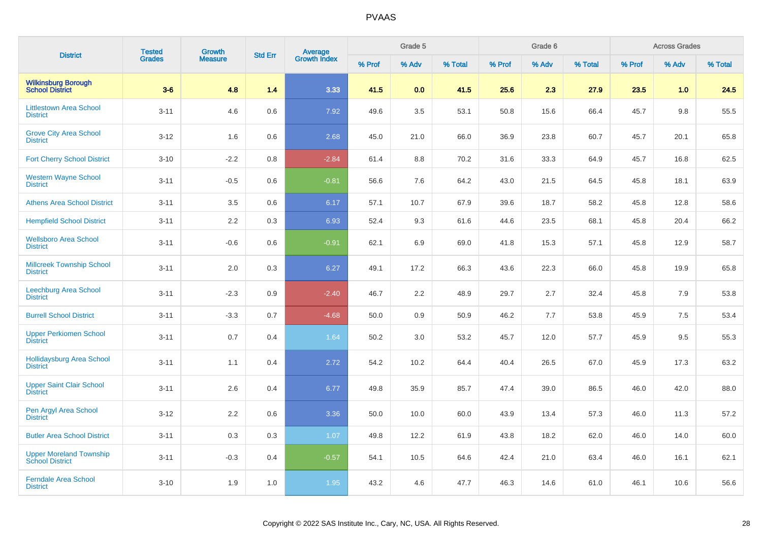| <b>District</b>                                          | <b>Tested</b> | <b>Growth</b>  | <b>Std Err</b> | Average<br>Growth Index |        | Grade 5 |         |        | Grade 6 |         |        | <b>Across Grades</b> |         |
|----------------------------------------------------------|---------------|----------------|----------------|-------------------------|--------|---------|---------|--------|---------|---------|--------|----------------------|---------|
|                                                          | <b>Grades</b> | <b>Measure</b> |                |                         | % Prof | % Adv   | % Total | % Prof | % Adv   | % Total | % Prof | % Adv                | % Total |
| <b>Wilkinsburg Borough<br/>School District</b>           | $3-6$         | 4.8            | 1.4            | 3.33                    | 41.5   | 0.0     | 41.5    | 25.6   | 2.3     | 27.9    | 23.5   | 1.0                  | 24.5    |
| <b>Littlestown Area School</b><br><b>District</b>        | $3 - 11$      | 4.6            | 0.6            | 7.92                    | 49.6   | 3.5     | 53.1    | 50.8   | 15.6    | 66.4    | 45.7   | 9.8                  | 55.5    |
| <b>Grove City Area School</b><br><b>District</b>         | $3 - 12$      | 1.6            | 0.6            | 2.68                    | 45.0   | 21.0    | 66.0    | 36.9   | 23.8    | 60.7    | 45.7   | 20.1                 | 65.8    |
| <b>Fort Cherry School District</b>                       | $3 - 10$      | $-2.2$         | 0.8            | $-2.84$                 | 61.4   | 8.8     | 70.2    | 31.6   | 33.3    | 64.9    | 45.7   | 16.8                 | 62.5    |
| <b>Western Wayne School</b><br><b>District</b>           | $3 - 11$      | $-0.5$         | 0.6            | $-0.81$                 | 56.6   | 7.6     | 64.2    | 43.0   | 21.5    | 64.5    | 45.8   | 18.1                 | 63.9    |
| <b>Athens Area School District</b>                       | $3 - 11$      | 3.5            | 0.6            | 6.17                    | 57.1   | 10.7    | 67.9    | 39.6   | 18.7    | 58.2    | 45.8   | 12.8                 | 58.6    |
| <b>Hempfield School District</b>                         | $3 - 11$      | 2.2            | 0.3            | 6.93                    | 52.4   | 9.3     | 61.6    | 44.6   | 23.5    | 68.1    | 45.8   | 20.4                 | 66.2    |
| <b>Wellsboro Area School</b><br><b>District</b>          | $3 - 11$      | $-0.6$         | 0.6            | $-0.91$                 | 62.1   | 6.9     | 69.0    | 41.8   | 15.3    | 57.1    | 45.8   | 12.9                 | 58.7    |
| <b>Millcreek Township School</b><br><b>District</b>      | $3 - 11$      | 2.0            | 0.3            | 6.27                    | 49.1   | 17.2    | 66.3    | 43.6   | 22.3    | 66.0    | 45.8   | 19.9                 | 65.8    |
| Leechburg Area School<br><b>District</b>                 | $3 - 11$      | $-2.3$         | 0.9            | $-2.40$                 | 46.7   | 2.2     | 48.9    | 29.7   | 2.7     | 32.4    | 45.8   | 7.9                  | 53.8    |
| <b>Burrell School District</b>                           | $3 - 11$      | $-3.3$         | 0.7            | $-4.68$                 | 50.0   | 0.9     | 50.9    | 46.2   | 7.7     | 53.8    | 45.9   | 7.5                  | 53.4    |
| <b>Upper Perkiomen School</b><br><b>District</b>         | $3 - 11$      | 0.7            | 0.4            | 1.64                    | 50.2   | 3.0     | 53.2    | 45.7   | 12.0    | 57.7    | 45.9   | 9.5                  | 55.3    |
| <b>Hollidaysburg Area School</b><br><b>District</b>      | $3 - 11$      | 1.1            | 0.4            | 2.72                    | 54.2   | 10.2    | 64.4    | 40.4   | 26.5    | 67.0    | 45.9   | 17.3                 | 63.2    |
| <b>Upper Saint Clair School</b><br><b>District</b>       | $3 - 11$      | 2.6            | 0.4            | 6.77                    | 49.8   | 35.9    | 85.7    | 47.4   | 39.0    | 86.5    | 46.0   | 42.0                 | 88.0    |
| Pen Argyl Area School<br><b>District</b>                 | $3 - 12$      | 2.2            | 0.6            | 3.36                    | 50.0   | 10.0    | 60.0    | 43.9   | 13.4    | 57.3    | 46.0   | 11.3                 | 57.2    |
| <b>Butler Area School District</b>                       | $3 - 11$      | 0.3            | 0.3            | 1.07                    | 49.8   | 12.2    | 61.9    | 43.8   | 18.2    | 62.0    | 46.0   | 14.0                 | 60.0    |
| <b>Upper Moreland Township</b><br><b>School District</b> | $3 - 11$      | $-0.3$         | 0.4            | $-0.57$                 | 54.1   | 10.5    | 64.6    | 42.4   | 21.0    | 63.4    | 46.0   | 16.1                 | 62.1    |
| <b>Ferndale Area School</b><br><b>District</b>           | $3 - 10$      | 1.9            | 1.0            | 1.95                    | 43.2   | 4.6     | 47.7    | 46.3   | 14.6    | 61.0    | 46.1   | 10.6                 | 56.6    |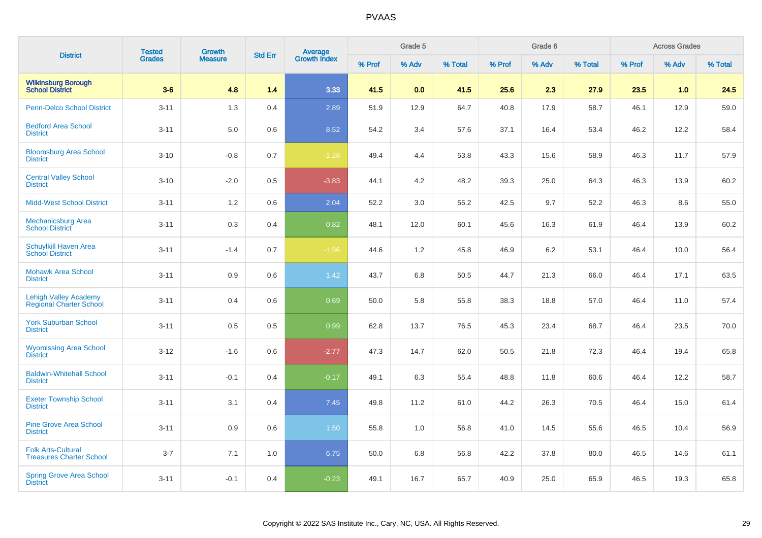| <b>District</b>                                                | <b>Tested</b> | <b>Growth</b>  | <b>Std Err</b> |                                |        | Grade 5 |         |        | Grade 6 |         |        | <b>Across Grades</b> |         |
|----------------------------------------------------------------|---------------|----------------|----------------|--------------------------------|--------|---------|---------|--------|---------|---------|--------|----------------------|---------|
|                                                                | <b>Grades</b> | <b>Measure</b> |                | <b>Average</b><br>Growth Index | % Prof | % Adv   | % Total | % Prof | % Adv   | % Total | % Prof | % Adv                | % Total |
| <b>Wilkinsburg Borough</b><br><b>School District</b>           | $3-6$         | 4.8            | 1.4            | 3.33                           | 41.5   | 0.0     | 41.5    | 25.6   | 2.3     | 27.9    | 23.5   | 1.0                  | 24.5    |
| <b>Penn-Delco School District</b>                              | $3 - 11$      | 1.3            | 0.4            | 2.89                           | 51.9   | 12.9    | 64.7    | 40.8   | 17.9    | 58.7    | 46.1   | 12.9                 | 59.0    |
| <b>Bedford Area School</b><br><b>District</b>                  | $3 - 11$      | 5.0            | 0.6            | 8.52                           | 54.2   | 3.4     | 57.6    | 37.1   | 16.4    | 53.4    | 46.2   | 12.2                 | 58.4    |
| <b>Bloomsburg Area School</b><br><b>District</b>               | $3 - 10$      | $-0.8$         | 0.7            | $-1.28$                        | 49.4   | 4.4     | 53.8    | 43.3   | 15.6    | 58.9    | 46.3   | 11.7                 | 57.9    |
| <b>Central Valley School</b><br><b>District</b>                | $3 - 10$      | $-2.0$         | 0.5            | $-3.83$                        | 44.1   | 4.2     | 48.2    | 39.3   | 25.0    | 64.3    | 46.3   | 13.9                 | 60.2    |
| <b>Midd-West School District</b>                               | $3 - 11$      | 1.2            | 0.6            | 2.04                           | 52.2   | 3.0     | 55.2    | 42.5   | 9.7     | 52.2    | 46.3   | 8.6                  | 55.0    |
| <b>Mechanicsburg Area</b><br><b>School District</b>            | $3 - 11$      | 0.3            | 0.4            | 0.82                           | 48.1   | 12.0    | 60.1    | 45.6   | 16.3    | 61.9    | 46.4   | 13.9                 | 60.2    |
| Schuylkill Haven Area<br><b>School District</b>                | $3 - 11$      | $-1.4$         | 0.7            | $-1.96$                        | 44.6   | 1.2     | 45.8    | 46.9   | 6.2     | 53.1    | 46.4   | 10.0                 | 56.4    |
| <b>Mohawk Area School</b><br><b>District</b>                   | $3 - 11$      | 0.9            | 0.6            | 1.42                           | 43.7   | 6.8     | 50.5    | 44.7   | 21.3    | 66.0    | 46.4   | 17.1                 | 63.5    |
| <b>Lehigh Valley Academy</b><br><b>Regional Charter School</b> | $3 - 11$      | 0.4            | 0.6            | 0.69                           | 50.0   | 5.8     | 55.8    | 38.3   | 18.8    | 57.0    | 46.4   | 11.0                 | 57.4    |
| <b>York Suburban School</b><br><b>District</b>                 | $3 - 11$      | 0.5            | 0.5            | 0.99                           | 62.8   | 13.7    | 76.5    | 45.3   | 23.4    | 68.7    | 46.4   | 23.5                 | 70.0    |
| <b>Wyomissing Area School</b><br><b>District</b>               | $3 - 12$      | $-1.6$         | 0.6            | $-2.77$                        | 47.3   | 14.7    | 62.0    | 50.5   | 21.8    | 72.3    | 46.4   | 19.4                 | 65.8    |
| <b>Baldwin-Whitehall School</b><br><b>District</b>             | $3 - 11$      | $-0.1$         | 0.4            | $-0.17$                        | 49.1   | 6.3     | 55.4    | 48.8   | 11.8    | 60.6    | 46.4   | 12.2                 | 58.7    |
| <b>Exeter Township School</b><br><b>District</b>               | $3 - 11$      | 3.1            | 0.4            | 7.45                           | 49.8   | 11.2    | 61.0    | 44.2   | 26.3    | 70.5    | 46.4   | 15.0                 | 61.4    |
| <b>Pine Grove Area School</b><br><b>District</b>               | $3 - 11$      | 0.9            | 0.6            | 1.50                           | 55.8   | 1.0     | 56.8    | 41.0   | 14.5    | 55.6    | 46.5   | 10.4                 | 56.9    |
| <b>Folk Arts-Cultural</b><br><b>Treasures Charter School</b>   | $3 - 7$       | 7.1            | 1.0            | 6.75                           | 50.0   | 6.8     | 56.8    | 42.2   | 37.8    | 80.0    | 46.5   | 14.6                 | 61.1    |
| <b>Spring Grove Area School</b><br><b>District</b>             | $3 - 11$      | $-0.1$         | 0.4            | $-0.23$                        | 49.1   | 16.7    | 65.7    | 40.9   | 25.0    | 65.9    | 46.5   | 19.3                 | 65.8    |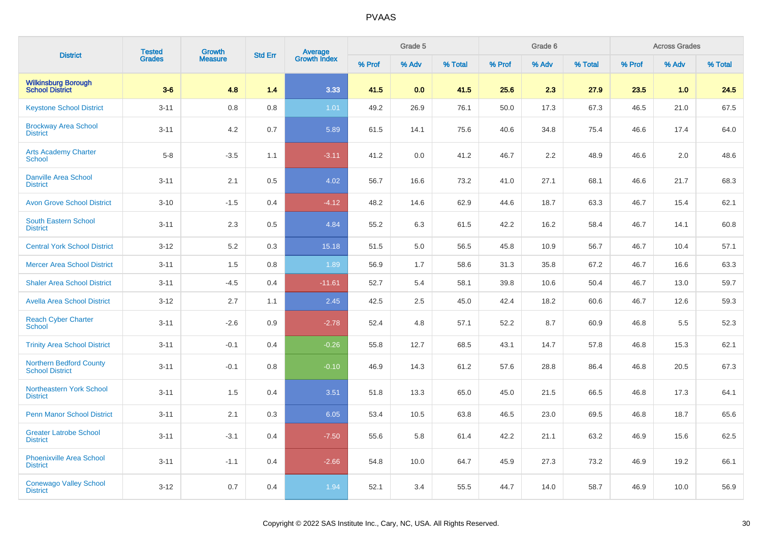| <b>District</b>                                          | <b>Tested</b> | <b>Growth</b>  | <b>Std Err</b> | <b>Average</b><br>Growth Index |        | Grade 5 |         |        | Grade 6 |         |        | <b>Across Grades</b> |         |
|----------------------------------------------------------|---------------|----------------|----------------|--------------------------------|--------|---------|---------|--------|---------|---------|--------|----------------------|---------|
|                                                          | <b>Grades</b> | <b>Measure</b> |                |                                | % Prof | % Adv   | % Total | % Prof | % Adv   | % Total | % Prof | % Adv                | % Total |
| <b>Wilkinsburg Borough<br/>School District</b>           | $3-6$         | 4.8            | 1.4            | 3.33                           | 41.5   | 0.0     | 41.5    | 25.6   | 2.3     | 27.9    | 23.5   | 1.0                  | 24.5    |
| <b>Keystone School District</b>                          | $3 - 11$      | 0.8            | 0.8            | 1.01                           | 49.2   | 26.9    | 76.1    | 50.0   | 17.3    | 67.3    | 46.5   | 21.0                 | 67.5    |
| <b>Brockway Area School</b><br><b>District</b>           | $3 - 11$      | 4.2            | 0.7            | 5.89                           | 61.5   | 14.1    | 75.6    | 40.6   | 34.8    | 75.4    | 46.6   | 17.4                 | 64.0    |
| <b>Arts Academy Charter</b><br><b>School</b>             | $5-8$         | $-3.5$         | 1.1            | $-3.11$                        | 41.2   | 0.0     | 41.2    | 46.7   | 2.2     | 48.9    | 46.6   | 2.0                  | 48.6    |
| <b>Danville Area School</b><br><b>District</b>           | $3 - 11$      | 2.1            | 0.5            | 4.02                           | 56.7   | 16.6    | 73.2    | 41.0   | 27.1    | 68.1    | 46.6   | 21.7                 | 68.3    |
| <b>Avon Grove School District</b>                        | $3 - 10$      | $-1.5$         | 0.4            | $-4.12$                        | 48.2   | 14.6    | 62.9    | 44.6   | 18.7    | 63.3    | 46.7   | 15.4                 | 62.1    |
| South Eastern School<br><b>District</b>                  | $3 - 11$      | 2.3            | 0.5            | 4.84                           | 55.2   | 6.3     | 61.5    | 42.2   | 16.2    | 58.4    | 46.7   | 14.1                 | 60.8    |
| <b>Central York School District</b>                      | $3-12$        | 5.2            | 0.3            | 15.18                          | 51.5   | 5.0     | 56.5    | 45.8   | 10.9    | 56.7    | 46.7   | 10.4                 | 57.1    |
| <b>Mercer Area School District</b>                       | $3 - 11$      | 1.5            | 0.8            | 1.89                           | 56.9   | 1.7     | 58.6    | 31.3   | 35.8    | 67.2    | 46.7   | 16.6                 | 63.3    |
| <b>Shaler Area School District</b>                       | $3 - 11$      | $-4.5$         | 0.4            | $-11.61$                       | 52.7   | 5.4     | 58.1    | 39.8   | 10.6    | 50.4    | 46.7   | 13.0                 | 59.7    |
| <b>Avella Area School District</b>                       | $3 - 12$      | 2.7            | 1.1            | 2.45                           | 42.5   | 2.5     | 45.0    | 42.4   | 18.2    | 60.6    | 46.7   | 12.6                 | 59.3    |
| <b>Reach Cyber Charter</b><br><b>School</b>              | $3 - 11$      | $-2.6$         | 0.9            | $-2.78$                        | 52.4   | 4.8     | 57.1    | 52.2   | 8.7     | 60.9    | 46.8   | 5.5                  | 52.3    |
| <b>Trinity Area School District</b>                      | $3 - 11$      | $-0.1$         | 0.4            | $-0.26$                        | 55.8   | 12.7    | 68.5    | 43.1   | 14.7    | 57.8    | 46.8   | 15.3                 | 62.1    |
| <b>Northern Bedford County</b><br><b>School District</b> | $3 - 11$      | $-0.1$         | 0.8            | $-0.10$                        | 46.9   | 14.3    | 61.2    | 57.6   | 28.8    | 86.4    | 46.8   | 20.5                 | 67.3    |
| Northeastern York School<br><b>District</b>              | $3 - 11$      | 1.5            | 0.4            | 3.51                           | 51.8   | 13.3    | 65.0    | 45.0   | 21.5    | 66.5    | 46.8   | 17.3                 | 64.1    |
| <b>Penn Manor School District</b>                        | $3 - 11$      | 2.1            | 0.3            | 6.05                           | 53.4   | 10.5    | 63.8    | 46.5   | 23.0    | 69.5    | 46.8   | 18.7                 | 65.6    |
| <b>Greater Latrobe School</b><br><b>District</b>         | $3 - 11$      | $-3.1$         | 0.4            | $-7.50$                        | 55.6   | 5.8     | 61.4    | 42.2   | 21.1    | 63.2    | 46.9   | 15.6                 | 62.5    |
| <b>Phoenixville Area School</b><br><b>District</b>       | $3 - 11$      | $-1.1$         | 0.4            | $-2.66$                        | 54.8   | 10.0    | 64.7    | 45.9   | 27.3    | 73.2    | 46.9   | 19.2                 | 66.1    |
| <b>Conewago Valley School</b><br><b>District</b>         | $3 - 12$      | 0.7            | 0.4            | 1.94                           | 52.1   | 3.4     | 55.5    | 44.7   | 14.0    | 58.7    | 46.9   | 10.0                 | 56.9    |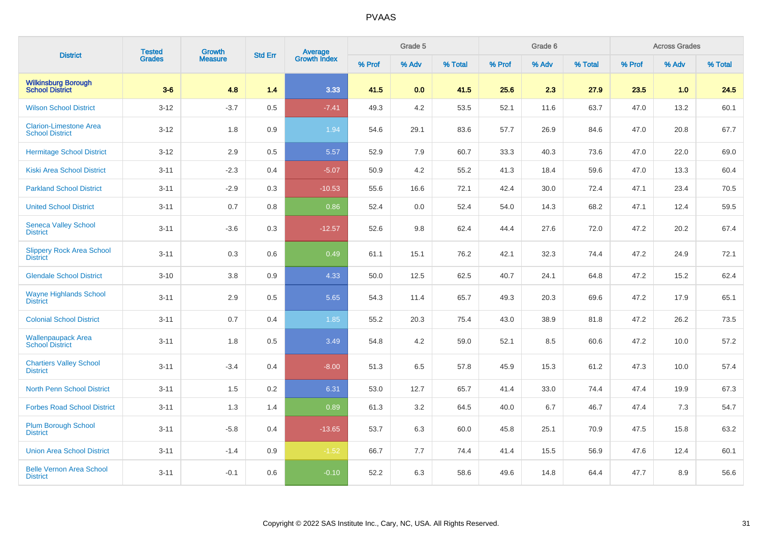| <b>District</b>                                         | <b>Tested</b> | <b>Growth</b><br><b>Measure</b> | <b>Std Err</b> | <b>Average</b><br>Growth Index |        | Grade 5 |         |        | Grade 6 |         |        | <b>Across Grades</b> |         |
|---------------------------------------------------------|---------------|---------------------------------|----------------|--------------------------------|--------|---------|---------|--------|---------|---------|--------|----------------------|---------|
|                                                         | Grades        |                                 |                |                                | % Prof | % Adv   | % Total | % Prof | % Adv   | % Total | % Prof | % Adv                | % Total |
| <b>Wilkinsburg Borough</b><br><b>School District</b>    | $3-6$         | 4.8                             | 1.4            | 3.33                           | 41.5   | 0.0     | 41.5    | 25.6   | 2.3     | 27.9    | 23.5   | 1.0                  | 24.5    |
| <b>Wilson School District</b>                           | $3 - 12$      | $-3.7$                          | 0.5            | $-7.41$                        | 49.3   | 4.2     | 53.5    | 52.1   | 11.6    | 63.7    | 47.0   | 13.2                 | 60.1    |
| <b>Clarion-Limestone Area</b><br><b>School District</b> | $3 - 12$      | 1.8                             | 0.9            | 1.94                           | 54.6   | 29.1    | 83.6    | 57.7   | 26.9    | 84.6    | 47.0   | 20.8                 | 67.7    |
| <b>Hermitage School District</b>                        | $3 - 12$      | 2.9                             | 0.5            | 5.57                           | 52.9   | 7.9     | 60.7    | 33.3   | 40.3    | 73.6    | 47.0   | 22.0                 | 69.0    |
| <b>Kiski Area School District</b>                       | $3 - 11$      | $-2.3$                          | 0.4            | $-5.07$                        | 50.9   | 4.2     | 55.2    | 41.3   | 18.4    | 59.6    | 47.0   | 13.3                 | 60.4    |
| <b>Parkland School District</b>                         | $3 - 11$      | $-2.9$                          | 0.3            | $-10.53$                       | 55.6   | 16.6    | 72.1    | 42.4   | 30.0    | 72.4    | 47.1   | 23.4                 | 70.5    |
| <b>United School District</b>                           | $3 - 11$      | 0.7                             | 0.8            | 0.86                           | 52.4   | 0.0     | 52.4    | 54.0   | 14.3    | 68.2    | 47.1   | 12.4                 | 59.5    |
| <b>Seneca Valley School</b><br><b>District</b>          | $3 - 11$      | $-3.6$                          | 0.3            | $-12.57$                       | 52.6   | 9.8     | 62.4    | 44.4   | 27.6    | 72.0    | 47.2   | 20.2                 | 67.4    |
| <b>Slippery Rock Area School</b><br><b>District</b>     | $3 - 11$      | 0.3                             | 0.6            | 0.49                           | 61.1   | 15.1    | 76.2    | 42.1   | 32.3    | 74.4    | 47.2   | 24.9                 | 72.1    |
| <b>Glendale School District</b>                         | $3 - 10$      | 3.8                             | 0.9            | 4.33                           | 50.0   | 12.5    | 62.5    | 40.7   | 24.1    | 64.8    | 47.2   | 15.2                 | 62.4    |
| <b>Wayne Highlands School</b><br><b>District</b>        | $3 - 11$      | 2.9                             | 0.5            | 5.65                           | 54.3   | 11.4    | 65.7    | 49.3   | 20.3    | 69.6    | 47.2   | 17.9                 | 65.1    |
| <b>Colonial School District</b>                         | $3 - 11$      | 0.7                             | 0.4            | 1.85                           | 55.2   | 20.3    | 75.4    | 43.0   | 38.9    | 81.8    | 47.2   | 26.2                 | 73.5    |
| Wallenpaupack Area<br><b>School District</b>            | $3 - 11$      | 1.8                             | 0.5            | 3.49                           | 54.8   | 4.2     | 59.0    | 52.1   | 8.5     | 60.6    | 47.2   | 10.0                 | 57.2    |
| <b>Chartiers Valley School</b><br><b>District</b>       | $3 - 11$      | $-3.4$                          | 0.4            | $-8.00$                        | 51.3   | 6.5     | 57.8    | 45.9   | 15.3    | 61.2    | 47.3   | 10.0                 | 57.4    |
| <b>North Penn School District</b>                       | $3 - 11$      | 1.5                             | 0.2            | 6.31                           | 53.0   | 12.7    | 65.7    | 41.4   | 33.0    | 74.4    | 47.4   | 19.9                 | 67.3    |
| <b>Forbes Road School District</b>                      | $3 - 11$      | 1.3                             | 1.4            | 0.89                           | 61.3   | 3.2     | 64.5    | 40.0   | 6.7     | 46.7    | 47.4   | 7.3                  | 54.7    |
| <b>Plum Borough School</b><br><b>District</b>           | $3 - 11$      | $-5.8$                          | 0.4            | $-13.65$                       | 53.7   | 6.3     | 60.0    | 45.8   | 25.1    | 70.9    | 47.5   | 15.8                 | 63.2    |
| <b>Union Area School District</b>                       | $3 - 11$      | $-1.4$                          | 0.9            | $-1.52$                        | 66.7   | 7.7     | 74.4    | 41.4   | 15.5    | 56.9    | 47.6   | 12.4                 | 60.1    |
| <b>Belle Vernon Area School</b><br><b>District</b>      | $3 - 11$      | $-0.1$                          | 0.6            | $-0.10$                        | 52.2   | 6.3     | 58.6    | 49.6   | 14.8    | 64.4    | 47.7   | 8.9                  | 56.6    |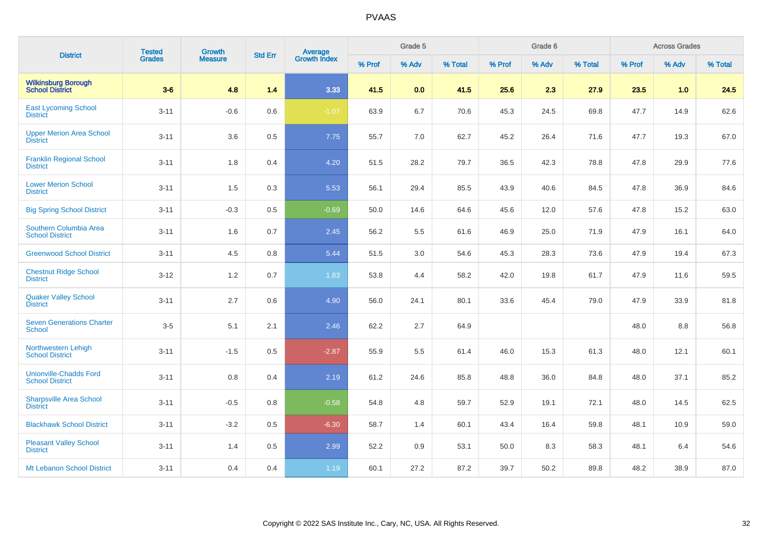| <b>District</b>                                         | <b>Tested</b> | Growth         | <b>Std Err</b> |                                |        | Grade 5 |         |        | Grade 6 |         |        | <b>Across Grades</b> |         |
|---------------------------------------------------------|---------------|----------------|----------------|--------------------------------|--------|---------|---------|--------|---------|---------|--------|----------------------|---------|
|                                                         | <b>Grades</b> | <b>Measure</b> |                | <b>Average</b><br>Growth Index | % Prof | % Adv   | % Total | % Prof | % Adv   | % Total | % Prof | % Adv                | % Total |
| <b>Wilkinsburg Borough</b><br><b>School District</b>    | $3-6$         | 4.8            | 1.4            | 3.33                           | 41.5   | 0.0     | 41.5    | 25.6   | 2.3     | 27.9    | 23.5   | 1.0                  | 24.5    |
| <b>East Lycoming School</b><br><b>District</b>          | $3 - 11$      | $-0.6$         | 0.6            | $-1.07$                        | 63.9   | 6.7     | 70.6    | 45.3   | 24.5    | 69.8    | 47.7   | 14.9                 | 62.6    |
| <b>Upper Merion Area School</b><br><b>District</b>      | $3 - 11$      | 3.6            | 0.5            | 7.75                           | 55.7   | $7.0\,$ | 62.7    | 45.2   | 26.4    | 71.6    | 47.7   | 19.3                 | 67.0    |
| <b>Franklin Regional School</b><br><b>District</b>      | $3 - 11$      | 1.8            | 0.4            | 4.20                           | 51.5   | 28.2    | 79.7    | 36.5   | 42.3    | 78.8    | 47.8   | 29.9                 | 77.6    |
| <b>Lower Merion School</b><br><b>District</b>           | $3 - 11$      | 1.5            | 0.3            | 5.53                           | 56.1   | 29.4    | 85.5    | 43.9   | 40.6    | 84.5    | 47.8   | 36.9                 | 84.6    |
| <b>Big Spring School District</b>                       | $3 - 11$      | $-0.3$         | 0.5            | $-0.69$                        | 50.0   | 14.6    | 64.6    | 45.6   | 12.0    | 57.6    | 47.8   | 15.2                 | 63.0    |
| Southern Columbia Area<br><b>School District</b>        | $3 - 11$      | 1.6            | 0.7            | 2.45                           | 56.2   | 5.5     | 61.6    | 46.9   | 25.0    | 71.9    | 47.9   | 16.1                 | 64.0    |
| <b>Greenwood School District</b>                        | $3 - 11$      | 4.5            | $0.8\,$        | 5.44                           | 51.5   | 3.0     | 54.6    | 45.3   | 28.3    | 73.6    | 47.9   | 19.4                 | 67.3    |
| <b>Chestnut Ridge School</b><br><b>District</b>         | $3 - 12$      | 1.2            | 0.7            | 1.83                           | 53.8   | 4.4     | 58.2    | 42.0   | 19.8    | 61.7    | 47.9   | 11.6                 | 59.5    |
| <b>Quaker Valley School</b><br><b>District</b>          | $3 - 11$      | 2.7            | 0.6            | 4.90                           | 56.0   | 24.1    | 80.1    | 33.6   | 45.4    | 79.0    | 47.9   | 33.9                 | 81.8    |
| <b>Seven Generations Charter</b><br><b>School</b>       | $3-5$         | 5.1            | 2.1            | 2.46                           | 62.2   | 2.7     | 64.9    |        |         |         | 48.0   | 8.8                  | 56.8    |
| Northwestern Lehigh<br><b>School District</b>           | $3 - 11$      | $-1.5$         | 0.5            | $-2.87$                        | 55.9   | 5.5     | 61.4    | 46.0   | 15.3    | 61.3    | 48.0   | 12.1                 | 60.1    |
| <b>Unionville-Chadds Ford</b><br><b>School District</b> | $3 - 11$      | 0.8            | 0.4            | 2.19                           | 61.2   | 24.6    | 85.8    | 48.8   | 36.0    | 84.8    | 48.0   | 37.1                 | 85.2    |
| Sharpsville Area School<br><b>District</b>              | $3 - 11$      | $-0.5$         | 0.8            | $-0.58$                        | 54.8   | 4.8     | 59.7    | 52.9   | 19.1    | 72.1    | 48.0   | 14.5                 | 62.5    |
| <b>Blackhawk School District</b>                        | $3 - 11$      | $-3.2$         | 0.5            | $-6.30$                        | 58.7   | 1.4     | 60.1    | 43.4   | 16.4    | 59.8    | 48.1   | 10.9                 | 59.0    |
| <b>Pleasant Valley School</b><br><b>District</b>        | $3 - 11$      | 1.4            | 0.5            | 2.99                           | 52.2   | 0.9     | 53.1    | 50.0   | 8.3     | 58.3    | 48.1   | 6.4                  | 54.6    |
| Mt Lebanon School District                              | $3 - 11$      | 0.4            | 0.4            | 1.19                           | 60.1   | 27.2    | 87.2    | 39.7   | 50.2    | 89.8    | 48.2   | 38.9                 | 87.0    |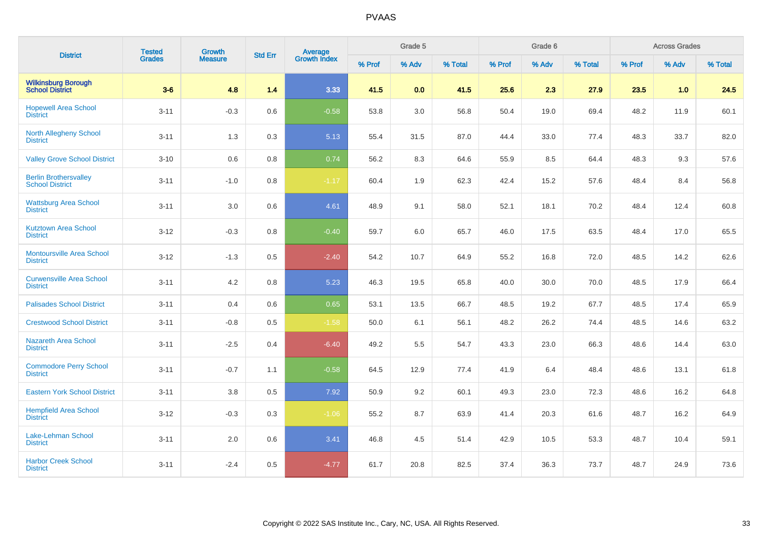| <b>District</b>                                        | <b>Tested</b> | Growth         | <b>Std Err</b> |                                |        | Grade 5 |         |        | Grade 6 |         |        | <b>Across Grades</b> |         |
|--------------------------------------------------------|---------------|----------------|----------------|--------------------------------|--------|---------|---------|--------|---------|---------|--------|----------------------|---------|
|                                                        | <b>Grades</b> | <b>Measure</b> |                | <b>Average</b><br>Growth Index | % Prof | % Adv   | % Total | % Prof | % Adv   | % Total | % Prof | % Adv                | % Total |
| <b>Wilkinsburg Borough</b><br><b>School District</b>   | $3-6$         | 4.8            | 1.4            | 3.33                           | 41.5   | 0.0     | 41.5    | 25.6   | 2.3     | 27.9    | 23.5   | 1.0                  | 24.5    |
| <b>Hopewell Area School</b><br><b>District</b>         | $3 - 11$      | $-0.3$         | 0.6            | $-0.58$                        | 53.8   | 3.0     | 56.8    | 50.4   | 19.0    | 69.4    | 48.2   | 11.9                 | 60.1    |
| <b>North Allegheny School</b><br><b>District</b>       | $3 - 11$      | 1.3            | 0.3            | 5.13                           | 55.4   | 31.5    | 87.0    | 44.4   | 33.0    | 77.4    | 48.3   | 33.7                 | 82.0    |
| <b>Valley Grove School District</b>                    | $3 - 10$      | $0.6\,$        | 0.8            | 0.74                           | 56.2   | 8.3     | 64.6    | 55.9   | 8.5     | 64.4    | 48.3   | 9.3                  | 57.6    |
| <b>Berlin Brothersvalley</b><br><b>School District</b> | $3 - 11$      | $-1.0$         | 0.8            | $-1.17$                        | 60.4   | 1.9     | 62.3    | 42.4   | 15.2    | 57.6    | 48.4   | 8.4                  | 56.8    |
| <b>Wattsburg Area School</b><br><b>District</b>        | $3 - 11$      | 3.0            | 0.6            | 4.61                           | 48.9   | 9.1     | 58.0    | 52.1   | 18.1    | 70.2    | 48.4   | 12.4                 | 60.8    |
| <b>Kutztown Area School</b><br><b>District</b>         | $3 - 12$      | $-0.3$         | 0.8            | $-0.40$                        | 59.7   | 6.0     | 65.7    | 46.0   | 17.5    | 63.5    | 48.4   | 17.0                 | 65.5    |
| <b>Montoursville Area School</b><br><b>District</b>    | $3 - 12$      | $-1.3$         | 0.5            | $-2.40$                        | 54.2   | 10.7    | 64.9    | 55.2   | 16.8    | 72.0    | 48.5   | 14.2                 | 62.6    |
| <b>Curwensville Area School</b><br><b>District</b>     | $3 - 11$      | 4.2            | 0.8            | 5.23                           | 46.3   | 19.5    | 65.8    | 40.0   | 30.0    | 70.0    | 48.5   | 17.9                 | 66.4    |
| <b>Palisades School District</b>                       | $3 - 11$      | 0.4            | 0.6            | 0.65                           | 53.1   | 13.5    | 66.7    | 48.5   | 19.2    | 67.7    | 48.5   | 17.4                 | 65.9    |
| <b>Crestwood School District</b>                       | $3 - 11$      | $-0.8$         | 0.5            | $-1.58$                        | 50.0   | 6.1     | 56.1    | 48.2   | 26.2    | 74.4    | 48.5   | 14.6                 | 63.2    |
| <b>Nazareth Area School</b><br><b>District</b>         | $3 - 11$      | $-2.5$         | 0.4            | $-6.40$                        | 49.2   | 5.5     | 54.7    | 43.3   | 23.0    | 66.3    | 48.6   | 14.4                 | 63.0    |
| <b>Commodore Perry School</b><br><b>District</b>       | $3 - 11$      | $-0.7$         | 1.1            | $-0.58$                        | 64.5   | 12.9    | 77.4    | 41.9   | 6.4     | 48.4    | 48.6   | 13.1                 | 61.8    |
| <b>Eastern York School District</b>                    | $3 - 11$      | $3.8\,$        | 0.5            | 7.92                           | 50.9   | 9.2     | 60.1    | 49.3   | 23.0    | 72.3    | 48.6   | 16.2                 | 64.8    |
| <b>Hempfield Area School</b><br><b>District</b>        | $3 - 12$      | $-0.3$         | 0.3            | $-1.06$                        | 55.2   | 8.7     | 63.9    | 41.4   | 20.3    | 61.6    | 48.7   | 16.2                 | 64.9    |
| Lake-Lehman School<br><b>District</b>                  | $3 - 11$      | 2.0            | 0.6            | 3.41                           | 46.8   | 4.5     | 51.4    | 42.9   | 10.5    | 53.3    | 48.7   | 10.4                 | 59.1    |
| <b>Harbor Creek School</b><br><b>District</b>          | $3 - 11$      | $-2.4$         | 0.5            | $-4.77$                        | 61.7   | 20.8    | 82.5    | 37.4   | 36.3    | 73.7    | 48.7   | 24.9                 | 73.6    |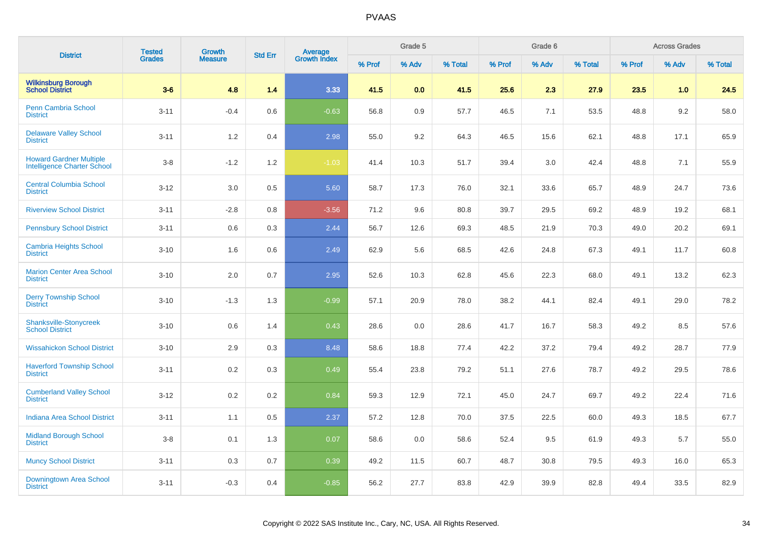| <b>District</b>                                               | <b>Tested</b> | <b>Growth</b>  | <b>Std Err</b> | Average<br>Growth Index |        | Grade 5 |         |        | Grade 6 |         |        | <b>Across Grades</b> |         |
|---------------------------------------------------------------|---------------|----------------|----------------|-------------------------|--------|---------|---------|--------|---------|---------|--------|----------------------|---------|
|                                                               | <b>Grades</b> | <b>Measure</b> |                |                         | % Prof | % Adv   | % Total | % Prof | % Adv   | % Total | % Prof | % Adv                | % Total |
| <b>Wilkinsburg Borough</b><br><b>School District</b>          | $3-6$         | 4.8            | 1.4            | 3.33                    | 41.5   | 0.0     | 41.5    | 25.6   | 2.3     | 27.9    | 23.5   | 1.0                  | 24.5    |
| <b>Penn Cambria School</b><br><b>District</b>                 | $3 - 11$      | $-0.4$         | 0.6            | $-0.63$                 | 56.8   | 0.9     | 57.7    | 46.5   | 7.1     | 53.5    | 48.8   | 9.2                  | 58.0    |
| <b>Delaware Valley School</b><br><b>District</b>              | $3 - 11$      | 1.2            | 0.4            | 2.98                    | 55.0   | 9.2     | 64.3    | 46.5   | 15.6    | 62.1    | 48.8   | 17.1                 | 65.9    |
| <b>Howard Gardner Multiple</b><br>Intelligence Charter School | $3 - 8$       | $-1.2$         | 1.2            | $-1.03$                 | 41.4   | 10.3    | 51.7    | 39.4   | 3.0     | 42.4    | 48.8   | 7.1                  | 55.9    |
| <b>Central Columbia School</b><br><b>District</b>             | $3 - 12$      | 3.0            | 0.5            | 5.60                    | 58.7   | 17.3    | 76.0    | 32.1   | 33.6    | 65.7    | 48.9   | 24.7                 | 73.6    |
| <b>Riverview School District</b>                              | $3 - 11$      | $-2.8$         | 0.8            | $-3.56$                 | 71.2   | 9.6     | 80.8    | 39.7   | 29.5    | 69.2    | 48.9   | 19.2                 | 68.1    |
| <b>Pennsbury School District</b>                              | $3 - 11$      | 0.6            | 0.3            | 2.44                    | 56.7   | 12.6    | 69.3    | 48.5   | 21.9    | 70.3    | 49.0   | 20.2                 | 69.1    |
| <b>Cambria Heights School</b><br><b>District</b>              | $3 - 10$      | 1.6            | 0.6            | 2.49                    | 62.9   | 5.6     | 68.5    | 42.6   | 24.8    | 67.3    | 49.1   | 11.7                 | 60.8    |
| <b>Marion Center Area School</b><br><b>District</b>           | $3 - 10$      | 2.0            | 0.7            | 2.95                    | 52.6   | 10.3    | 62.8    | 45.6   | 22.3    | 68.0    | 49.1   | 13.2                 | 62.3    |
| <b>Derry Township School</b><br><b>District</b>               | $3 - 10$      | $-1.3$         | 1.3            | $-0.99$                 | 57.1   | 20.9    | 78.0    | 38.2   | 44.1    | 82.4    | 49.1   | 29.0                 | 78.2    |
| <b>Shanksville-Stonycreek</b><br><b>School District</b>       | $3 - 10$      | 0.6            | 1.4            | 0.43                    | 28.6   | 0.0     | 28.6    | 41.7   | 16.7    | 58.3    | 49.2   | 8.5                  | 57.6    |
| <b>Wissahickon School District</b>                            | $3 - 10$      | 2.9            | 0.3            | 8.48                    | 58.6   | 18.8    | 77.4    | 42.2   | 37.2    | 79.4    | 49.2   | 28.7                 | 77.9    |
| <b>Haverford Township School</b><br><b>District</b>           | $3 - 11$      | 0.2            | 0.3            | 0.49                    | 55.4   | 23.8    | 79.2    | 51.1   | 27.6    | 78.7    | 49.2   | 29.5                 | 78.6    |
| <b>Cumberland Valley School</b><br><b>District</b>            | $3 - 12$      | 0.2            | 0.2            | 0.84                    | 59.3   | 12.9    | 72.1    | 45.0   | 24.7    | 69.7    | 49.2   | 22.4                 | 71.6    |
| <b>Indiana Area School District</b>                           | $3 - 11$      | 1.1            | 0.5            | 2.37                    | 57.2   | 12.8    | 70.0    | 37.5   | 22.5    | 60.0    | 49.3   | 18.5                 | 67.7    |
| <b>Midland Borough School</b><br><b>District</b>              | $3-8$         | 0.1            | 1.3            | 0.07                    | 58.6   | 0.0     | 58.6    | 52.4   | 9.5     | 61.9    | 49.3   | 5.7                  | 55.0    |
| <b>Muncy School District</b>                                  | $3 - 11$      | 0.3            | 0.7            | 0.39                    | 49.2   | 11.5    | 60.7    | 48.7   | 30.8    | 79.5    | 49.3   | 16.0                 | 65.3    |
| <b>Downingtown Area School</b><br><b>District</b>             | $3 - 11$      | $-0.3$         | 0.4            | $-0.85$                 | 56.2   | 27.7    | 83.8    | 42.9   | 39.9    | 82.8    | 49.4   | 33.5                 | 82.9    |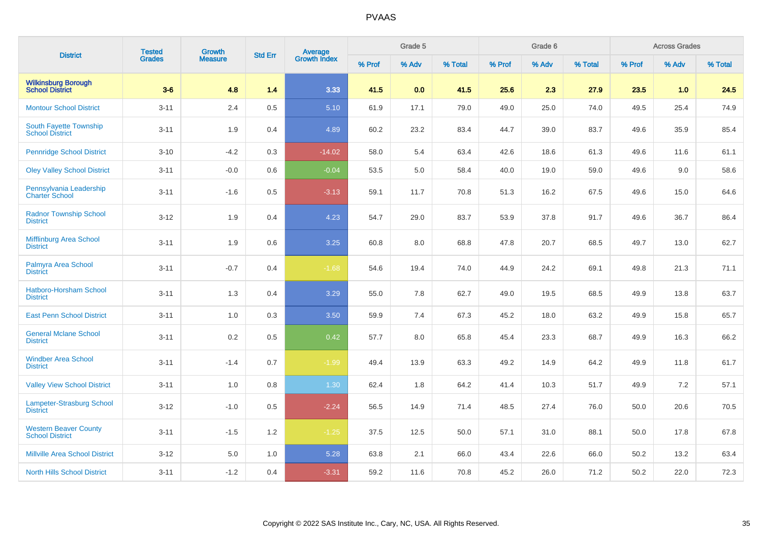| <b>District</b>                                        | <b>Tested</b> | <b>Growth</b>  | <b>Std Err</b> |                                |        | Grade 5 |         |        | Grade 6 |         |        | <b>Across Grades</b> |         |
|--------------------------------------------------------|---------------|----------------|----------------|--------------------------------|--------|---------|---------|--------|---------|---------|--------|----------------------|---------|
|                                                        | <b>Grades</b> | <b>Measure</b> |                | <b>Average</b><br>Growth Index | % Prof | % Adv   | % Total | % Prof | % Adv   | % Total | % Prof | % Adv                | % Total |
| <b>Wilkinsburg Borough</b><br><b>School District</b>   | $3-6$         | 4.8            | 1.4            | 3.33                           | 41.5   | 0.0     | 41.5    | 25.6   | 2.3     | 27.9    | 23.5   | 1.0                  | 24.5    |
| <b>Montour School District</b>                         | $3 - 11$      | 2.4            | 0.5            | 5.10                           | 61.9   | 17.1    | 79.0    | 49.0   | 25.0    | 74.0    | 49.5   | 25.4                 | 74.9    |
| South Fayette Township<br><b>School District</b>       | $3 - 11$      | 1.9            | 0.4            | 4.89                           | 60.2   | 23.2    | 83.4    | 44.7   | 39.0    | 83.7    | 49.6   | 35.9                 | 85.4    |
| <b>Pennridge School District</b>                       | $3 - 10$      | $-4.2$         | 0.3            | $-14.02$                       | 58.0   | 5.4     | 63.4    | 42.6   | 18.6    | 61.3    | 49.6   | 11.6                 | 61.1    |
| <b>Oley Valley School District</b>                     | $3 - 11$      | $-0.0$         | 0.6            | $-0.04$                        | 53.5   | 5.0     | 58.4    | 40.0   | 19.0    | 59.0    | 49.6   | 9.0                  | 58.6    |
| Pennsylvania Leadership<br><b>Charter School</b>       | $3 - 11$      | $-1.6$         | 0.5            | $-3.13$                        | 59.1   | 11.7    | 70.8    | 51.3   | 16.2    | 67.5    | 49.6   | 15.0                 | 64.6    |
| <b>Radnor Township School</b><br><b>District</b>       | $3 - 12$      | 1.9            | 0.4            | 4.23                           | 54.7   | 29.0    | 83.7    | 53.9   | 37.8    | 91.7    | 49.6   | 36.7                 | 86.4    |
| Mifflinburg Area School<br><b>District</b>             | $3 - 11$      | 1.9            | 0.6            | 3.25                           | 60.8   | 8.0     | 68.8    | 47.8   | 20.7    | 68.5    | 49.7   | 13.0                 | 62.7    |
| Palmyra Area School<br><b>District</b>                 | $3 - 11$      | $-0.7$         | 0.4            | $-1.68$                        | 54.6   | 19.4    | 74.0    | 44.9   | 24.2    | 69.1    | 49.8   | 21.3                 | 71.1    |
| Hatboro-Horsham School<br><b>District</b>              | $3 - 11$      | 1.3            | 0.4            | 3.29                           | 55.0   | 7.8     | 62.7    | 49.0   | 19.5    | 68.5    | 49.9   | 13.8                 | 63.7    |
| <b>East Penn School District</b>                       | $3 - 11$      | 1.0            | 0.3            | 3.50                           | 59.9   | 7.4     | 67.3    | 45.2   | 18.0    | 63.2    | 49.9   | 15.8                 | 65.7    |
| <b>General Mclane School</b><br><b>District</b>        | $3 - 11$      | 0.2            | 0.5            | 0.42                           | 57.7   | 8.0     | 65.8    | 45.4   | 23.3    | 68.7    | 49.9   | 16.3                 | 66.2    |
| <b>Windber Area School</b><br><b>District</b>          | $3 - 11$      | $-1.4$         | 0.7            | $-1.99$                        | 49.4   | 13.9    | 63.3    | 49.2   | 14.9    | 64.2    | 49.9   | 11.8                 | 61.7    |
| <b>Valley View School District</b>                     | $3 - 11$      | $1.0$          | 0.8            | 1.30                           | 62.4   | 1.8     | 64.2    | 41.4   | 10.3    | 51.7    | 49.9   | 7.2                  | 57.1    |
| <b>Lampeter-Strasburg School</b><br><b>District</b>    | $3 - 12$      | $-1.0$         | 0.5            | $-2.24$                        | 56.5   | 14.9    | 71.4    | 48.5   | 27.4    | 76.0    | 50.0   | 20.6                 | 70.5    |
| <b>Western Beaver County</b><br><b>School District</b> | $3 - 11$      | $-1.5$         | 1.2            | $-1.25$                        | 37.5   | 12.5    | 50.0    | 57.1   | 31.0    | 88.1    | 50.0   | 17.8                 | 67.8    |
| <b>Millville Area School District</b>                  | $3 - 12$      | $5.0\,$        | 1.0            | 5.28                           | 63.8   | 2.1     | 66.0    | 43.4   | 22.6    | 66.0    | 50.2   | 13.2                 | 63.4    |
| <b>North Hills School District</b>                     | $3 - 11$      | $-1.2$         | 0.4            | $-3.31$                        | 59.2   | 11.6    | 70.8    | 45.2   | 26.0    | 71.2    | 50.2   | 22.0                 | 72.3    |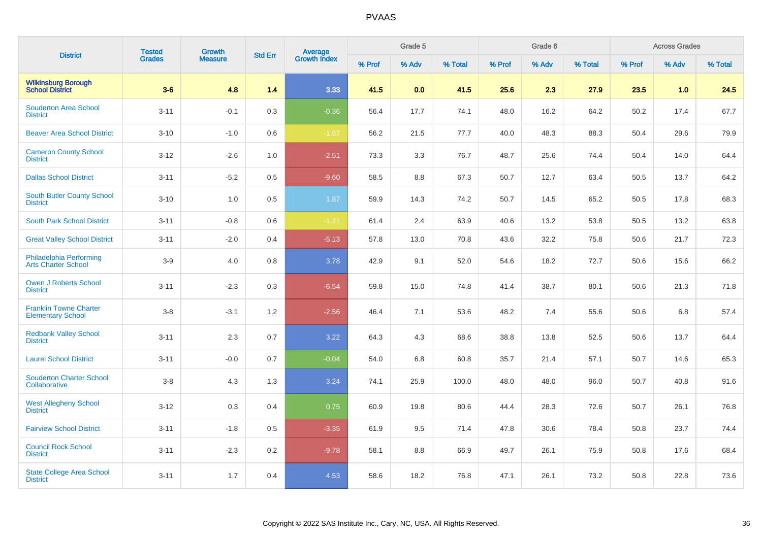| <b>District</b>                                           | <b>Tested</b> | Growth         | <b>Std Err</b> | <b>Average</b><br>Growth Index |        | Grade 5 |         |        | Grade 6 |         |        | <b>Across Grades</b> |         |
|-----------------------------------------------------------|---------------|----------------|----------------|--------------------------------|--------|---------|---------|--------|---------|---------|--------|----------------------|---------|
|                                                           | <b>Grades</b> | <b>Measure</b> |                |                                | % Prof | % Adv   | % Total | % Prof | % Adv   | % Total | % Prof | % Adv                | % Total |
| <b>Wilkinsburg Borough</b><br><b>School District</b>      | $3-6$         | 4.8            | 1.4            | 3.33                           | 41.5   | 0.0     | 41.5    | 25.6   | 2.3     | 27.9    | 23.5   | 1.0                  | 24.5    |
| <b>Souderton Area School</b><br><b>District</b>           | $3 - 11$      | $-0.1$         | 0.3            | $-0.36$                        | 56.4   | 17.7    | 74.1    | 48.0   | 16.2    | 64.2    | 50.2   | 17.4                 | 67.7    |
| <b>Beaver Area School District</b>                        | $3 - 10$      | $-1.0$         | 0.6            | $-1.67$                        | 56.2   | 21.5    | 77.7    | 40.0   | 48.3    | 88.3    | 50.4   | 29.6                 | 79.9    |
| <b>Cameron County School</b><br><b>District</b>           | $3-12$        | $-2.6$         | 1.0            | $-2.51$                        | 73.3   | 3.3     | 76.7    | 48.7   | 25.6    | 74.4    | 50.4   | 14.0                 | 64.4    |
| <b>Dallas School District</b>                             | $3 - 11$      | $-5.2$         | 0.5            | $-9.60$                        | 58.5   | 8.8     | 67.3    | 50.7   | 12.7    | 63.4    | 50.5   | 13.7                 | 64.2    |
| South Butler County School<br><b>District</b>             | $3 - 10$      | 1.0            | 0.5            | 1.87                           | 59.9   | 14.3    | 74.2    | 50.7   | 14.5    | 65.2    | 50.5   | 17.8                 | 68.3    |
| <b>South Park School District</b>                         | $3 - 11$      | $-0.8$         | 0.6            | $-1.21$                        | 61.4   | 2.4     | 63.9    | 40.6   | 13.2    | 53.8    | 50.5   | 13.2                 | 63.8    |
| <b>Great Valley School District</b>                       | $3 - 11$      | $-2.0$         | 0.4            | $-5.13$                        | 57.8   | 13.0    | 70.8    | 43.6   | 32.2    | 75.8    | 50.6   | 21.7                 | 72.3    |
| Philadelphia Performing<br><b>Arts Charter School</b>     | $3-9$         | 4.0            | 0.8            | 3.78                           | 42.9   | 9.1     | 52.0    | 54.6   | 18.2    | 72.7    | 50.6   | 15.6                 | 66.2    |
| <b>Owen J Roberts School</b><br><b>District</b>           | $3 - 11$      | $-2.3$         | 0.3            | $-6.54$                        | 59.8   | 15.0    | 74.8    | 41.4   | 38.7    | 80.1    | 50.6   | 21.3                 | 71.8    |
| <b>Franklin Towne Charter</b><br><b>Elementary School</b> | $3-8$         | $-3.1$         | 1.2            | $-2.56$                        | 46.4   | 7.1     | 53.6    | 48.2   | 7.4     | 55.6    | 50.6   | 6.8                  | 57.4    |
| <b>Redbank Valley School</b><br><b>District</b>           | $3 - 11$      | 2.3            | 0.7            | 3.22                           | 64.3   | 4.3     | 68.6    | 38.8   | 13.8    | 52.5    | 50.6   | 13.7                 | 64.4    |
| <b>Laurel School District</b>                             | $3 - 11$      | $-0.0$         | 0.7            | $-0.04$                        | 54.0   | 6.8     | 60.8    | 35.7   | 21.4    | 57.1    | 50.7   | 14.6                 | 65.3    |
| <b>Souderton Charter School</b><br>Collaborative          | $3-8$         | 4.3            | 1.3            | 3.24                           | 74.1   | 25.9    | 100.0   | 48.0   | 48.0    | 96.0    | 50.7   | 40.8                 | 91.6    |
| <b>West Allegheny School</b><br><b>District</b>           | $3-12$        | 0.3            | 0.4            | 0.75                           | 60.9   | 19.8    | 80.6    | 44.4   | 28.3    | 72.6    | 50.7   | 26.1                 | 76.8    |
| <b>Fairview School District</b>                           | $3 - 11$      | $-1.8$         | 0.5            | $-3.35$                        | 61.9   | 9.5     | 71.4    | 47.8   | 30.6    | 78.4    | 50.8   | 23.7                 | 74.4    |
| <b>Council Rock School</b><br><b>District</b>             | $3 - 11$      | $-2.3$         | 0.2            | $-9.78$                        | 58.1   | $8.8\,$ | 66.9    | 49.7   | 26.1    | 75.9    | 50.8   | 17.6                 | 68.4    |
| <b>State College Area School</b><br><b>District</b>       | $3 - 11$      | 1.7            | 0.4            | 4.53                           | 58.6   | 18.2    | 76.8    | 47.1   | 26.1    | 73.2    | 50.8   | 22.8                 | 73.6    |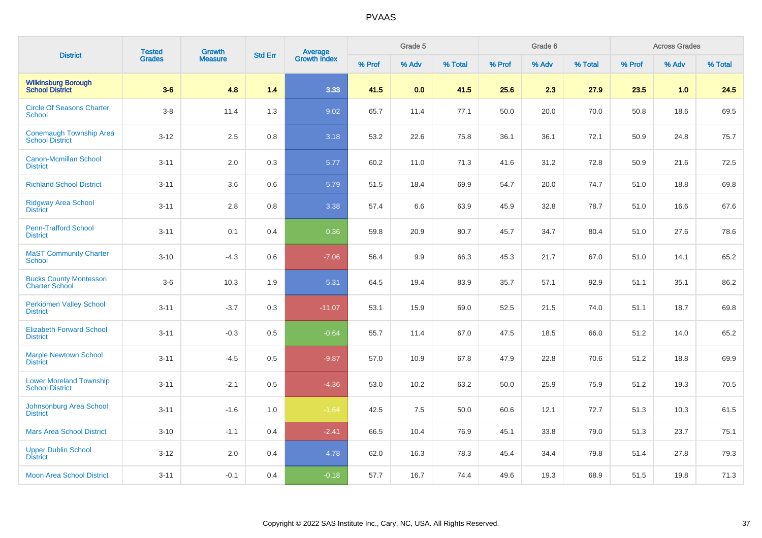| <b>District</b>                                          | <b>Tested</b> | <b>Growth</b>  | <b>Std Err</b> | <b>Average</b><br>Growth Index |        | Grade 5 |         |        | Grade 6 |         |        | <b>Across Grades</b> |         |
|----------------------------------------------------------|---------------|----------------|----------------|--------------------------------|--------|---------|---------|--------|---------|---------|--------|----------------------|---------|
|                                                          | Grades        | <b>Measure</b> |                |                                | % Prof | % Adv   | % Total | % Prof | % Adv   | % Total | % Prof | % Adv                | % Total |
| <b>Wilkinsburg Borough</b><br><b>School District</b>     | $3-6$         | 4.8            | 1.4            | 3.33                           | 41.5   | 0.0     | 41.5    | 25.6   | 2.3     | 27.9    | 23.5   | 1.0                  | 24.5    |
| <b>Circle Of Seasons Charter</b><br>School               | $3-8$         | 11.4           | 1.3            | 9.02                           | 65.7   | 11.4    | 77.1    | 50.0   | 20.0    | 70.0    | 50.8   | 18.6                 | 69.5    |
| <b>Conemaugh Township Area</b><br><b>School District</b> | $3 - 12$      | 2.5            | 0.8            | 3.18                           | 53.2   | 22.6    | 75.8    | 36.1   | 36.1    | 72.1    | 50.9   | 24.8                 | 75.7    |
| <b>Canon-Mcmillan School</b><br><b>District</b>          | $3 - 11$      | $2.0\,$        | 0.3            | 5.77                           | 60.2   | 11.0    | 71.3    | 41.6   | 31.2    | 72.8    | 50.9   | 21.6                 | 72.5    |
| <b>Richland School District</b>                          | $3 - 11$      | 3.6            | 0.6            | 5.79                           | 51.5   | 18.4    | 69.9    | 54.7   | 20.0    | 74.7    | 51.0   | 18.8                 | 69.8    |
| <b>Ridgway Area School</b><br><b>District</b>            | $3 - 11$      | 2.8            | 0.8            | 3.38                           | 57.4   | 6.6     | 63.9    | 45.9   | 32.8    | 78.7    | 51.0   | 16.6                 | 67.6    |
| <b>Penn-Trafford School</b><br><b>District</b>           | $3 - 11$      | 0.1            | 0.4            | 0.36                           | 59.8   | 20.9    | 80.7    | 45.7   | 34.7    | 80.4    | 51.0   | 27.6                 | 78.6    |
| <b>MaST Community Charter</b><br>School                  | $3 - 10$      | $-4.3$         | 0.6            | $-7.06$                        | 56.4   | 9.9     | 66.3    | 45.3   | 21.7    | 67.0    | 51.0   | 14.1                 | 65.2    |
| <b>Bucks County Montessori</b><br><b>Charter School</b>  | $3-6$         | 10.3           | 1.9            | 5.31                           | 64.5   | 19.4    | 83.9    | 35.7   | 57.1    | 92.9    | 51.1   | 35.1                 | 86.2    |
| <b>Perkiomen Valley School</b><br><b>District</b>        | $3 - 11$      | $-3.7$         | 0.3            | $-11.07$                       | 53.1   | 15.9    | 69.0    | 52.5   | 21.5    | 74.0    | 51.1   | 18.7                 | 69.8    |
| <b>Elizabeth Forward School</b><br><b>District</b>       | $3 - 11$      | $-0.3$         | 0.5            | $-0.64$                        | 55.7   | 11.4    | 67.0    | 47.5   | 18.5    | 66.0    | 51.2   | 14.0                 | 65.2    |
| <b>Marple Newtown School</b><br><b>District</b>          | $3 - 11$      | $-4.5$         | 0.5            | $-9.87$                        | 57.0   | 10.9    | 67.8    | 47.9   | 22.8    | 70.6    | 51.2   | 18.8                 | 69.9    |
| <b>Lower Moreland Township</b><br><b>School District</b> | $3 - 11$      | $-2.1$         | 0.5            | $-4.36$                        | 53.0   | 10.2    | 63.2    | 50.0   | 25.9    | 75.9    | 51.2   | 19.3                 | 70.5    |
| Johnsonburg Area School<br><b>District</b>               | $3 - 11$      | $-1.6$         | 1.0            | $-1.64$                        | 42.5   | 7.5     | 50.0    | 60.6   | 12.1    | 72.7    | 51.3   | 10.3                 | 61.5    |
| <b>Mars Area School District</b>                         | $3 - 10$      | $-1.1$         | 0.4            | $-2.41$                        | 66.5   | 10.4    | 76.9    | 45.1   | 33.8    | 79.0    | 51.3   | 23.7                 | 75.1    |
| <b>Upper Dublin School</b><br><b>District</b>            | $3 - 12$      | 2.0            | 0.4            | 4.78                           | 62.0   | 16.3    | 78.3    | 45.4   | 34.4    | 79.8    | 51.4   | 27.8                 | 79.3    |
| <b>Moon Area School District</b>                         | $3 - 11$      | $-0.1$         | 0.4            | $-0.18$                        | 57.7   | 16.7    | 74.4    | 49.6   | 19.3    | 68.9    | 51.5   | 19.8                 | 71.3    |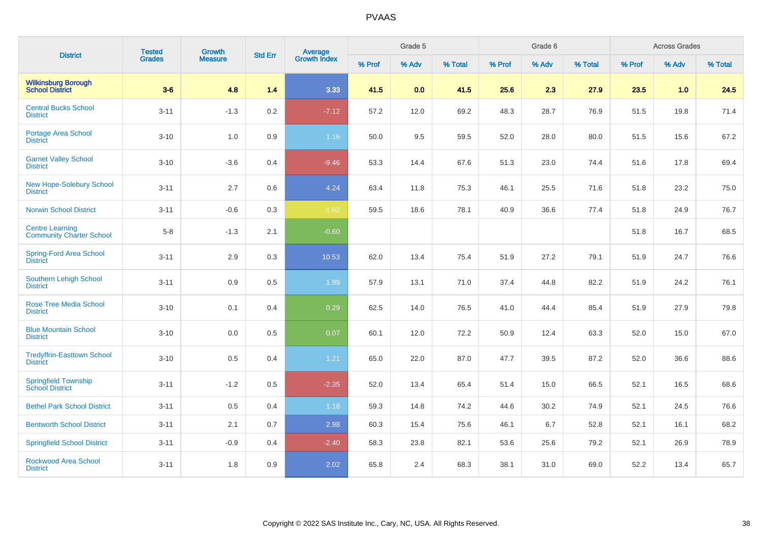| <b>District</b>                                           | <b>Tested</b> | <b>Growth</b>  | <b>Std Err</b> | <b>Average</b><br>Growth Index |        | Grade 5 |         |        | Grade 6 |         |        | <b>Across Grades</b> |         |
|-----------------------------------------------------------|---------------|----------------|----------------|--------------------------------|--------|---------|---------|--------|---------|---------|--------|----------------------|---------|
|                                                           | <b>Grades</b> | <b>Measure</b> |                |                                | % Prof | % Adv   | % Total | % Prof | % Adv   | % Total | % Prof | % Adv                | % Total |
| <b>Wilkinsburg Borough</b><br><b>School District</b>      | $3-6$         | 4.8            | 1.4            | 3.33                           | 41.5   | 0.0     | 41.5    | 25.6   | 2.3     | 27.9    | 23.5   | 1.0                  | 24.5    |
| <b>Central Bucks School</b><br><b>District</b>            | $3 - 11$      | $-1.3$         | 0.2            | $-7.12$                        | 57.2   | 12.0    | 69.2    | 48.3   | 28.7    | 76.9    | 51.5   | 19.8                 | 71.4    |
| Portage Area School<br><b>District</b>                    | $3 - 10$      | 1.0            | 0.9            | $1.16$                         | 50.0   | 9.5     | 59.5    | 52.0   | 28.0    | 80.0    | 51.5   | 15.6                 | 67.2    |
| <b>Garnet Valley School</b><br><b>District</b>            | $3 - 10$      | $-3.6$         | 0.4            | $-9.46$                        | 53.3   | 14.4    | 67.6    | 51.3   | 23.0    | 74.4    | 51.6   | 17.8                 | 69.4    |
| New Hope-Solebury School<br><b>District</b>               | $3 - 11$      | 2.7            | 0.6            | 4.24                           | 63.4   | 11.8    | 75.3    | 46.1   | 25.5    | 71.6    | 51.8   | 23.2                 | 75.0    |
| <b>Norwin School District</b>                             | $3 - 11$      | $-0.6$         | 0.3            | $-1.62$                        | 59.5   | 18.6    | 78.1    | 40.9   | 36.6    | 77.4    | 51.8   | 24.9                 | 76.7    |
| <b>Centre Learning</b><br><b>Community Charter School</b> | $5 - 8$       | $-1.3$         | 2.1            | $-0.60$                        |        |         |         |        |         |         | 51.8   | 16.7                 | 68.5    |
| <b>Spring-Ford Area School</b><br><b>District</b>         | $3 - 11$      | 2.9            | 0.3            | 10.53                          | 62.0   | 13.4    | 75.4    | 51.9   | 27.2    | 79.1    | 51.9   | 24.7                 | 76.6    |
| <b>Southern Lehigh School</b><br><b>District</b>          | $3 - 11$      | 0.9            | 0.5            | 1.99                           | 57.9   | 13.1    | 71.0    | 37.4   | 44.8    | 82.2    | 51.9   | 24.2                 | 76.1    |
| <b>Rose Tree Media School</b><br><b>District</b>          | $3 - 10$      | 0.1            | 0.4            | 0.29                           | 62.5   | 14.0    | 76.5    | 41.0   | 44.4    | 85.4    | 51.9   | 27.9                 | 79.8    |
| <b>Blue Mountain School</b><br><b>District</b>            | $3 - 10$      | 0.0            | 0.5            | 0.07                           | 60.1   | 12.0    | 72.2    | 50.9   | 12.4    | 63.3    | 52.0   | 15.0                 | 67.0    |
| <b>Tredyffrin-Easttown School</b><br><b>District</b>      | $3 - 10$      | 0.5            | 0.4            | 1.21                           | 65.0   | 22.0    | 87.0    | 47.7   | 39.5    | 87.2    | 52.0   | 36.6                 | 88.6    |
| <b>Springfield Township</b><br><b>School District</b>     | $3 - 11$      | $-1.2$         | 0.5            | $-2.35$                        | 52.0   | 13.4    | 65.4    | 51.4   | 15.0    | 66.5    | 52.1   | 16.5                 | 68.6    |
| <b>Bethel Park School District</b>                        | $3 - 11$      | 0.5            | 0.4            | 1.18                           | 59.3   | 14.8    | 74.2    | 44.6   | 30.2    | 74.9    | 52.1   | 24.5                 | 76.6    |
| <b>Bentworth School District</b>                          | $3 - 11$      | 2.1            | 0.7            | 2.98                           | 60.3   | 15.4    | 75.6    | 46.1   | 6.7     | 52.8    | 52.1   | 16.1                 | 68.2    |
| <b>Springfield School District</b>                        | $3 - 11$      | $-0.9$         | 0.4            | $-2.40$                        | 58.3   | 23.8    | 82.1    | 53.6   | 25.6    | 79.2    | 52.1   | 26.9                 | 78.9    |
| <b>Rockwood Area School</b><br><b>District</b>            | $3 - 11$      | 1.8            | 0.9            | 2.02                           | 65.8   | 2.4     | 68.3    | 38.1   | 31.0    | 69.0    | 52.2   | 13.4                 | 65.7    |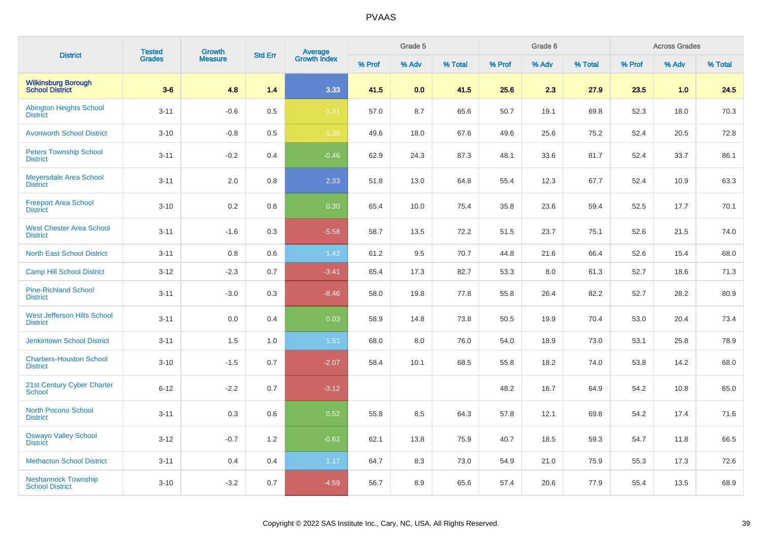| <b>District</b>                                       | <b>Tested</b> | <b>Growth</b>  | <b>Std Err</b> | Average<br>Growth Index |        | Grade 5 |         |        | Grade 6 |         |        | <b>Across Grades</b> |         |
|-------------------------------------------------------|---------------|----------------|----------------|-------------------------|--------|---------|---------|--------|---------|---------|--------|----------------------|---------|
|                                                       | <b>Grades</b> | <b>Measure</b> |                |                         | % Prof | % Adv   | % Total | % Prof | % Adv   | % Total | % Prof | % Adv                | % Total |
| <b>Wilkinsburg Borough<br/>School District</b>        | $3-6$         | 4.8            | 1.4            | 3.33                    | 41.5   | 0.0     | 41.5    | 25.6   | 2.3     | 27.9    | 23.5   | 1.0                  | 24.5    |
| <b>Abington Heights School</b><br><b>District</b>     | $3 - 11$      | $-0.6$         | 0.5            | $-1.31$                 | 57.0   | 8.7     | 65.6    | 50.7   | 19.1    | 69.8    | 52.3   | 18.0                 | 70.3    |
| <b>Avonworth School District</b>                      | $3 - 10$      | $-0.8$         | 0.5            | $-1.38$                 | 49.6   | 18.0    | 67.6    | 49.6   | 25.6    | 75.2    | 52.4   | 20.5                 | 72.8    |
| <b>Peters Township School</b><br><b>District</b>      | $3 - 11$      | $-0.2$         | 0.4            | $-0.46$                 | 62.9   | 24.3    | 87.3    | 48.1   | 33.6    | 81.7    | 52.4   | 33.7                 | 86.1    |
| <b>Meyersdale Area School</b><br><b>District</b>      | $3 - 11$      | 2.0            | 0.8            | 2.33                    | 51.8   | 13.0    | 64.8    | 55.4   | 12.3    | 67.7    | 52.4   | 10.9                 | 63.3    |
| <b>Freeport Area School</b><br><b>District</b>        | $3 - 10$      | 0.2            | 0.6            | 0.30                    | 65.4   | 10.0    | 75.4    | 35.8   | 23.6    | 59.4    | 52.5   | 17.7                 | 70.1    |
| <b>West Chester Area School</b><br><b>District</b>    | $3 - 11$      | $-1.6$         | 0.3            | $-5.58$                 | 58.7   | 13.5    | 72.2    | 51.5   | 23.7    | 75.1    | 52.6   | 21.5                 | 74.0    |
| <b>North East School District</b>                     | $3 - 11$      | 0.8            | 0.6            | 1.42                    | 61.2   | 9.5     | 70.7    | 44.8   | 21.6    | 66.4    | 52.6   | 15.4                 | 68.0    |
| <b>Camp Hill School District</b>                      | $3 - 12$      | $-2.3$         | 0.7            | $-3.41$                 | 65.4   | 17.3    | 82.7    | 53.3   | 8.0     | 61.3    | 52.7   | 18.6                 | 71.3    |
| <b>Pine-Richland School</b><br><b>District</b>        | $3 - 11$      | $-3.0$         | 0.3            | $-8.46$                 | 58.0   | 19.8    | 77.8    | 55.8   | 26.4    | 82.2    | 52.7   | 28.2                 | 80.9    |
| <b>West Jefferson Hills School</b><br><b>District</b> | $3 - 11$      | 0.0            | 0.4            | 0.03                    | 58.9   | 14.8    | 73.8    | 50.5   | 19.9    | 70.4    | 53.0   | 20.4                 | 73.4    |
| <b>Jenkintown School District</b>                     | $3 - 11$      | 1.5            | 1.0            | 1.51                    | 68.0   | 8.0     | 76.0    | 54.0   | 18.9    | 73.0    | 53.1   | 25.8                 | 78.9    |
| <b>Chartiers-Houston School</b><br><b>District</b>    | $3 - 10$      | $-1.5$         | 0.7            | $-2.07$                 | 58.4   | 10.1    | 68.5    | 55.8   | 18.2    | 74.0    | 53.8   | 14.2                 | 68.0    |
| 21st Century Cyber Charter<br>School                  | $6 - 12$      | $-2.2$         | 0.7            | $-3.12$                 |        |         |         | 48.2   | 16.7    | 64.9    | 54.2   | 10.8                 | 65.0    |
| <b>North Pocono School</b><br><b>District</b>         | $3 - 11$      | 0.3            | 0.6            | 0.52                    | 55.8   | 8.5     | 64.3    | 57.8   | 12.1    | 69.8    | 54.2   | 17.4                 | 71.6    |
| <b>Oswayo Valley School</b><br><b>District</b>        | $3 - 12$      | $-0.7$         | 1.2            | $-0.62$                 | 62.1   | 13.8    | 75.9    | 40.7   | 18.5    | 59.3    | 54.7   | 11.8                 | 66.5    |
| <b>Methacton School District</b>                      | $3 - 11$      | 0.4            | 0.4            | 1.17                    | 64.7   | 8.3     | 73.0    | 54.9   | 21.0    | 75.9    | 55.3   | 17.3                 | 72.6    |
| <b>Neshannock Township</b><br><b>School District</b>  | $3 - 10$      | $-3.2$         | 0.7            | $-4.59$                 | 56.7   | 8.9     | 65.6    | 57.4   | 20.6    | 77.9    | 55.4   | 13.5                 | 68.9    |